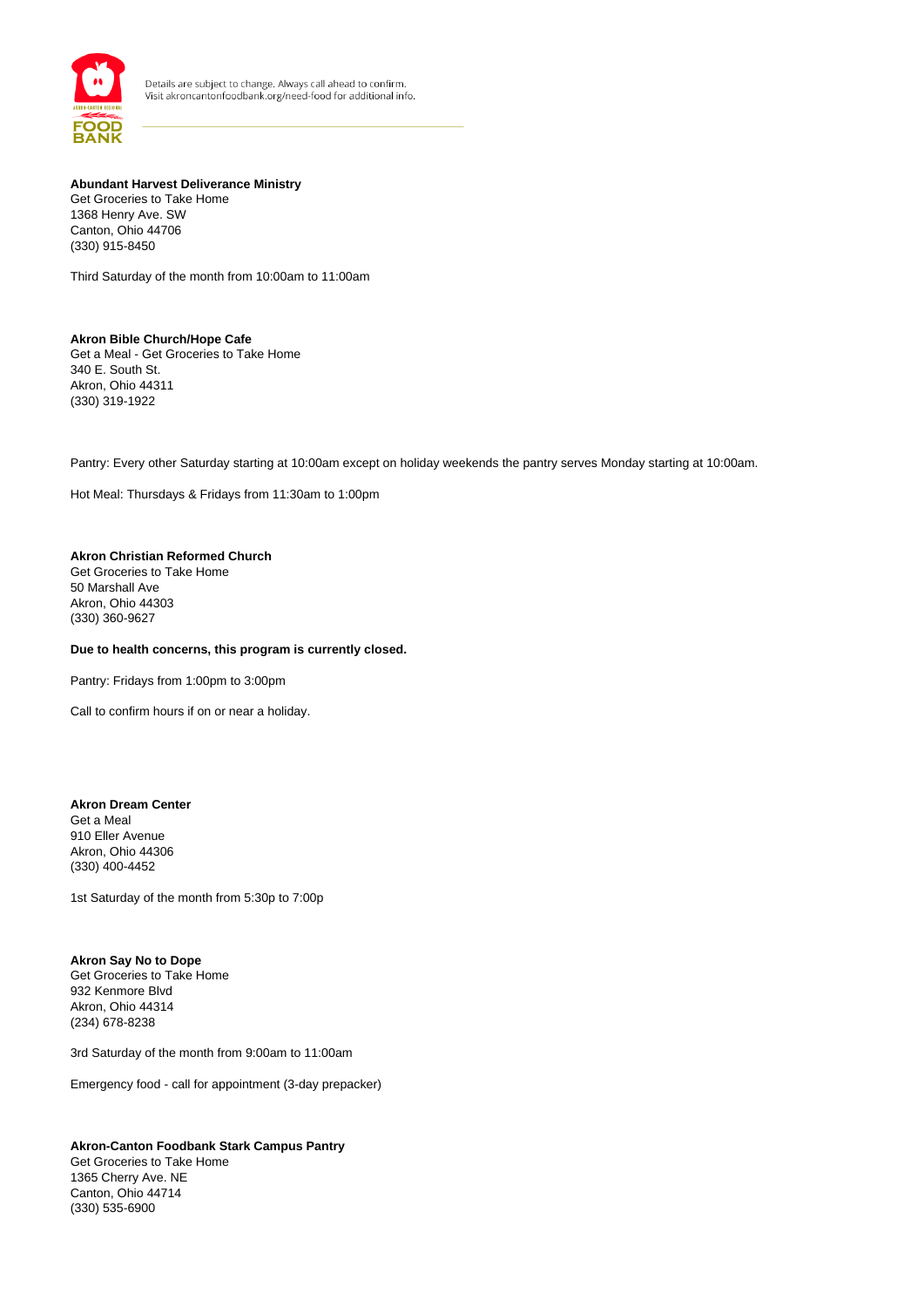

#### **Abundant Harvest Deliverance Ministry**

Get Groceries to Take Home 1368 Henry Ave. SW Canton, Ohio 44706 (330) 915-8450

Third Saturday of the month from 10:00am to 11:00am

# **Akron Bible Church/Hope Cafe**

Get a Meal - Get Groceries to Take Home 340 E. South St. Akron, Ohio 44311 (330) 319-1922

Pantry: Every other Saturday starting at 10:00am except on holiday weekends the pantry serves Monday starting at 10:00am.

Hot Meal: Thursdays & Fridays from 11:30am to 1:00pm

#### **Akron Christian Reformed Church**

Get Groceries to Take Home 50 Marshall Ave Akron, Ohio 44303 (330) 360-9627

## **Due to health concerns, this program is currently closed.**

Pantry: Fridays from 1:00pm to 3:00pm

Call to confirm hours if on or near a holiday.

#### **Akron Dream Center**

Get a Meal 910 Eller Avenue Akron, Ohio 44306 (330) 400-4452

1st Saturday of the month from 5:30p to 7:00p

## **Akron Say No to Dope**

Get Groceries to Take Home 932 Kenmore Blvd Akron, Ohio 44314 (234) 678-8238

3rd Saturday of the month from 9:00am to 11:00am

Emergency food - call for appointment (3-day prepacker)

## **Akron-Canton Foodbank Stark Campus Pantry**

Get Groceries to Take Home 1365 Cherry Ave. NE Canton, Ohio 44714 (330) 535-6900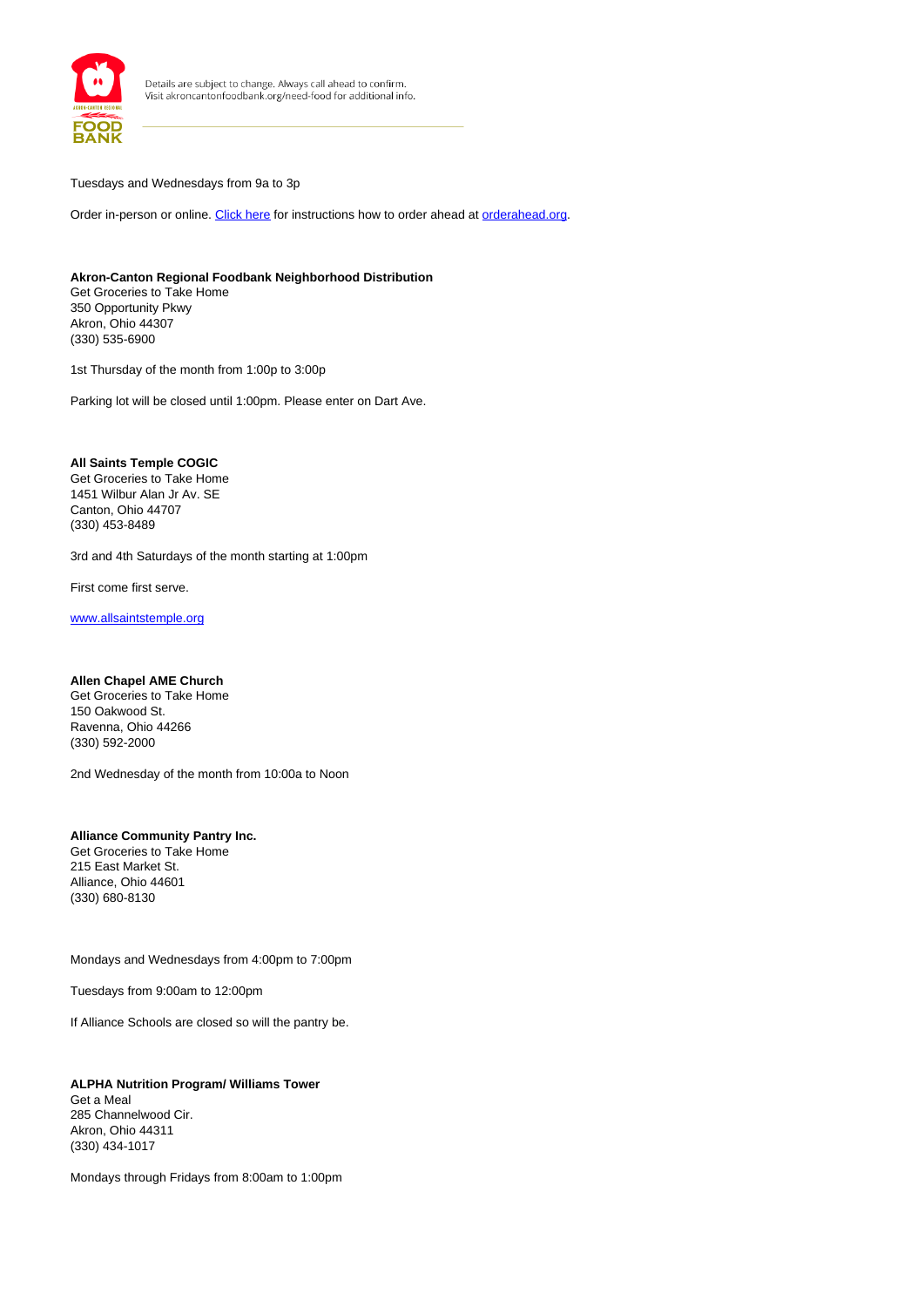

#### Tuesdays and Wednesdays from 9a to 3p

Order in-person or online. [Click here](/sites/default/files/OrderAhead%20Guide.pdf) for instructions how to order ahead at orderahead.org.

## **Akron-Canton Regional Foodbank Neighborhood Distribution**

Get Groceries to Take Home 350 Opportunity Pkwy Akron, Ohio 44307 (330) 535-6900

1st Thursday of the month from 1:00p to 3:00p

Parking lot will be closed until 1:00pm. Please enter on Dart Ave.

## **All Saints Temple COGIC**

Get Groceries to Take Home 1451 Wilbur Alan Jr Av. SE Canton, Ohio 44707 (330) 453-8489

3rd and 4th Saturdays of the month starting at 1:00pm

First come first serve.

www.allsaintstemple.org

## **Allen Chapel AME Church**

Get Groceries to Take Home 150 Oakwood St. Ravenna, Ohio 44266 (330) 592-2000

2nd Wednesday of the month from 10:00a to Noon

#### **Alliance Community Pantry Inc.** Get Groceries to Take Home 215 East Market St. Alliance, Ohio 44601 (330) 680-8130

Mondays and Wednesdays from 4:00pm to 7:00pm

Tuesdays from 9:00am to 12:00pm

If Alliance Schools are closed so will the pantry be.

**ALPHA Nutrition Program/ Williams Tower** Get a Meal 285 Channelwood Cir. Akron, Ohio 44311 (330) 434-1017

Mondays through Fridays from 8:00am to 1:00pm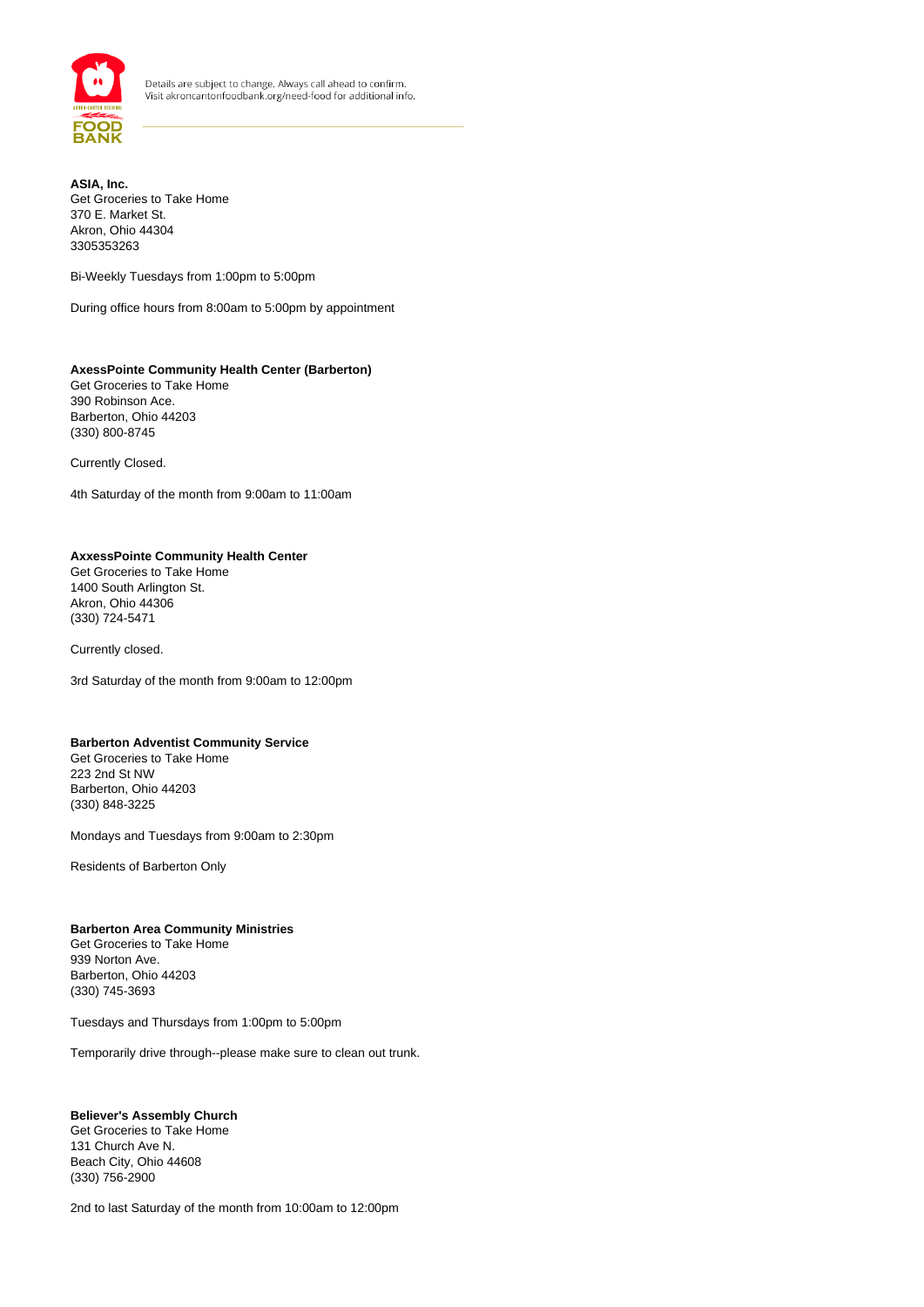

**ASIA, Inc.** Get Groceries to Take Home 370 E. Market St. Akron, Ohio 44304 3305353263

Bi-Weekly Tuesdays from 1:00pm to 5:00pm

During office hours from 8:00am to 5:00pm by appointment

## **AxessPointe Community Health Center (Barberton)** Get Groceries to Take Home 390 Robinson Ace.

Barberton, Ohio 44203 (330) 800-8745

Currently Closed.

4th Saturday of the month from 9:00am to 11:00am

#### **AxxessPointe Community Health Center**

Get Groceries to Take Home 1400 South Arlington St. Akron, Ohio 44306 (330) 724-5471

Currently closed.

3rd Saturday of the month from 9:00am to 12:00pm

## **Barberton Adventist Community Service**

Get Groceries to Take Home 223 2nd St NW Barberton, Ohio 44203 (330) 848-3225

Mondays and Tuesdays from 9:00am to 2:30pm

Residents of Barberton Only

#### **Barberton Area Community Ministries**

Get Groceries to Take Home 939 Norton Ave. Barberton, Ohio 44203 (330) 745-3693

Tuesdays and Thursdays from 1:00pm to 5:00pm

Temporarily drive through--please make sure to clean out trunk.

## **Believer's Assembly Church**

Get Groceries to Take Home 131 Church Ave N. Beach City, Ohio 44608 (330) 756-2900

2nd to last Saturday of the month from 10:00am to 12:00pm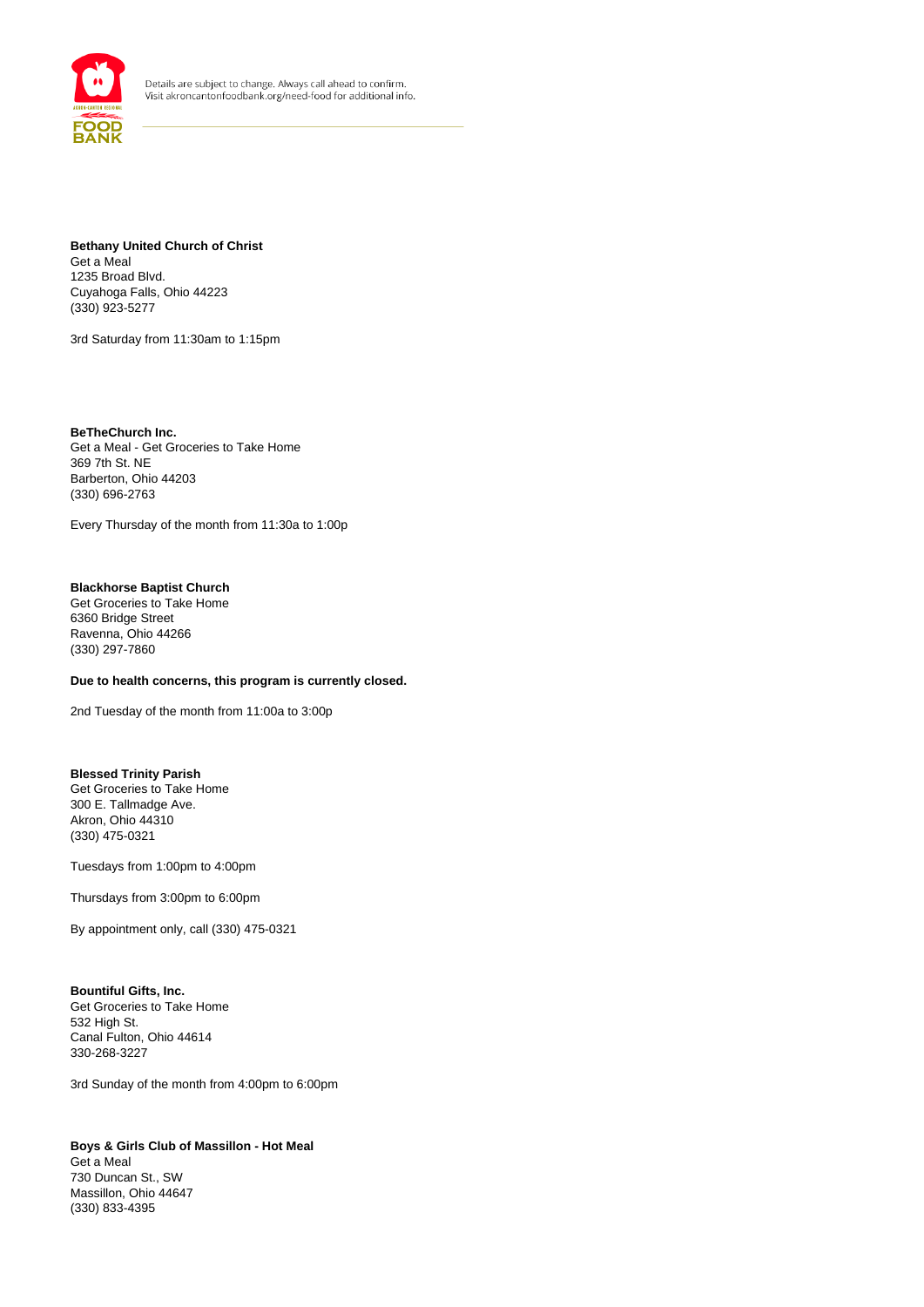

**Bethany United Church of Christ** Get a Meal 1235 Broad Blvd. Cuyahoga Falls, Ohio 44223 (330) 923-5277

3rd Saturday from 11:30am to 1:15pm

**BeTheChurch Inc.** Get a Meal - Get Groceries to Take Home 369 7th St. NE Barberton, Ohio 44203 (330) 696-2763

Every Thursday of the month from 11:30a to 1:00p

## **Blackhorse Baptist Church**

Get Groceries to Take Home 6360 Bridge Street Ravenna, Ohio 44266 (330) 297-7860

## **Due to health concerns, this program is currently closed.**

2nd Tuesday of the month from 11:00a to 3:00p

#### **Blessed Trinity Parish**

Get Groceries to Take Home 300 E. Tallmadge Ave. Akron, Ohio 44310 (330) 475-0321

Tuesdays from 1:00pm to 4:00pm

Thursdays from 3:00pm to 6:00pm

By appointment only, call (330) 475-0321

#### **Bountiful Gifts, Inc.**

Get Groceries to Take Home 532 High St. Canal Fulton, Ohio 44614 330-268-3227

3rd Sunday of the month from 4:00pm to 6:00pm

**Boys & Girls Club of Massillon - Hot Meal** Get a Meal 730 Duncan St., SW Massillon, Ohio 44647 (330) 833-4395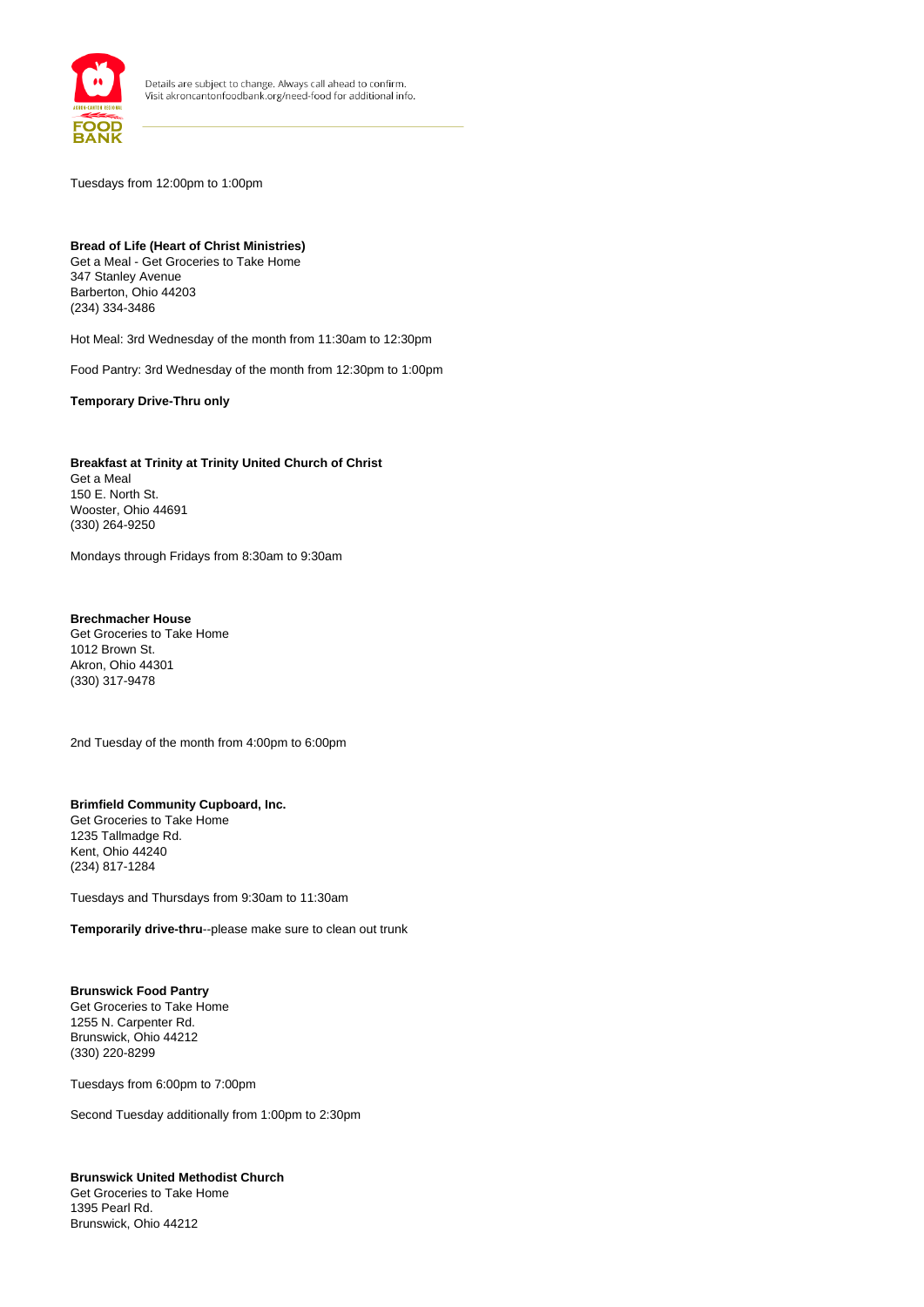

Tuesdays from 12:00pm to 1:00pm

## **Bread of Life (Heart of Christ Ministries)**  Get a Meal - Get Groceries to Take Home

347 Stanley Avenue Barberton, Ohio 44203 (234) 334-3486

Hot Meal: 3rd Wednesday of the month from 11:30am to 12:30pm

Food Pantry: 3rd Wednesday of the month from 12:30pm to 1:00pm

**Temporary Drive-Thru only**

**Breakfast at Trinity at Trinity United Church of Christ** Get a Meal 150 E. North St. Wooster, Ohio 44691 (330) 264-9250

Mondays through Fridays from 8:30am to 9:30am

**Brechmacher House** Get Groceries to Take Home 1012 Brown St. Akron, Ohio 44301 (330) 317-9478

2nd Tuesday of the month from 4:00pm to 6:00pm

## **Brimfield Community Cupboard, Inc.**

Get Groceries to Take Home 1235 Tallmadge Rd. Kent, Ohio 44240 (234) 817-1284

Tuesdays and Thursdays from 9:30am to 11:30am

**Temporarily drive-thru**--please make sure to clean out trunk

## **Brunswick Food Pantry**

Get Groceries to Take Home 1255 N. Carpenter Rd. Brunswick, Ohio 44212 (330) 220-8299

Tuesdays from 6:00pm to 7:00pm

Second Tuesday additionally from 1:00pm to 2:30pm

#### **Brunswick United Methodist Church**

Get Groceries to Take Home 1395 Pearl Rd. Brunswick, Ohio 44212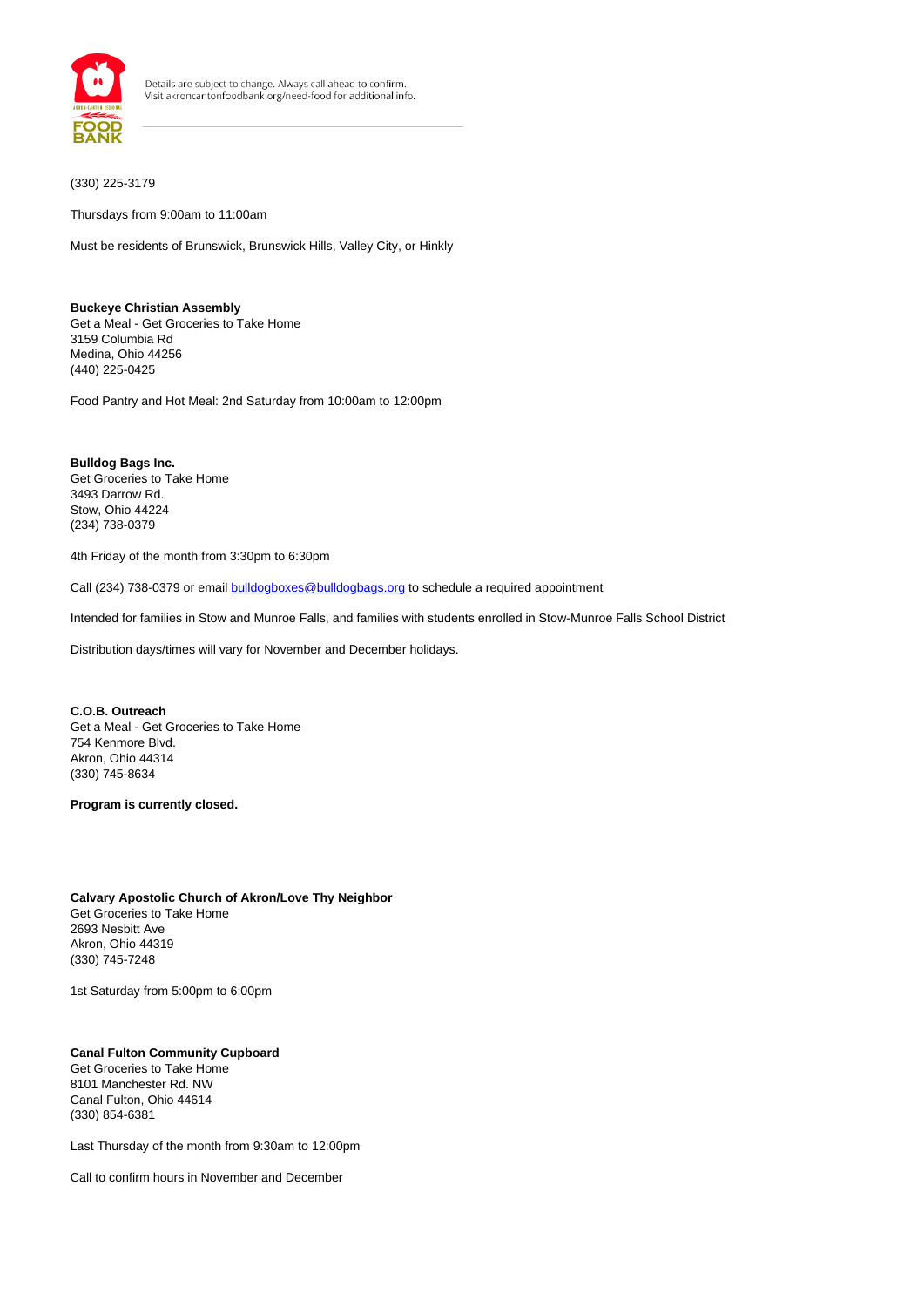

(330) 225-3179

Thursdays from 9:00am to 11:00am

Must be residents of Brunswick, Brunswick Hills, Valley City, or Hinkly

## **Buckeye Christian Assembly** Get a Meal - Get Groceries to Take Home 3159 Columbia Rd

Medina, Ohio 44256 (440) 225-0425

Food Pantry and Hot Meal: 2nd Saturday from 10:00am to 12:00pm

**Bulldog Bags Inc.** Get Groceries to Take Home 3493 Darrow Rd. Stow, Ohio 44224 (234) 738-0379

4th Friday of the month from 3:30pm to 6:30pm

Call (234) 738-0379 or email **bulldogboxes@bulldogbags.org** to schedule a required appointment

Intended for families in Stow and Munroe Falls, and families with students enrolled in Stow-Munroe Falls School District

Distribution days/times will vary for November and December holidays.

**C.O.B. Outreach** Get a Meal - Get Groceries to Take Home 754 Kenmore Blvd. Akron, Ohio 44314 (330) 745-8634

**Program is currently closed.** 

## **Calvary Apostolic Church of Akron/Love Thy Neighbor** Get Groceries to Take Home 2693 Nesbitt Ave Akron, Ohio 44319 (330) 745-7248

1st Saturday from 5:00pm to 6:00pm

#### **Canal Fulton Community Cupboard** Get Groceries to Take Home

8101 Manchester Rd. NW Canal Fulton, Ohio 44614 (330) 854-6381

Last Thursday of the month from 9:30am to 12:00pm

Call to confirm hours in November and December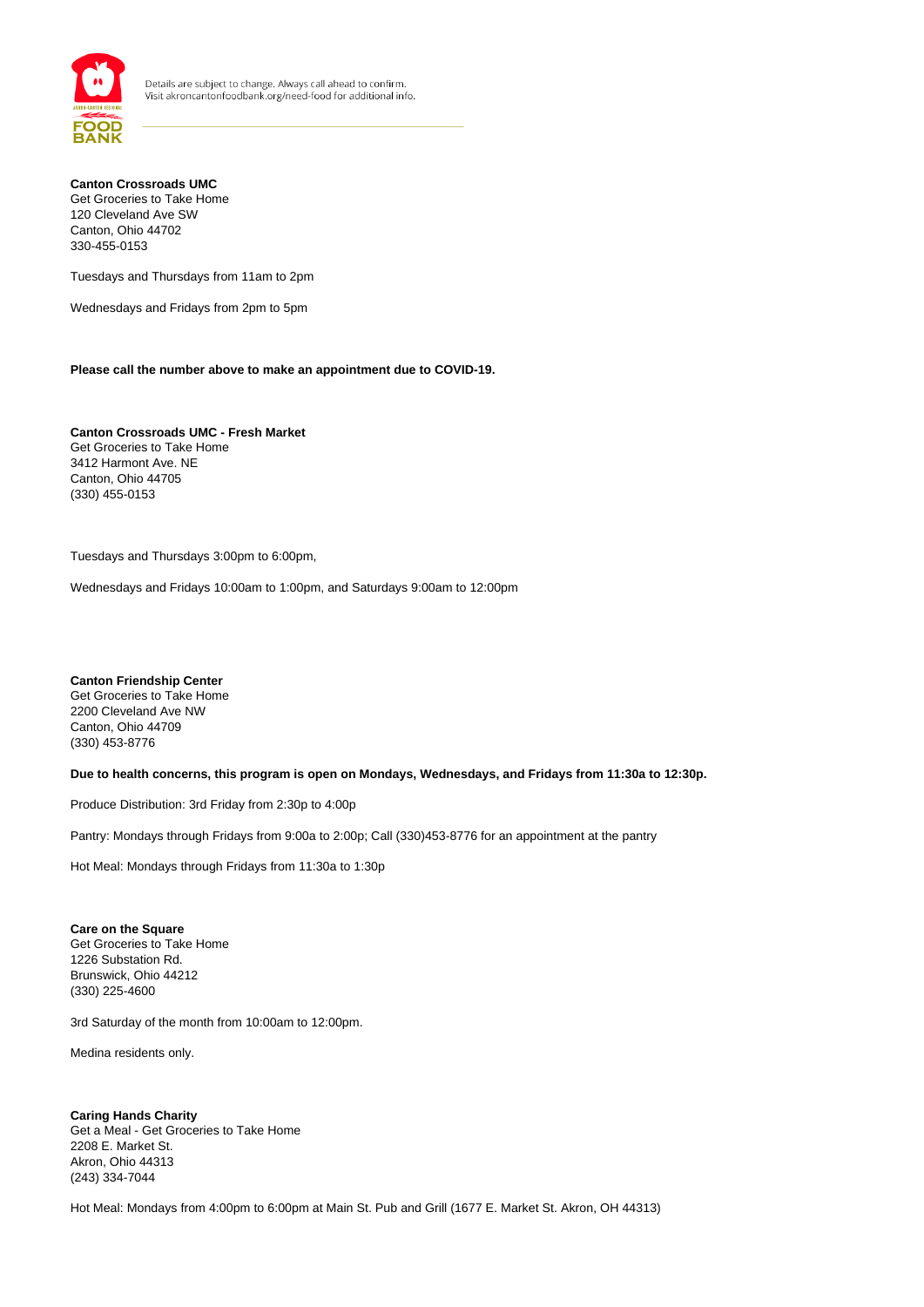

#### **Canton Crossroads UMC** Get Groceries to Take Home 120 Cleveland Ave SW Canton, Ohio 44702 330-455-0153

Tuesdays and Thursdays from 11am to 2pm

Wednesdays and Fridays from 2pm to 5pm

**Please call the number above to make an appointment due to COVID-19.**

**Canton Crossroads UMC - Fresh Market** Get Groceries to Take Home 3412 Harmont Ave. NE Canton, Ohio 44705 (330) 455-0153

Tuesdays and Thursdays 3:00pm to 6:00pm,

Wednesdays and Fridays 10:00am to 1:00pm, and Saturdays 9:00am to 12:00pm

**Canton Friendship Center** Get Groceries to Take Home 2200 Cleveland Ave NW Canton, Ohio 44709 (330) 453-8776

**Due to health concerns, this program is open on Mondays, Wednesdays, and Fridays from 11:30a to 12:30p.**

Produce Distribution: 3rd Friday from 2:30p to 4:00p

Pantry: Mondays through Fridays from 9:00a to 2:00p; Call (330)453-8776 for an appointment at the pantry

Hot Meal: Mondays through Fridays from 11:30a to 1:30p

**Care on the Square** Get Groceries to Take Home 1226 Substation Rd. Brunswick, Ohio 44212 (330) 225-4600

3rd Saturday of the month from 10:00am to 12:00pm.

Medina residents only.

**Caring Hands Charity** Get a Meal - Get Groceries to Take Home 2208 E. Market St. Akron, Ohio 44313 (243) 334-7044

Hot Meal: Mondays from 4:00pm to 6:00pm at Main St. Pub and Grill (1677 E. Market St. Akron, OH 44313)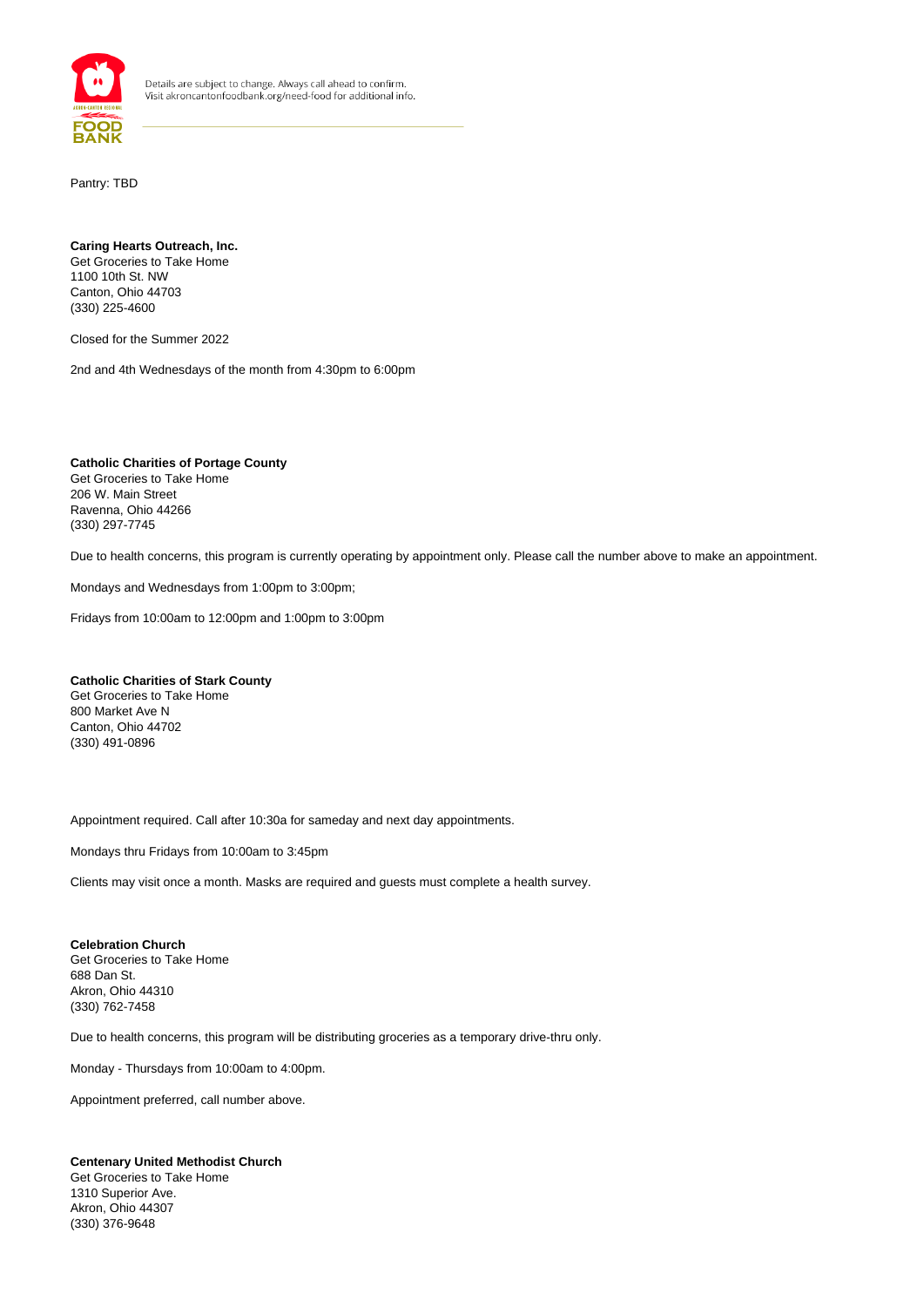

Pantry: TBD

#### **Caring Hearts Outreach, Inc.**  Get Groceries to Take Home 1100 10th St. NW Canton, Ohio 44703 (330) 225-4600

Closed for the Summer 2022

2nd and 4th Wednesdays of the month from 4:30pm to 6:00pm

**Catholic Charities of Portage County** Get Groceries to Take Home 206 W. Main Street Ravenna, Ohio 44266 (330) 297-7745

Due to health concerns, this program is currently operating by appointment only. Please call the number above to make an appointment.

Mondays and Wednesdays from 1:00pm to 3:00pm;

Fridays from 10:00am to 12:00pm and 1:00pm to 3:00pm

**Catholic Charities of Stark County** Get Groceries to Take Home 800 Market Ave N Canton, Ohio 44702 (330) 491-0896

Appointment required. Call after 10:30a for sameday and next day appointments.

Mondays thru Fridays from 10:00am to 3:45pm

Clients may visit once a month. Masks are required and guests must complete a health survey.

**Celebration Church** Get Groceries to Take Home 688 Dan St. Akron, Ohio 44310 (330) 762-7458

Due to health concerns, this program will be distributing groceries as a temporary drive-thru only.

Monday - Thursdays from 10:00am to 4:00pm.

Appointment preferred, call number above.

## **Centenary United Methodist Church**

Get Groceries to Take Home 1310 Superior Ave. Akron, Ohio 44307 (330) 376-9648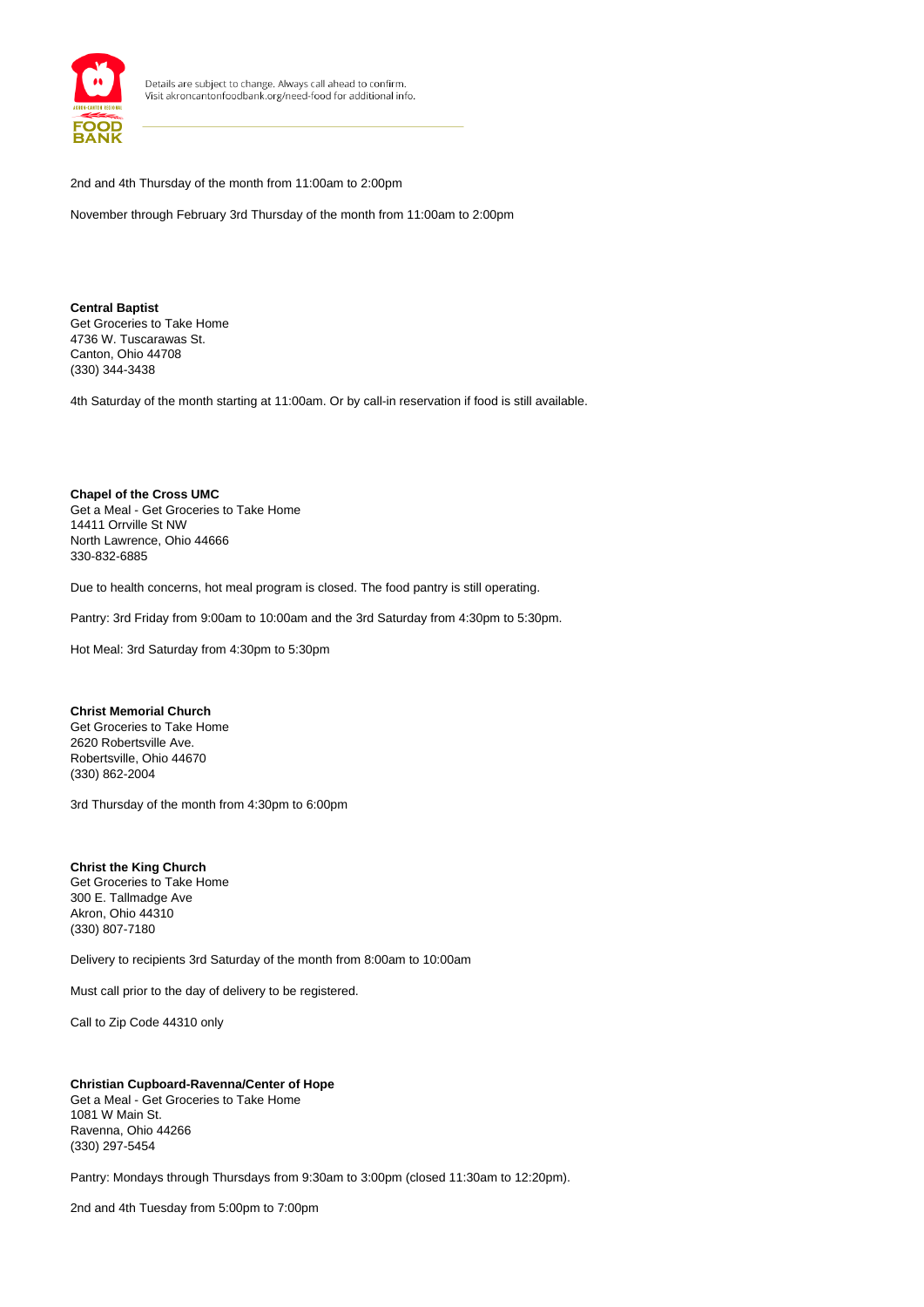

2nd and 4th Thursday of the month from 11:00am to 2:00pm

November through February 3rd Thursday of the month from 11:00am to 2:00pm

**Central Baptist** Get Groceries to Take Home 4736 W. Tuscarawas St. Canton, Ohio 44708 (330) 344-3438

4th Saturday of the month starting at 11:00am. Or by call-in reservation if food is still available.

**Chapel of the Cross UMC** Get a Meal - Get Groceries to Take Home 14411 Orrville St NW North Lawrence, Ohio 44666 330-832-6885

Due to health concerns, hot meal program is closed. The food pantry is still operating.

Pantry: 3rd Friday from 9:00am to 10:00am and the 3rd Saturday from 4:30pm to 5:30pm.

Hot Meal: 3rd Saturday from 4:30pm to 5:30pm

#### **Christ Memorial Church**

Get Groceries to Take Home 2620 Robertsville Ave. Robertsville, Ohio 44670 (330) 862-2004

3rd Thursday of the month from 4:30pm to 6:00pm

**Christ the King Church** Get Groceries to Take Home 300 E. Tallmadge Ave Akron, Ohio 44310 (330) 807-7180

Delivery to recipients 3rd Saturday of the month from 8:00am to 10:00am

Must call prior to the day of delivery to be registered.

Call to Zip Code 44310 only

**Christian Cupboard-Ravenna/Center of Hope** Get a Meal - Get Groceries to Take Home 1081 W Main St. Ravenna, Ohio 44266 (330) 297-5454

Pantry: Mondays through Thursdays from 9:30am to 3:00pm (closed 11:30am to 12:20pm).

2nd and 4th Tuesday from 5:00pm to 7:00pm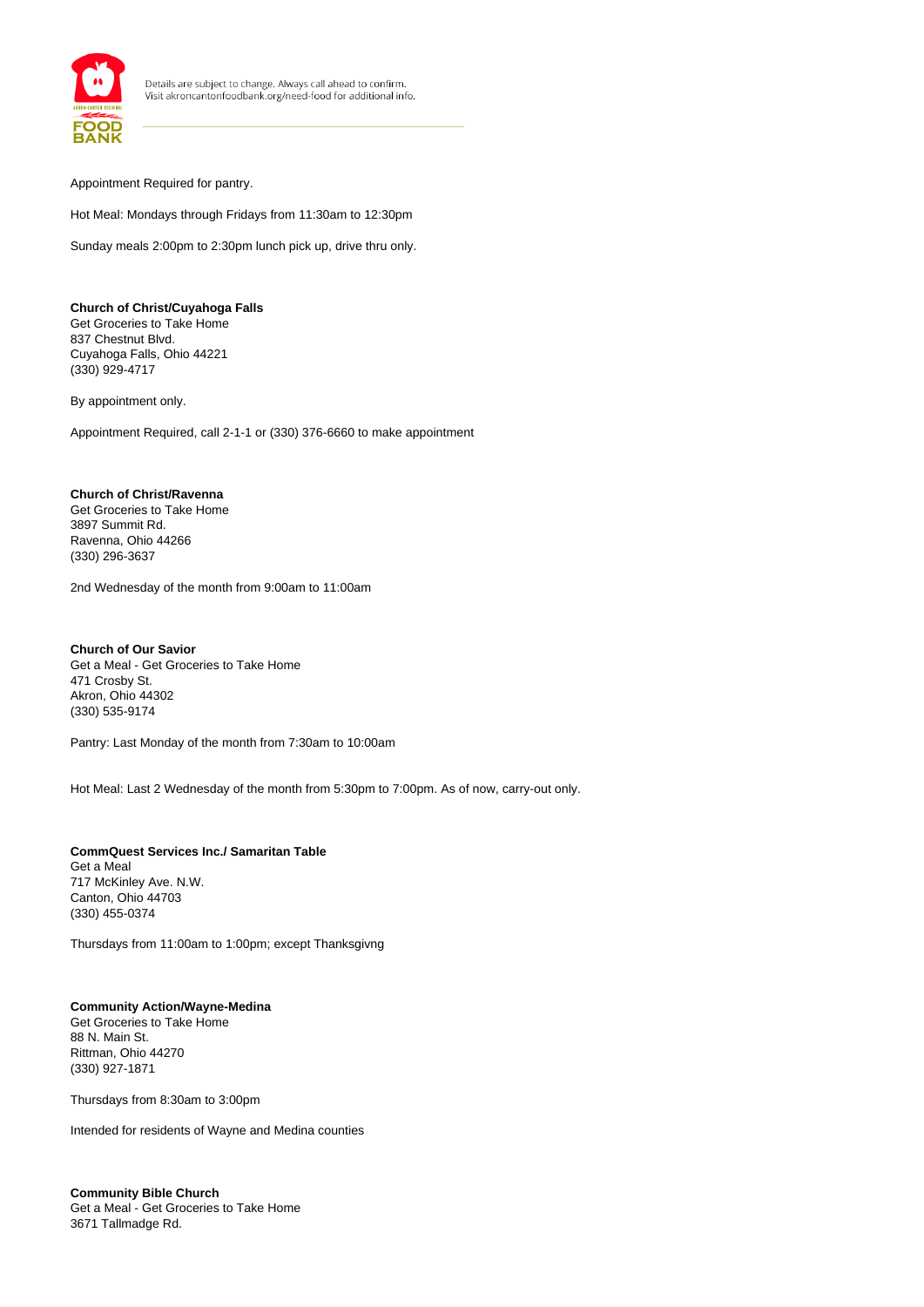

Appointment Required for pantry.

Hot Meal: Mondays through Fridays from 11:30am to 12:30pm

Sunday meals 2:00pm to 2:30pm lunch pick up, drive thru only.

**Church of Christ/Cuyahoga Falls** Get Groceries to Take Home 837 Chestnut Blvd. Cuyahoga Falls, Ohio 44221 (330) 929-4717

By appointment only.

Appointment Required, call 2-1-1 or (330) 376-6660 to make appointment

## **Church of Christ/Ravenna**

Get Groceries to Take Home 3897 Summit Rd. Ravenna, Ohio 44266 (330) 296-3637

2nd Wednesday of the month from 9:00am to 11:00am

**Church of Our Savior** Get a Meal - Get Groceries to Take Home 471 Crosby St. Akron, Ohio 44302 (330) 535-9174

Pantry: Last Monday of the month from 7:30am to 10:00am

Hot Meal: Last 2 Wednesday of the month from 5:30pm to 7:00pm. As of now, carry-out only.

**CommQuest Services Inc./ Samaritan Table** Get a Meal 717 McKinley Ave. N.W. Canton, Ohio 44703 (330) 455-0374

Thursdays from 11:00am to 1:00pm; except Thanksgivng

# **Community Action/Wayne-Medina**

Get Groceries to Take Home 88 N. Main St. Rittman, Ohio 44270 (330) 927-1871

Thursdays from 8:30am to 3:00pm

Intended for residents of Wayne and Medina counties

**Community Bible Church** Get a Meal - Get Groceries to Take Home 3671 Tallmadge Rd.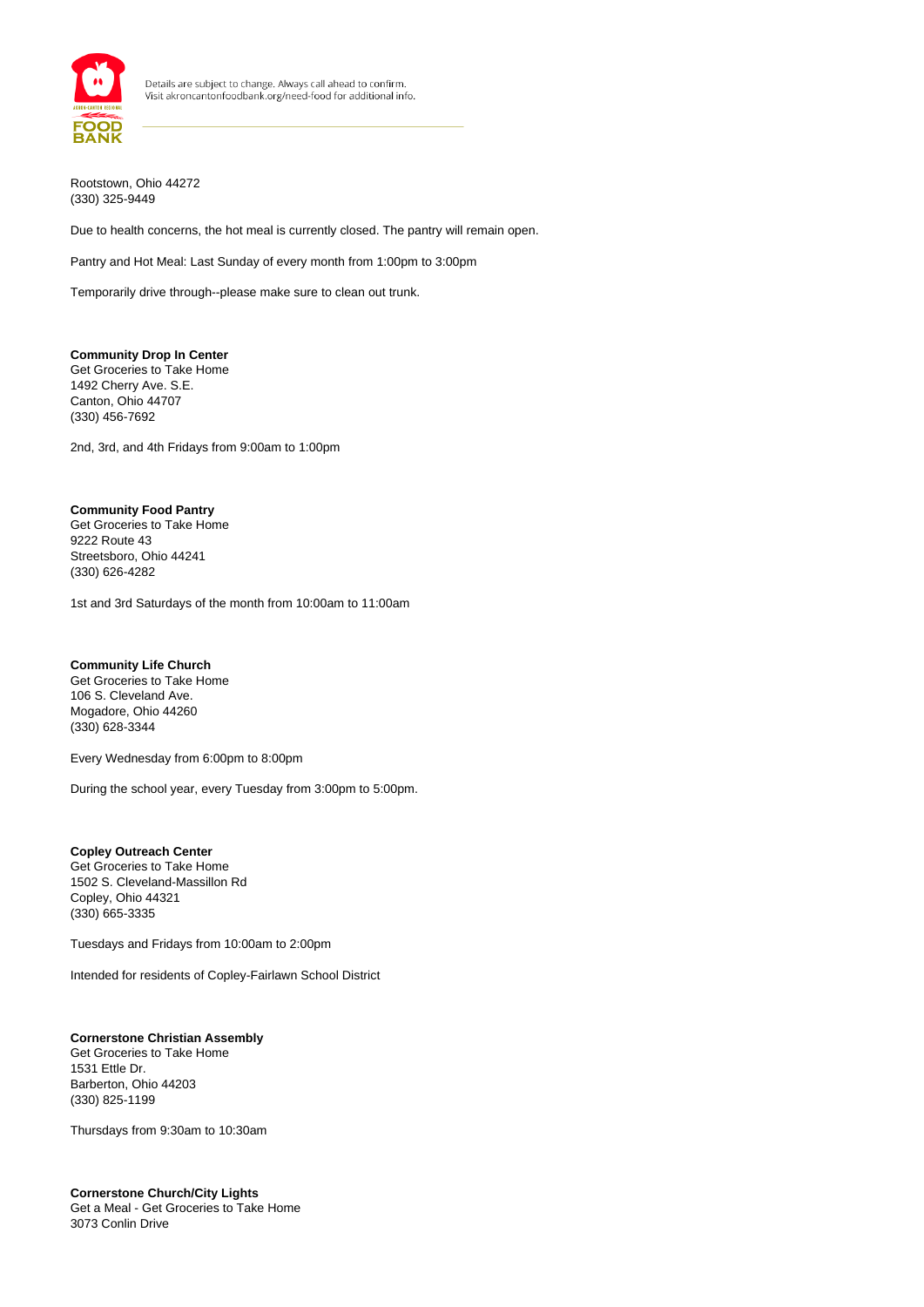

Rootstown, Ohio 44272 (330) 325-9449

Due to health concerns, the hot meal is currently closed. The pantry will remain open.

Pantry and Hot Meal: Last Sunday of every month from 1:00pm to 3:00pm

Temporarily drive through--please make sure to clean out trunk.

### **Community Drop In Center**

Get Groceries to Take Home 1492 Cherry Ave. S.E. Canton, Ohio 44707 (330) 456-7692

2nd, 3rd, and 4th Fridays from 9:00am to 1:00pm

#### **Community Food Pantry**

Get Groceries to Take Home 9222 Route 43 Streetsboro, Ohio 44241 (330) 626-4282

1st and 3rd Saturdays of the month from 10:00am to 11:00am

#### **Community Life Church**

Get Groceries to Take Home 106 S. Cleveland Ave. Mogadore, Ohio 44260 (330) 628-3344

Every Wednesday from 6:00pm to 8:00pm

During the school year, every Tuesday from 3:00pm to 5:00pm.

#### **Copley Outreach Center**

Get Groceries to Take Home 1502 S. Cleveland-Massillon Rd Copley, Ohio 44321 (330) 665-3335

Tuesdays and Fridays from 10:00am to 2:00pm

Intended for residents of Copley-Fairlawn School District

## **Cornerstone Christian Assembly**

Get Groceries to Take Home 1531 Ettle Dr. Barberton, Ohio 44203 (330) 825-1199

Thursdays from 9:30am to 10:30am

#### **Cornerstone Church/City Lights** Get a Meal - Get Groceries to Take Home

3073 Conlin Drive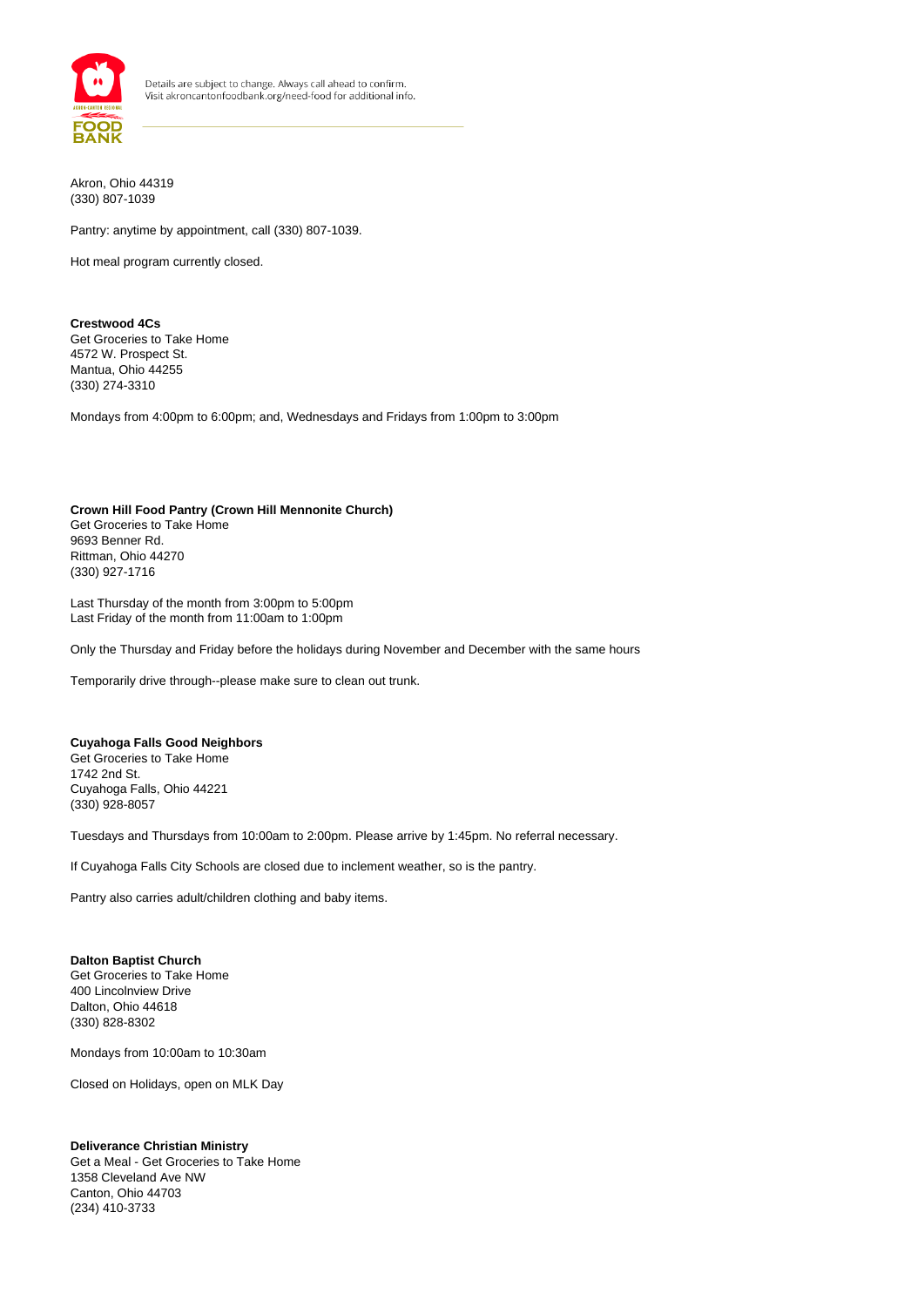

Akron, Ohio 44319 (330) 807-1039

Pantry: anytime by appointment, call (330) 807-1039.

Hot meal program currently closed.

#### **Crestwood 4Cs** Get Groceries to Take Home 4572 W. Prospect St. Mantua, Ohio 44255 (330) 274-3310

Mondays from 4:00pm to 6:00pm; and, Wednesdays and Fridays from 1:00pm to 3:00pm

#### **Crown Hill Food Pantry (Crown Hill Mennonite Church)**  Get Groceries to Take Home 9693 Benner Rd. Rittman, Ohio 44270 (330) 927-1716

Last Thursday of the month from 3:00pm to 5:00pm Last Friday of the month from 11:00am to 1:00pm

Only the Thursday and Friday before the holidays during November and December with the same hours

Temporarily drive through--please make sure to clean out trunk.

### **Cuyahoga Falls Good Neighbors**

Get Groceries to Take Home 1742 2nd St. Cuyahoga Falls, Ohio 44221 (330) 928-8057

Tuesdays and Thursdays from 10:00am to 2:00pm. Please arrive by 1:45pm. No referral necessary.

If Cuyahoga Falls City Schools are closed due to inclement weather, so is the pantry.

Pantry also carries adult/children clothing and baby items.

#### **Dalton Baptist Church**

Get Groceries to Take Home 400 Lincolnview Drive Dalton, Ohio 44618 (330) 828-8302

Mondays from 10:00am to 10:30am

Closed on Holidays, open on MLK Day

#### **Deliverance Christian Ministry**

Get a Meal - Get Groceries to Take Home 1358 Cleveland Ave NW Canton, Ohio 44703 (234) 410-3733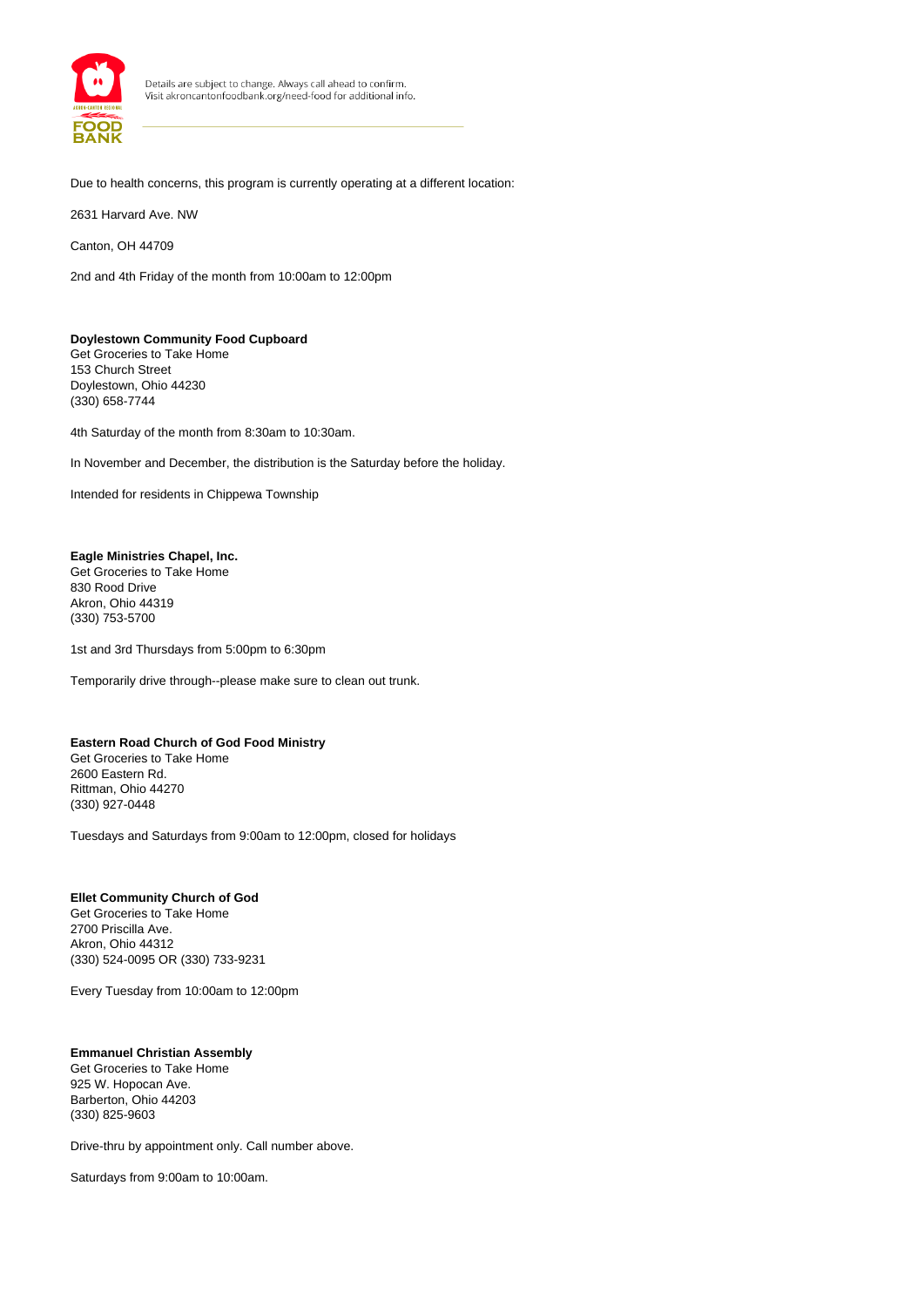

Due to health concerns, this program is currently operating at a different location:

2631 Harvard Ave. NW

Canton, OH 44709

2nd and 4th Friday of the month from 10:00am to 12:00pm

#### **Doylestown Community Food Cupboard** Get Groceries to Take Home

153 Church Street Doylestown, Ohio 44230 (330) 658-7744

4th Saturday of the month from 8:30am to 10:30am.

In November and December, the distribution is the Saturday before the holiday.

Intended for residents in Chippewa Township

## **Eagle Ministries Chapel, Inc.**

Get Groceries to Take Home 830 Rood Drive Akron, Ohio 44319 (330) 753-5700

1st and 3rd Thursdays from 5:00pm to 6:30pm

Temporarily drive through--please make sure to clean out trunk.

## **Eastern Road Church of God Food Ministry**

Get Groceries to Take Home 2600 Eastern Rd. Rittman, Ohio 44270 (330) 927-0448

Tuesdays and Saturdays from 9:00am to 12:00pm, closed for holidays

## **Ellet Community Church of God**

Get Groceries to Take Home 2700 Priscilla Ave. Akron, Ohio 44312 (330) 524-0095 OR (330) 733-9231

Every Tuesday from 10:00am to 12:00pm

## **Emmanuel Christian Assembly**

Get Groceries to Take Home 925 W. Hopocan Ave. Barberton, Ohio 44203 (330) 825-9603

Drive-thru by appointment only. Call number above.

Saturdays from 9:00am to 10:00am.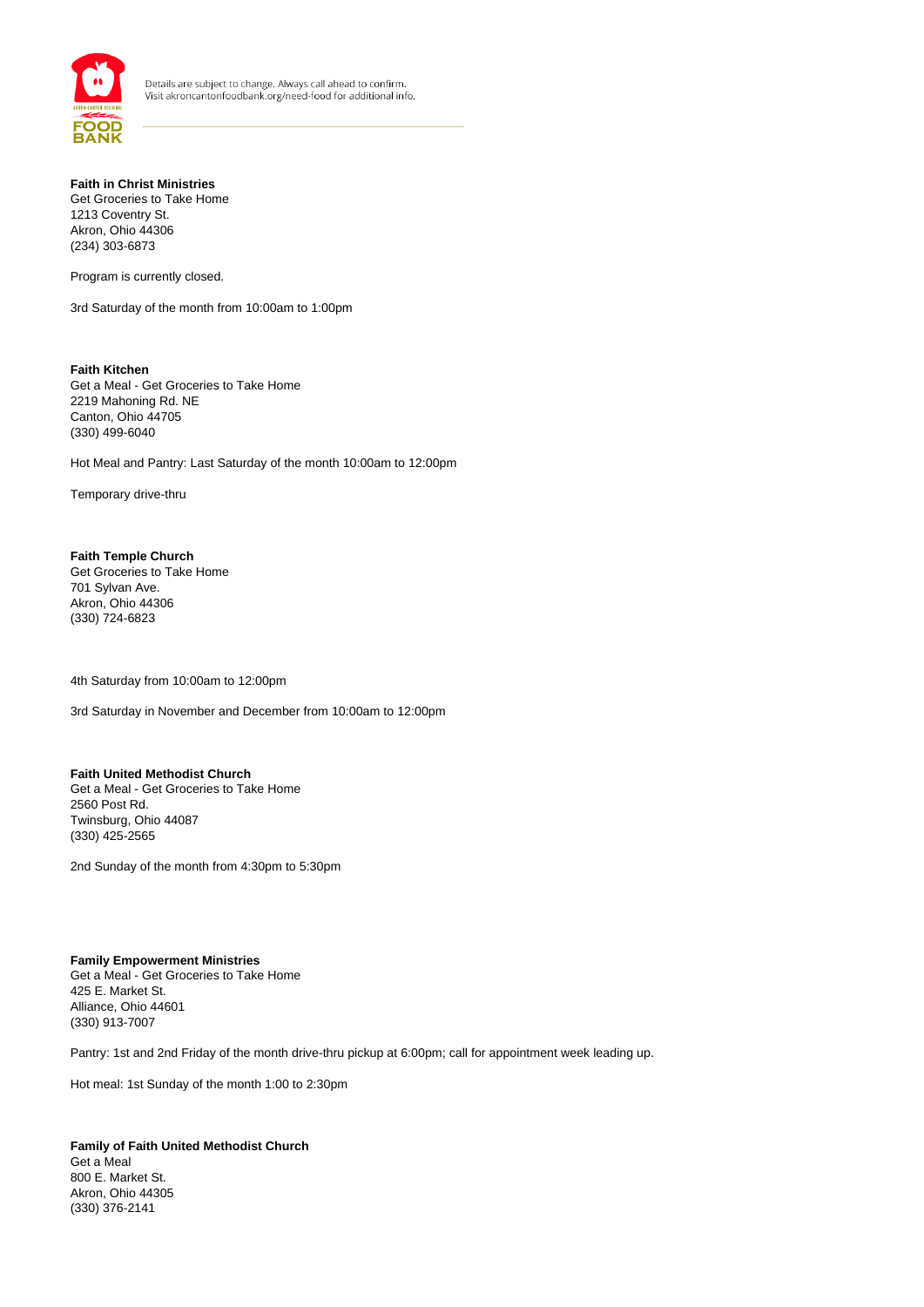

## **Faith in Christ Ministries**

Get Groceries to Take Home 1213 Coventry St. Akron, Ohio 44306 (234) 303-6873

Program is currently closed.

3rd Saturday of the month from 10:00am to 1:00pm

**Faith Kitchen** Get a Meal - Get Groceries to Take Home 2219 Mahoning Rd. NE Canton, Ohio 44705 (330) 499-6040

Hot Meal and Pantry: Last Saturday of the month 10:00am to 12:00pm

Temporary drive-thru

**Faith Temple Church** Get Groceries to Take Home 701 Sylvan Ave. Akron, Ohio 44306 (330) 724-6823

4th Saturday from 10:00am to 12:00pm

3rd Saturday in November and December from 10:00am to 12:00pm

#### **Faith United Methodist Church**

Get a Meal - Get Groceries to Take Home 2560 Post Rd. Twinsburg, Ohio 44087 (330) 425-2565

2nd Sunday of the month from 4:30pm to 5:30pm

#### **Family Empowerment Ministries**

Get a Meal - Get Groceries to Take Home 425 E. Market St. Alliance, Ohio 44601 (330) 913-7007

Pantry: 1st and 2nd Friday of the month drive-thru pickup at 6:00pm; call for appointment week leading up.

Hot meal: 1st Sunday of the month 1:00 to 2:30pm

**Family of Faith United Methodist Church** Get a Meal 800 E. Market St. Akron, Ohio 44305 (330) 376-2141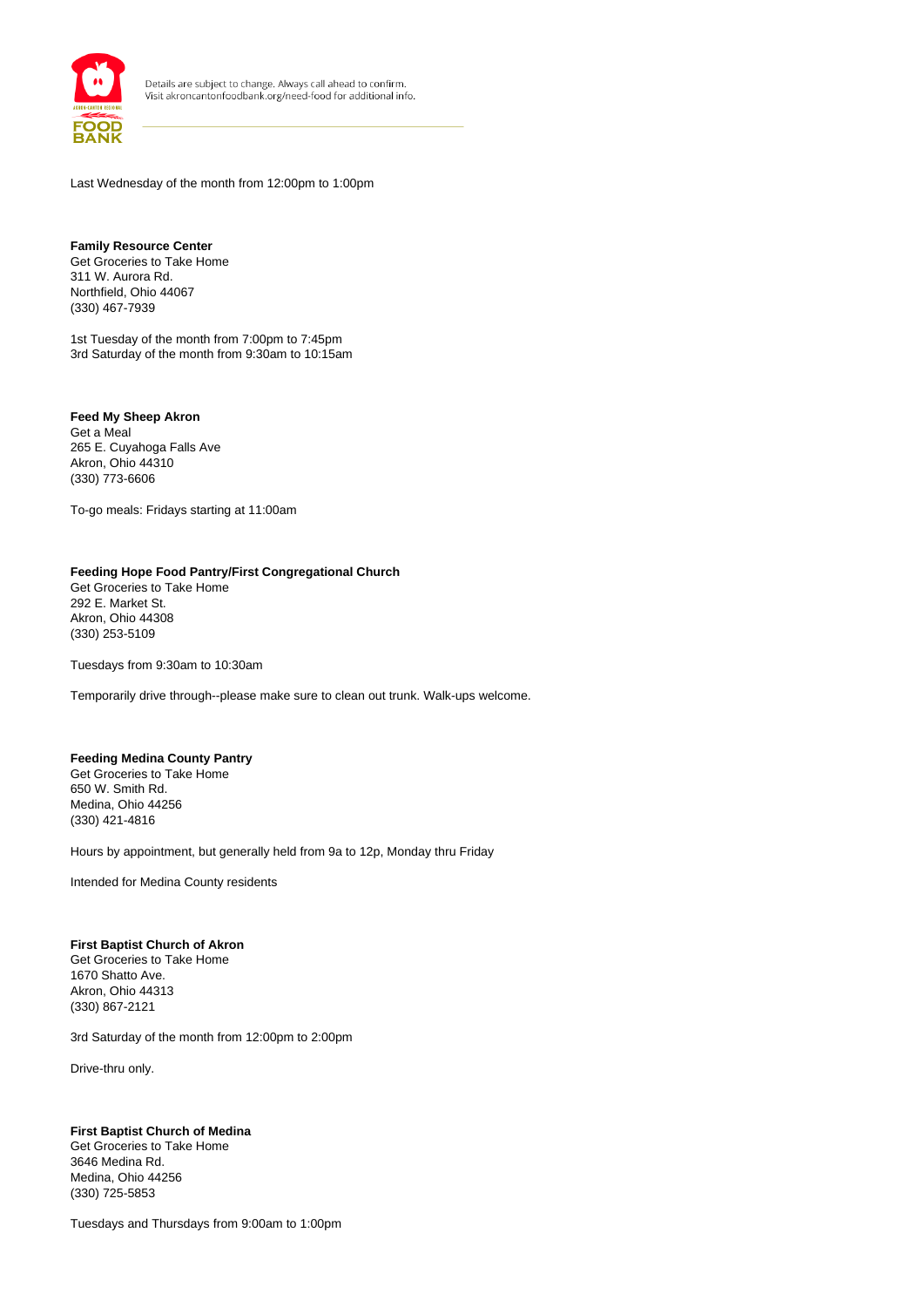

Last Wednesday of the month from 12:00pm to 1:00pm

**Family Resource Center** Get Groceries to Take Home 311 W. Aurora Rd. Northfield, Ohio 44067 (330) 467-7939

1st Tuesday of the month from 7:00pm to 7:45pm 3rd Saturday of the month from 9:30am to 10:15am

**Feed My Sheep Akron** Get a Meal 265 E. Cuyahoga Falls Ave Akron, Ohio 44310 (330) 773-6606

To-go meals: Fridays starting at 11:00am

## **Feeding Hope Food Pantry/First Congregational Church**

Get Groceries to Take Home 292 E. Market St. Akron, Ohio 44308 (330) 253-5109

Tuesdays from 9:30am to 10:30am

Temporarily drive through--please make sure to clean out trunk. Walk-ups welcome.

## **Feeding Medina County Pantry**

Get Groceries to Take Home 650 W. Smith Rd. Medina, Ohio 44256 (330) 421-4816

Hours by appointment, but generally held from 9a to 12p, Monday thru Friday

Intended for Medina County residents

#### **First Baptist Church of Akron**

Get Groceries to Take Home 1670 Shatto Ave. Akron, Ohio 44313 (330) 867-2121

3rd Saturday of the month from 12:00pm to 2:00pm

Drive-thru only.

#### **First Baptist Church of Medina**

Get Groceries to Take Home 3646 Medina Rd. Medina, Ohio 44256 (330) 725-5853

Tuesdays and Thursdays from 9:00am to 1:00pm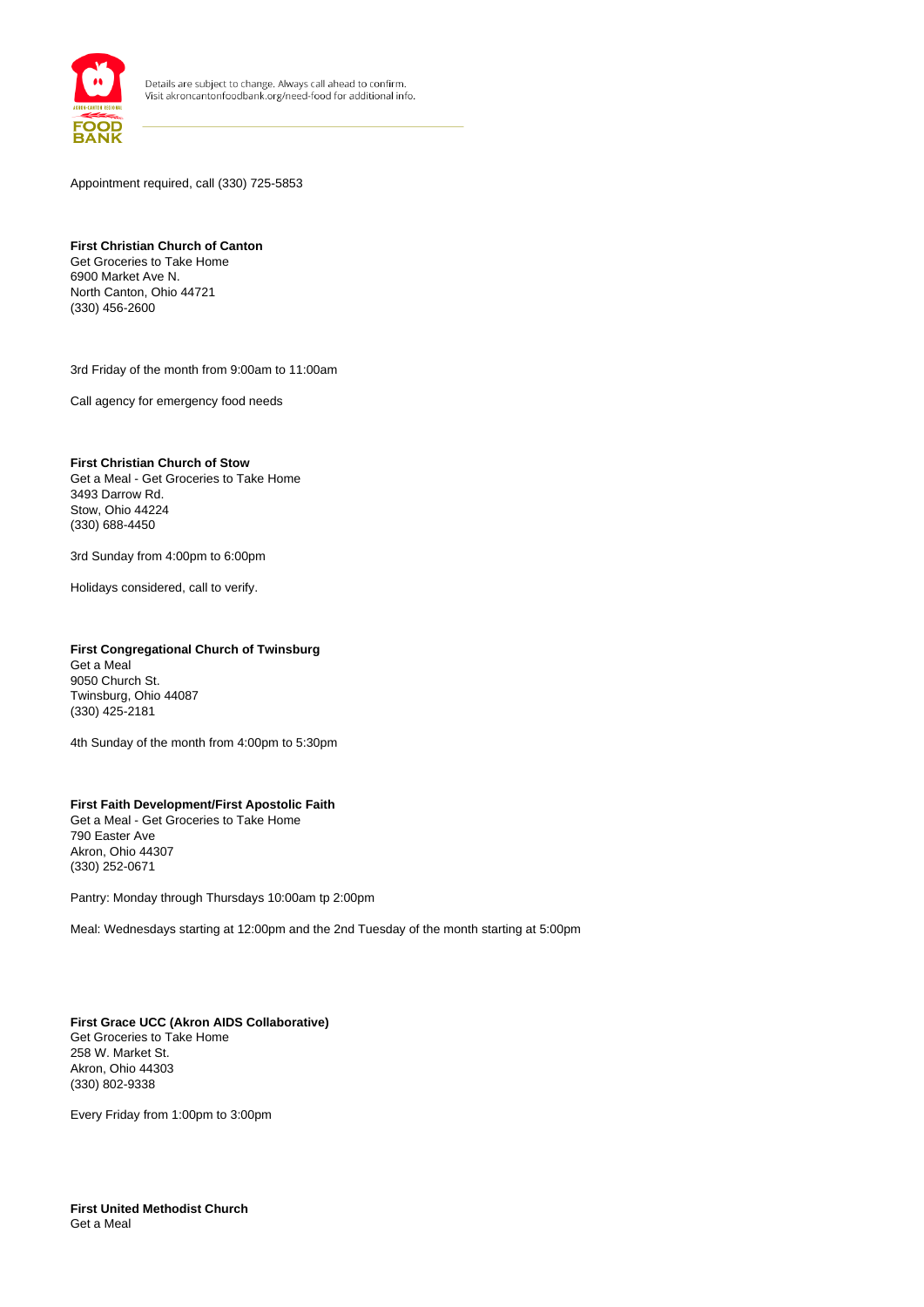

Appointment required, call (330) 725-5853

## **First Christian Church of Canton**

Get Groceries to Take Home 6900 Market Ave N. North Canton, Ohio 44721 (330) 456-2600

3rd Friday of the month from 9:00am to 11:00am

Call agency for emergency food needs

#### **First Christian Church of Stow**

Get a Meal - Get Groceries to Take Home 3493 Darrow Rd. Stow, Ohio 44224 (330) 688-4450

3rd Sunday from 4:00pm to 6:00pm

Holidays considered, call to verify.

## **First Congregational Church of Twinsburg**

Get a Meal 9050 Church St. Twinsburg, Ohio 44087 (330) 425-2181

4th Sunday of the month from 4:00pm to 5:30pm

#### **First Faith Development/First Apostolic Faith** Get a Meal - Get Groceries to Take Home 790 Easter Ave Akron, Ohio 44307 (330) 252-0671

Pantry: Monday through Thursdays 10:00am tp 2:00pm

Meal: Wednesdays starting at 12:00pm and the 2nd Tuesday of the month starting at 5:00pm

**First Grace UCC (Akron AIDS Collaborative)** Get Groceries to Take Home 258 W. Market St. Akron, Ohio 44303 (330) 802-9338

Every Friday from 1:00pm to 3:00pm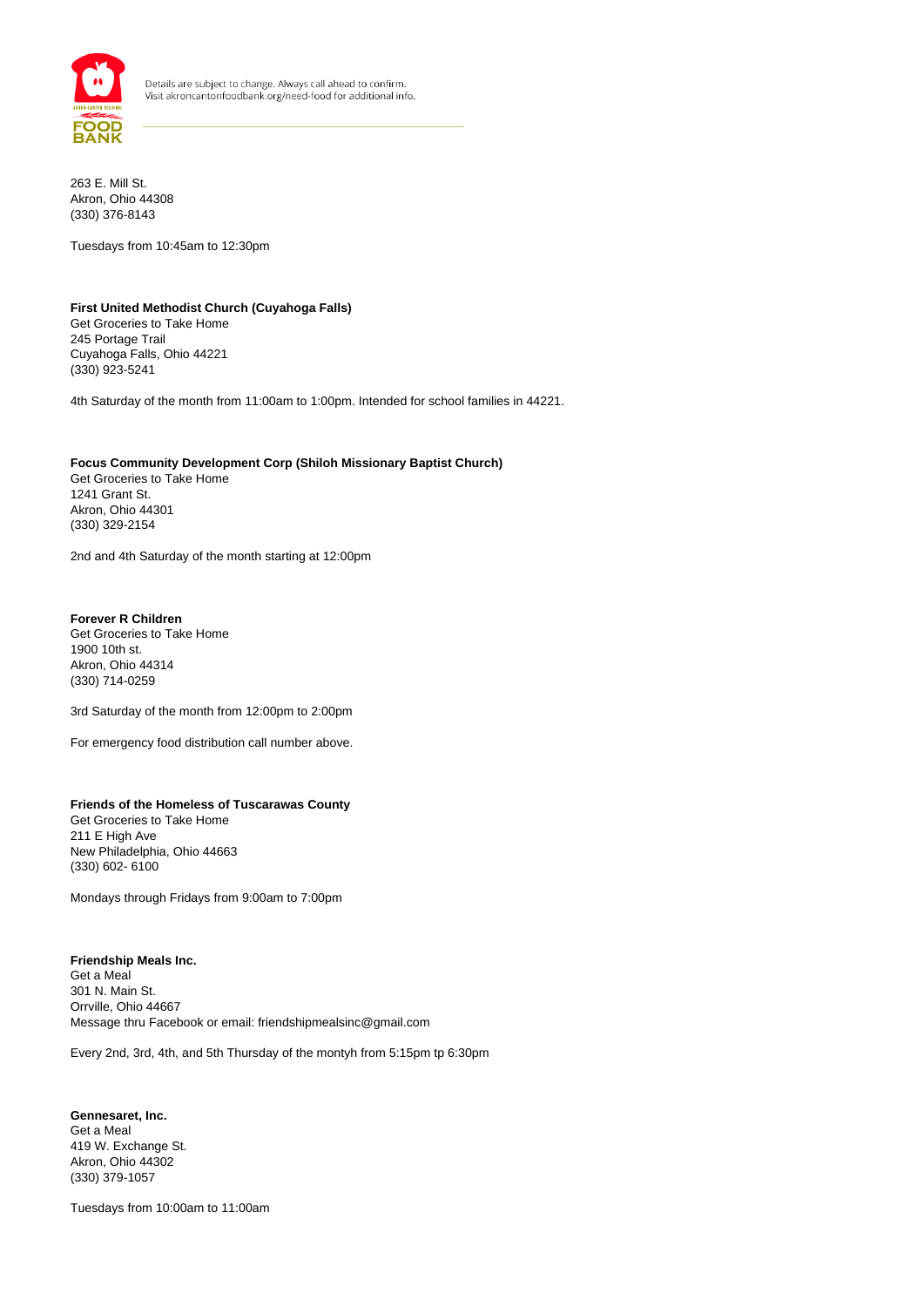

263 E. Mill St. Akron, Ohio 44308 (330) 376-8143

Tuesdays from 10:45am to 12:30pm

#### **First United Methodist Church (Cuyahoga Falls)** Get Groceries to Take Home 245 Portage Trail

Cuyahoga Falls, Ohio 44221 (330) 923-5241

4th Saturday of the month from 11:00am to 1:00pm. Intended for school families in 44221.

## **Focus Community Development Corp (Shiloh Missionary Baptist Church)**

Get Groceries to Take Home 1241 Grant St. Akron, Ohio 44301 (330) 329-2154

2nd and 4th Saturday of the month starting at 12:00pm

## **Forever R Children**

Get Groceries to Take Home 1900 10th st. Akron, Ohio 44314 (330) 714-0259

3rd Saturday of the month from 12:00pm to 2:00pm

For emergency food distribution call number above.

## **Friends of the Homeless of Tuscarawas County**

Get Groceries to Take Home 211 E High Ave New Philadelphia, Ohio 44663 (330) 602- 6100

Mondays through Fridays from 9:00am to 7:00pm

#### **Friendship Meals Inc.** Get a Meal 301 N. Main St. Orrville, Ohio 44667

Message thru Facebook or email: friendshipmealsinc@gmail.com

Every 2nd, 3rd, 4th, and 5th Thursday of the montyh from 5:15pm tp 6:30pm

**Gennesaret, Inc.** Get a Meal 419 W. Exchange St. Akron, Ohio 44302 (330) 379-1057

Tuesdays from 10:00am to 11:00am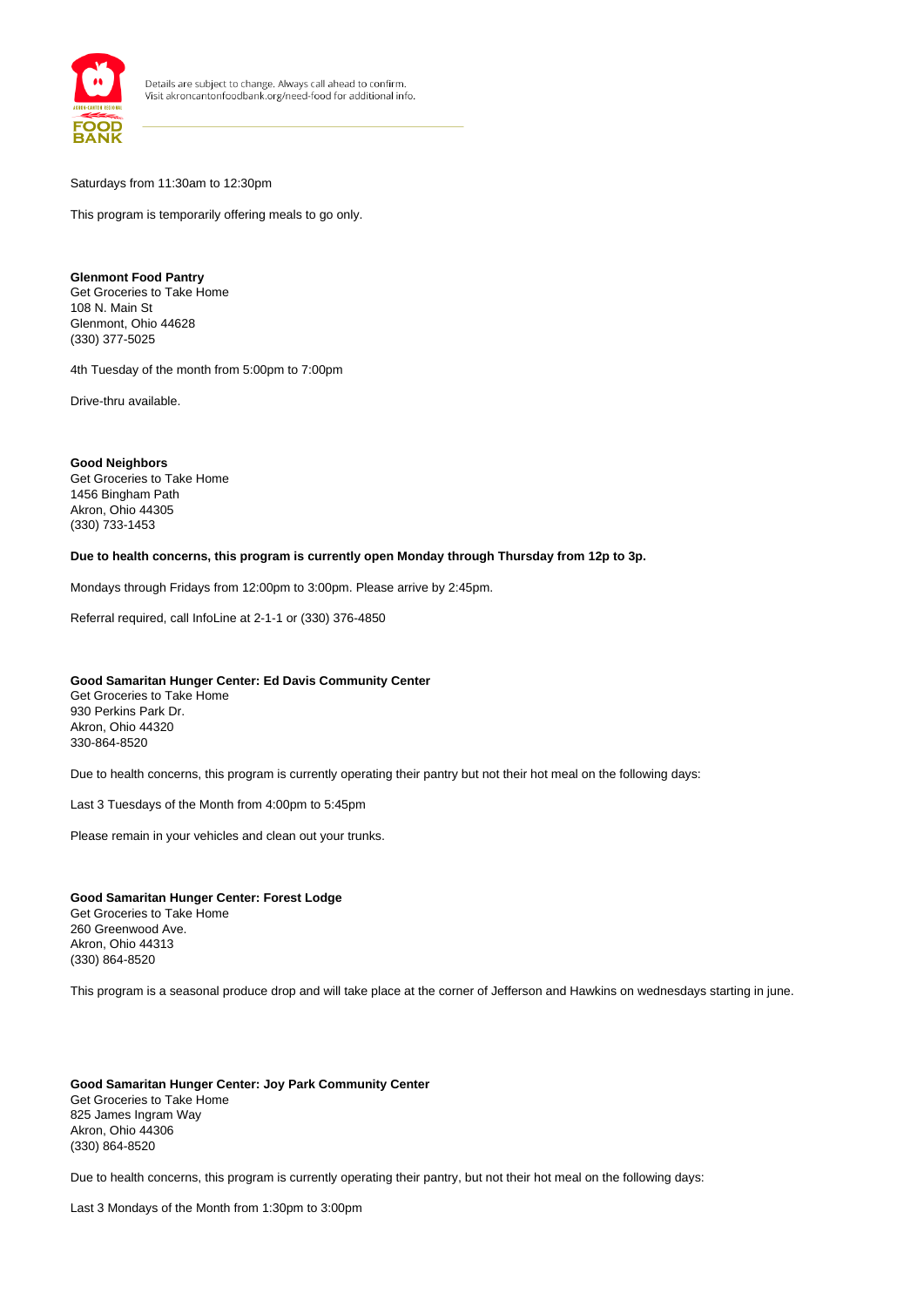

Saturdays from 11:30am to 12:30pm

This program is temporarily offering meals to go only.

## **Glenmont Food Pantry**

Get Groceries to Take Home 108 N. Main St Glenmont, Ohio 44628 (330) 377-5025

4th Tuesday of the month from 5:00pm to 7:00pm

Drive-thru available.

**Good Neighbors** Get Groceries to Take Home 1456 Bingham Path Akron, Ohio 44305 (330) 733-1453

**Due to health concerns, this program is currently open Monday through Thursday from 12p to 3p.**

Mondays through Fridays from 12:00pm to 3:00pm. Please arrive by 2:45pm.

Referral required, call InfoLine at 2-1-1 or (330) 376-4850

#### **Good Samaritan Hunger Center: Ed Davis Community Center**

Get Groceries to Take Home 930 Perkins Park Dr. Akron, Ohio 44320 330-864-8520

Due to health concerns, this program is currently operating their pantry but not their hot meal on the following days:

Last 3 Tuesdays of the Month from 4:00pm to 5:45pm

Please remain in your vehicles and clean out your trunks.

#### **Good Samaritan Hunger Center: Forest Lodge**

Get Groceries to Take Home 260 Greenwood Ave. Akron, Ohio 44313 (330) 864-8520

This program is a seasonal produce drop and will take place at the corner of Jefferson and Hawkins on wednesdays starting in june.

**Good Samaritan Hunger Center: Joy Park Community Center** Get Groceries to Take Home 825 James Ingram Way Akron, Ohio 44306 (330) 864-8520

Due to health concerns, this program is currently operating their pantry, but not their hot meal on the following days:

Last 3 Mondays of the Month from 1:30pm to 3:00pm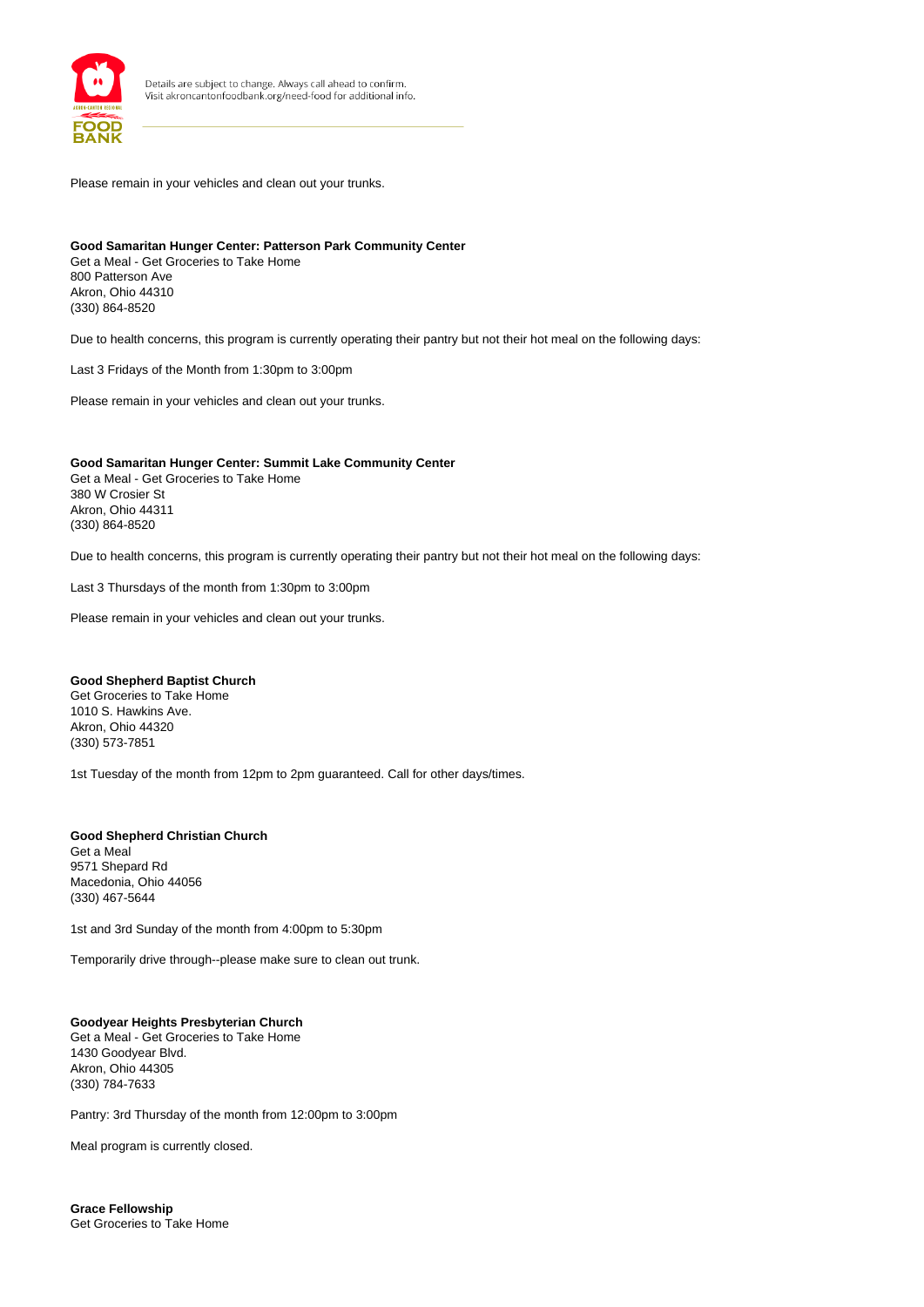

Please remain in your vehicles and clean out your trunks.

#### **Good Samaritan Hunger Center: Patterson Park Community Center** Get a Meal - Get Groceries to Take Home

800 Patterson Ave Akron, Ohio 44310 (330) 864-8520

Due to health concerns, this program is currently operating their pantry but not their hot meal on the following days:

Last 3 Fridays of the Month from 1:30pm to 3:00pm

Please remain in your vehicles and clean out your trunks.

## **Good Samaritan Hunger Center: Summit Lake Community Center**

Get a Meal - Get Groceries to Take Home 380 W Crosier St Akron, Ohio 44311 (330) 864-8520

Due to health concerns, this program is currently operating their pantry but not their hot meal on the following days:

Last 3 Thursdays of the month from 1:30pm to 3:00pm

Please remain in your vehicles and clean out your trunks.

#### **Good Shepherd Baptist Church**

Get Groceries to Take Home 1010 S. Hawkins Ave. Akron, Ohio 44320 (330) 573-7851

1st Tuesday of the month from 12pm to 2pm guaranteed. Call for other days/times.

## **Good Shepherd Christian Church**

Get a Meal 9571 Shepard Rd Macedonia, Ohio 44056 (330) 467-5644

1st and 3rd Sunday of the month from 4:00pm to 5:30pm

Temporarily drive through--please make sure to clean out trunk.

## **Goodyear Heights Presbyterian Church**

Get a Meal - Get Groceries to Take Home 1430 Goodyear Blvd. Akron, Ohio 44305 (330) 784-7633

Pantry: 3rd Thursday of the month from 12:00pm to 3:00pm

Meal program is currently closed.

**Grace Fellowship** Get Groceries to Take Home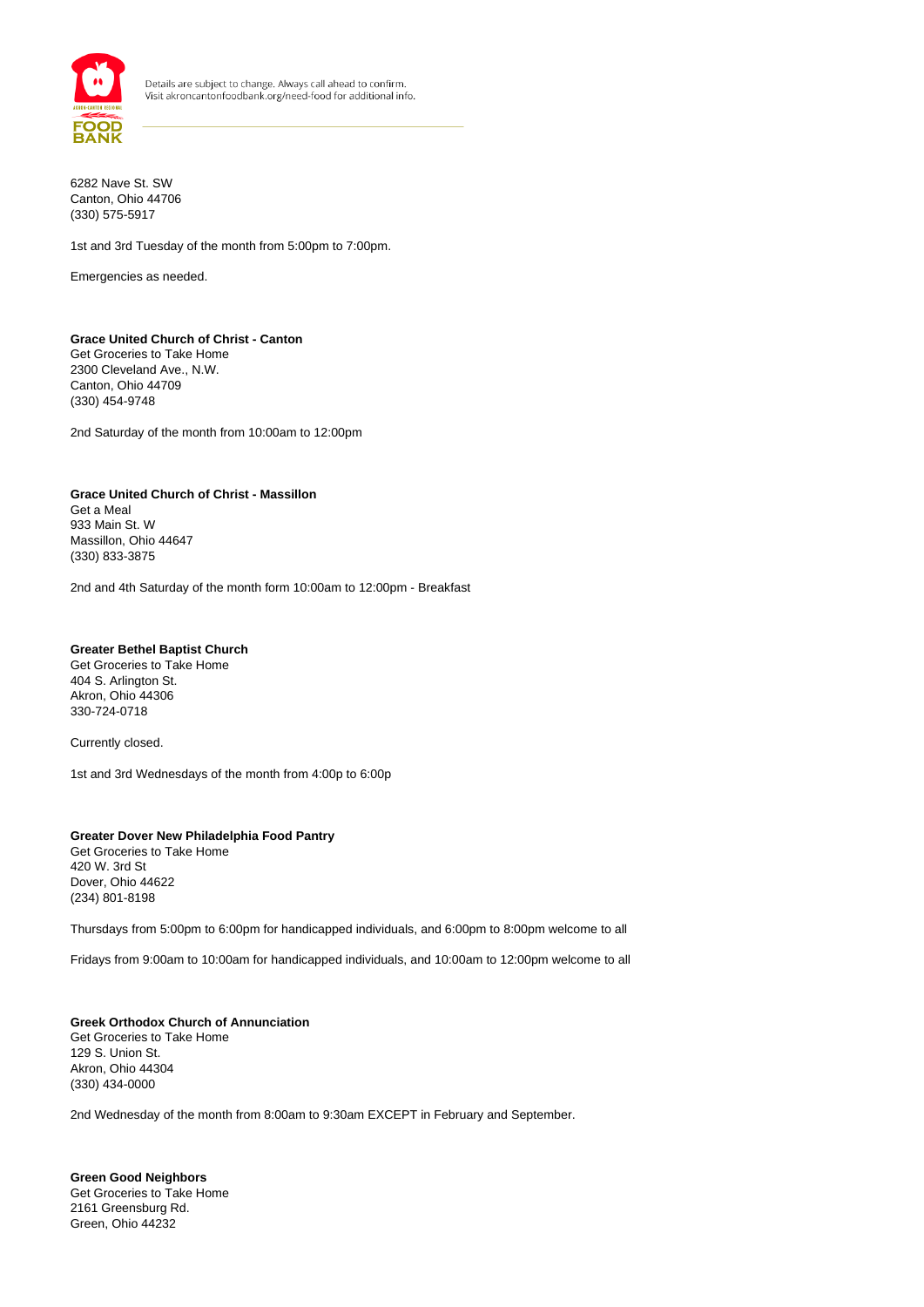

6282 Nave St. SW Canton, Ohio 44706 (330) 575-5917

1st and 3rd Tuesday of the month from 5:00pm to 7:00pm.

Emergencies as needed.

#### **Grace United Church of Christ - Canton** Get Groceries to Take Home 2300 Cleveland Ave., N.W. Canton, Ohio 44709 (330) 454-9748

2nd Saturday of the month from 10:00am to 12:00pm

## **Grace United Church of Christ - Massillon**

Get a Meal 933 Main St. W Massillon, Ohio 44647 (330) 833-3875

2nd and 4th Saturday of the month form 10:00am to 12:00pm - Breakfast

#### **Greater Bethel Baptist Church**

Get Groceries to Take Home 404 S. Arlington St. Akron, Ohio 44306 330-724-0718

Currently closed.

1st and 3rd Wednesdays of the month from 4:00p to 6:00p

#### **Greater Dover New Philadelphia Food Pantry** Get Groceries to Take Home 420 W. 3rd St Dover, Ohio 44622 (234) 801-8198

Thursdays from 5:00pm to 6:00pm for handicapped individuals, and 6:00pm to 8:00pm welcome to all

Fridays from 9:00am to 10:00am for handicapped individuals, and 10:00am to 12:00pm welcome to all

#### **Greek Orthodox Church of Annunciation** Get Groceries to Take Home 129 S. Union St. Akron, Ohio 44304 (330) 434-0000

2nd Wednesday of the month from 8:00am to 9:30am EXCEPT in February and September.

**Green Good Neighbors** Get Groceries to Take Home 2161 Greensburg Rd. Green, Ohio 44232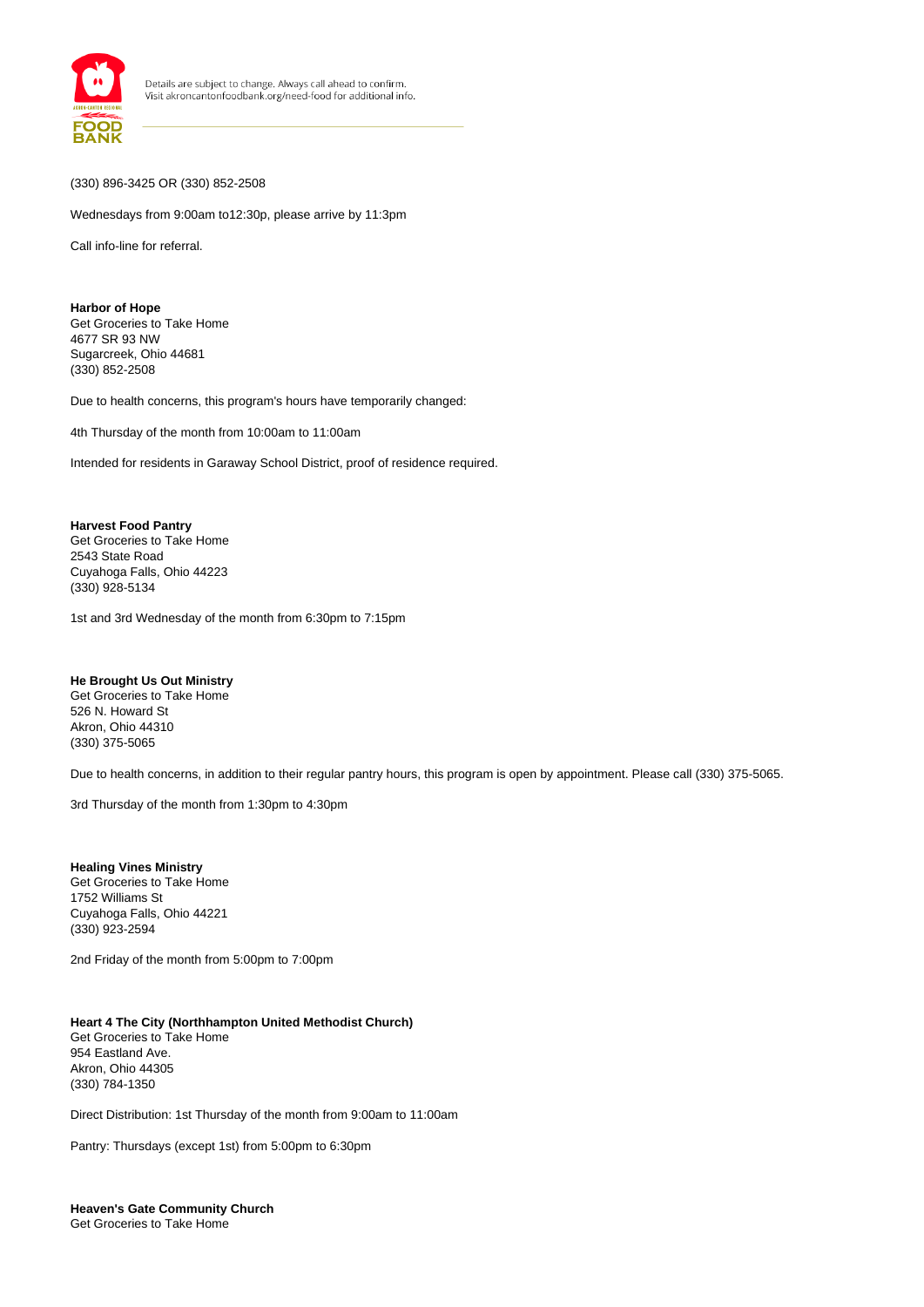

### (330) 896-3425 OR (330) 852-2508

Wednesdays from 9:00am to12:30p, please arrive by 11:3pm

Call info-line for referral.

**Harbor of Hope** Get Groceries to Take Home 4677 SR 93 NW Sugarcreek, Ohio 44681 (330) 852-2508

Due to health concerns, this program's hours have temporarily changed:

4th Thursday of the month from 10:00am to 11:00am

Intended for residents in Garaway School District, proof of residence required.

#### **Harvest Food Pantry**

Get Groceries to Take Home 2543 State Road Cuyahoga Falls, Ohio 44223 (330) 928-5134

1st and 3rd Wednesday of the month from 6:30pm to 7:15pm

#### **He Brought Us Out Ministry**

Get Groceries to Take Home 526 N. Howard St Akron, Ohio 44310 (330) 375-5065

Due to health concerns, in addition to their regular pantry hours, this program is open by appointment. Please call (330) 375-5065.

3rd Thursday of the month from 1:30pm to 4:30pm

**Healing Vines Ministry** Get Groceries to Take Home 1752 Williams St Cuyahoga Falls, Ohio 44221 (330) 923-2594

2nd Friday of the month from 5:00pm to 7:00pm

#### **Heart 4 The City (Northhampton United Methodist Church)**  Get Groceries to Take Home 954 Eastland Ave. Akron, Ohio 44305 (330) 784-1350

Direct Distribution: 1st Thursday of the month from 9:00am to 11:00am

Pantry: Thursdays (except 1st) from 5:00pm to 6:30pm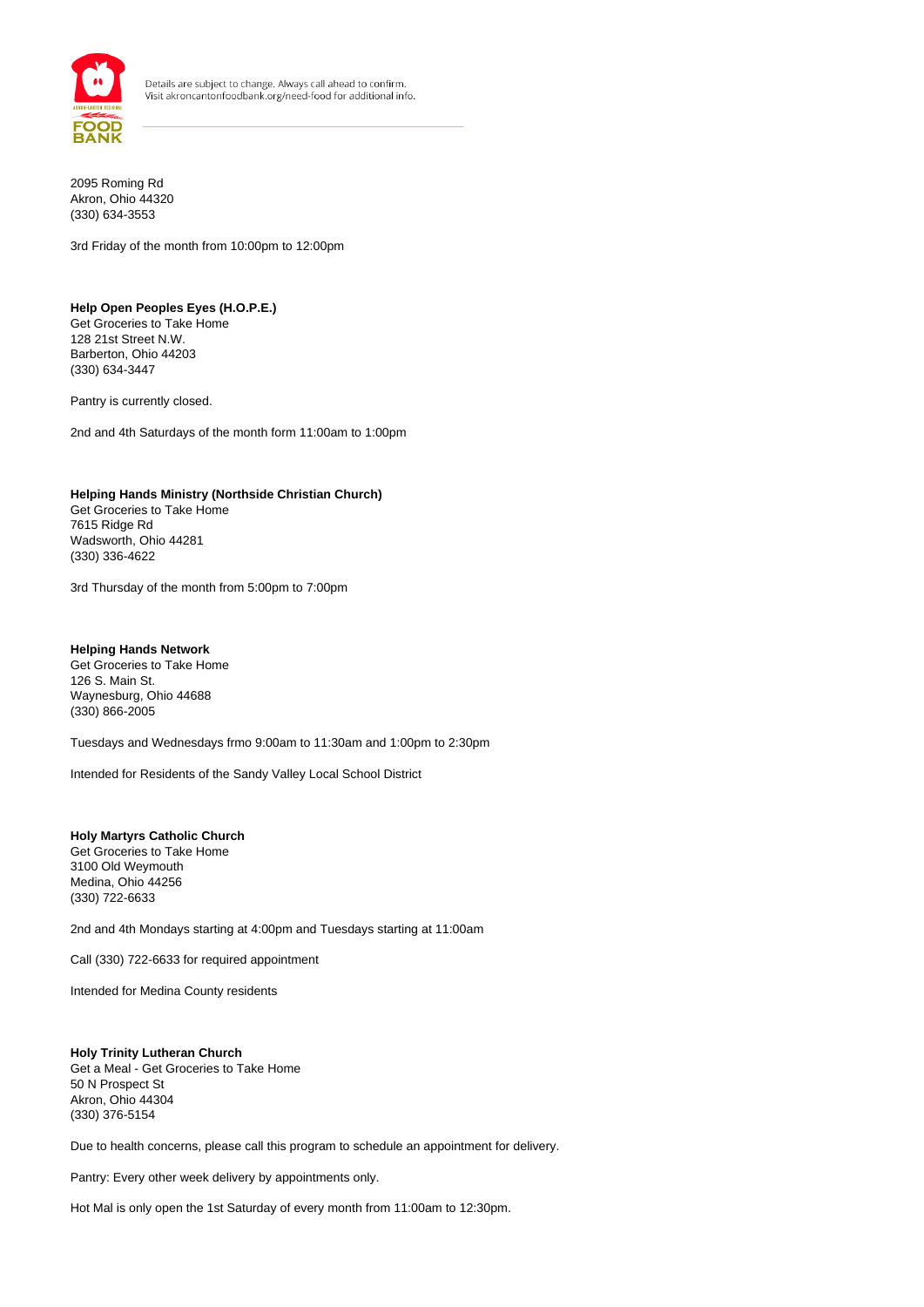

2095 Roming Rd Akron, Ohio 44320 (330) 634-3553

3rd Friday of the month from 10:00pm to 12:00pm

#### **Help Open Peoples Eyes (H.O.P.E.)**

Get Groceries to Take Home 128 21st Street N.W. Barberton, Ohio 44203 (330) 634-3447

Pantry is currently closed.

2nd and 4th Saturdays of the month form 11:00am to 1:00pm

### **Helping Hands Ministry (Northside Christian Church)**

Get Groceries to Take Home 7615 Ridge Rd Wadsworth, Ohio 44281 (330) 336-4622

3rd Thursday of the month from 5:00pm to 7:00pm

#### **Helping Hands Network**

Get Groceries to Take Home 126 S. Main St. Waynesburg, Ohio 44688 (330) 866-2005

Tuesdays and Wednesdays frmo 9:00am to 11:30am and 1:00pm to 2:30pm

Intended for Residents of the Sandy Valley Local School District

#### **Holy Martyrs Catholic Church** Get Groceries to Take Home 3100 Old Weymouth Medina, Ohio 44256

(330) 722-6633

2nd and 4th Mondays starting at 4:00pm and Tuesdays starting at 11:00am

Call (330) 722-6633 for required appointment

Intended for Medina County residents

#### **Holy Trinity Lutheran Church**

Get a Meal - Get Groceries to Take Home 50 N Prospect St Akron, Ohio 44304 (330) 376-5154

Due to health concerns, please call this program to schedule an appointment for delivery.

Pantry: Every other week delivery by appointments only.

Hot Mal is only open the 1st Saturday of every month from 11:00am to 12:30pm.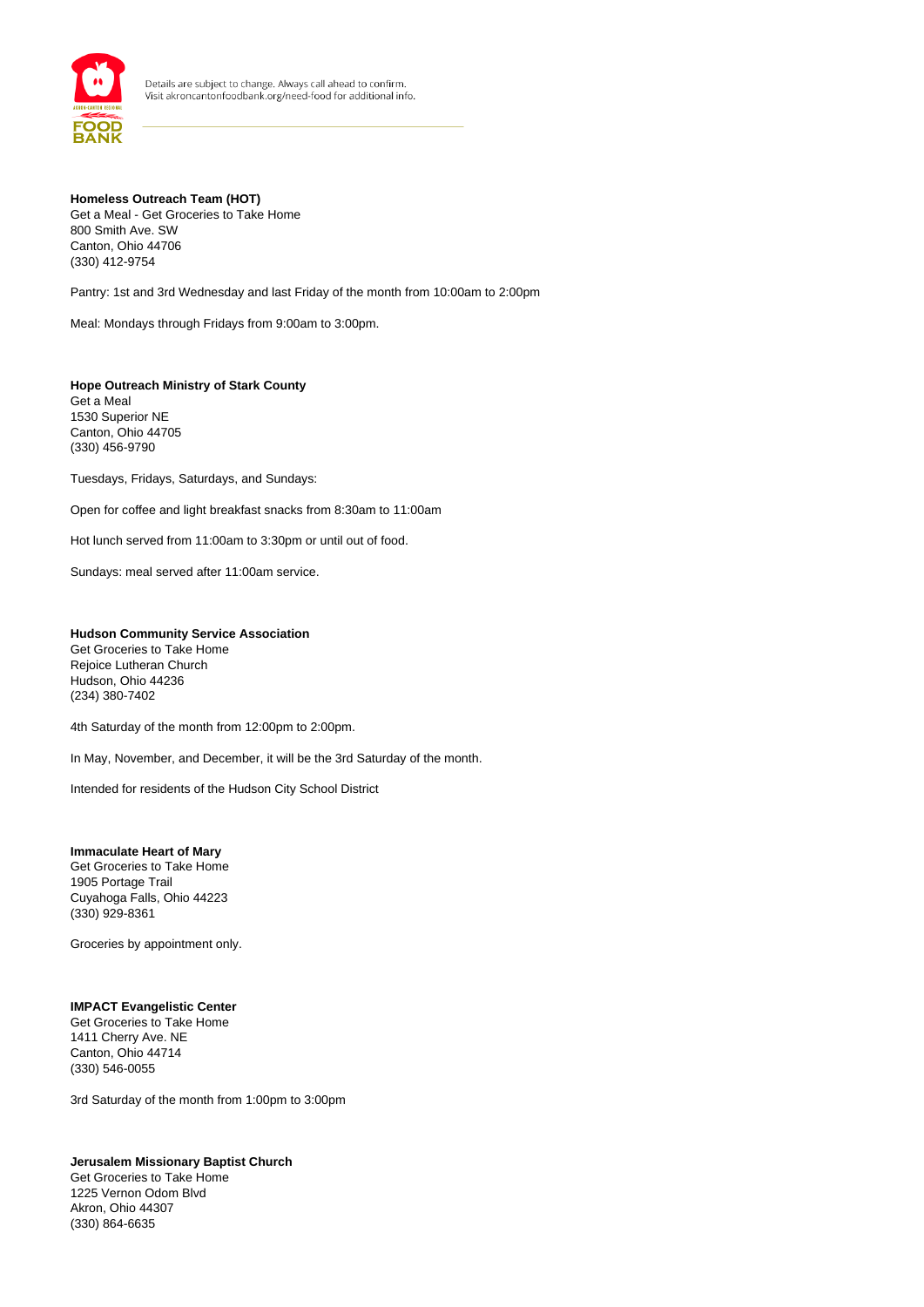

## **Homeless Outreach Team (HOT)** Get a Meal - Get Groceries to Take Home 800 Smith Ave. SW Canton, Ohio 44706 (330) 412-9754

Pantry: 1st and 3rd Wednesday and last Friday of the month from 10:00am to 2:00pm

Meal: Mondays through Fridays from 9:00am to 3:00pm.

**Hope Outreach Ministry of Stark County** Get a Meal 1530 Superior NE Canton, Ohio 44705 (330) 456-9790

Tuesdays, Fridays, Saturdays, and Sundays:

Open for coffee and light breakfast snacks from 8:30am to 11:00am

Hot lunch served from 11:00am to 3:30pm or until out of food.

Sundays: meal served after 11:00am service.

## **Hudson Community Service Association** Get Groceries to Take Home

Rejoice Lutheran Church Hudson, Ohio 44236 (234) 380-7402

4th Saturday of the month from 12:00pm to 2:00pm.

In May, November, and December, it will be the 3rd Saturday of the month.

Intended for residents of the Hudson City School District

#### **Immaculate Heart of Mary**

Get Groceries to Take Home 1905 Portage Trail Cuyahoga Falls, Ohio 44223 (330) 929-8361

Groceries by appointment only.

## **IMPACT Evangelistic Center**

Get Groceries to Take Home 1411 Cherry Ave. NE Canton, Ohio 44714 (330) 546-0055

3rd Saturday of the month from 1:00pm to 3:00pm

## **Jerusalem Missionary Baptist Church**

Get Groceries to Take Home 1225 Vernon Odom Blvd Akron, Ohio 44307 (330) 864-6635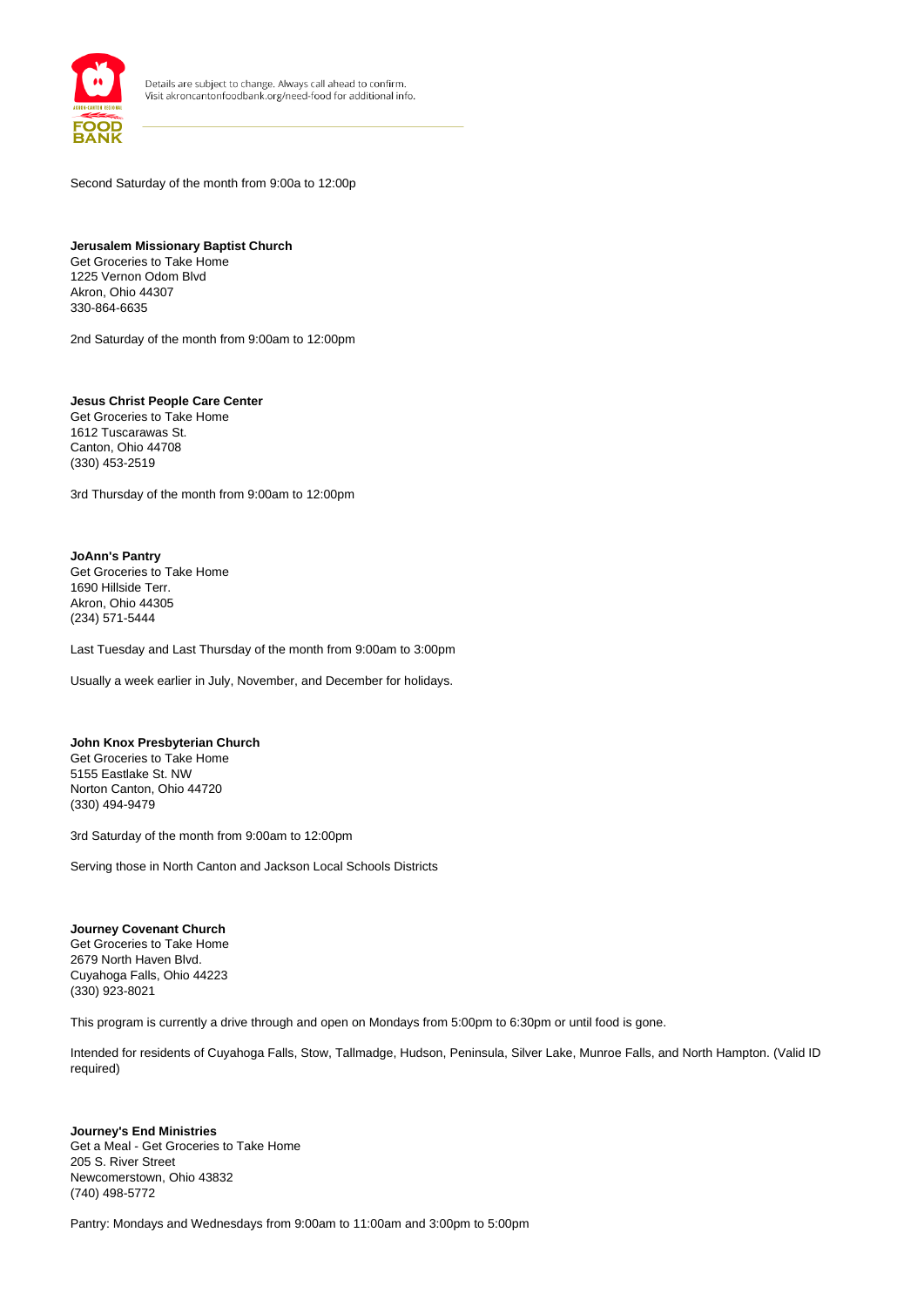

Second Saturday of the month from 9:00a to 12:00p

**Jerusalem Missionary Baptist Church** Get Groceries to Take Home 1225 Vernon Odom Blvd Akron, Ohio 44307 330-864-6635

2nd Saturday of the month from 9:00am to 12:00pm

**Jesus Christ People Care Center** Get Groceries to Take Home 1612 Tuscarawas St. Canton, Ohio 44708 (330) 453-2519

3rd Thursday of the month from 9:00am to 12:00pm

**JoAnn's Pantry** Get Groceries to Take Home 1690 Hillside Terr. Akron, Ohio 44305 (234) 571-5444

Last Tuesday and Last Thursday of the month from 9:00am to 3:00pm

Usually a week earlier in July, November, and December for holidays.

#### **John Knox Presbyterian Church**

Get Groceries to Take Home 5155 Eastlake St. NW Norton Canton, Ohio 44720 (330) 494-9479

3rd Saturday of the month from 9:00am to 12:00pm

Serving those in North Canton and Jackson Local Schools Districts

**Journey Covenant Church** Get Groceries to Take Home 2679 North Haven Blvd. Cuyahoga Falls, Ohio 44223 (330) 923-8021

This program is currently a drive through and open on Mondays from 5:00pm to 6:30pm or until food is gone.

Intended for residents of Cuyahoga Falls, Stow, Tallmadge, Hudson, Peninsula, Silver Lake, Munroe Falls, and North Hampton. (Valid ID required)

**Journey's End Ministries** Get a Meal - Get Groceries to Take Home 205 S. River Street Newcomerstown, Ohio 43832 (740) 498-5772

Pantry: Mondays and Wednesdays from 9:00am to 11:00am and 3:00pm to 5:00pm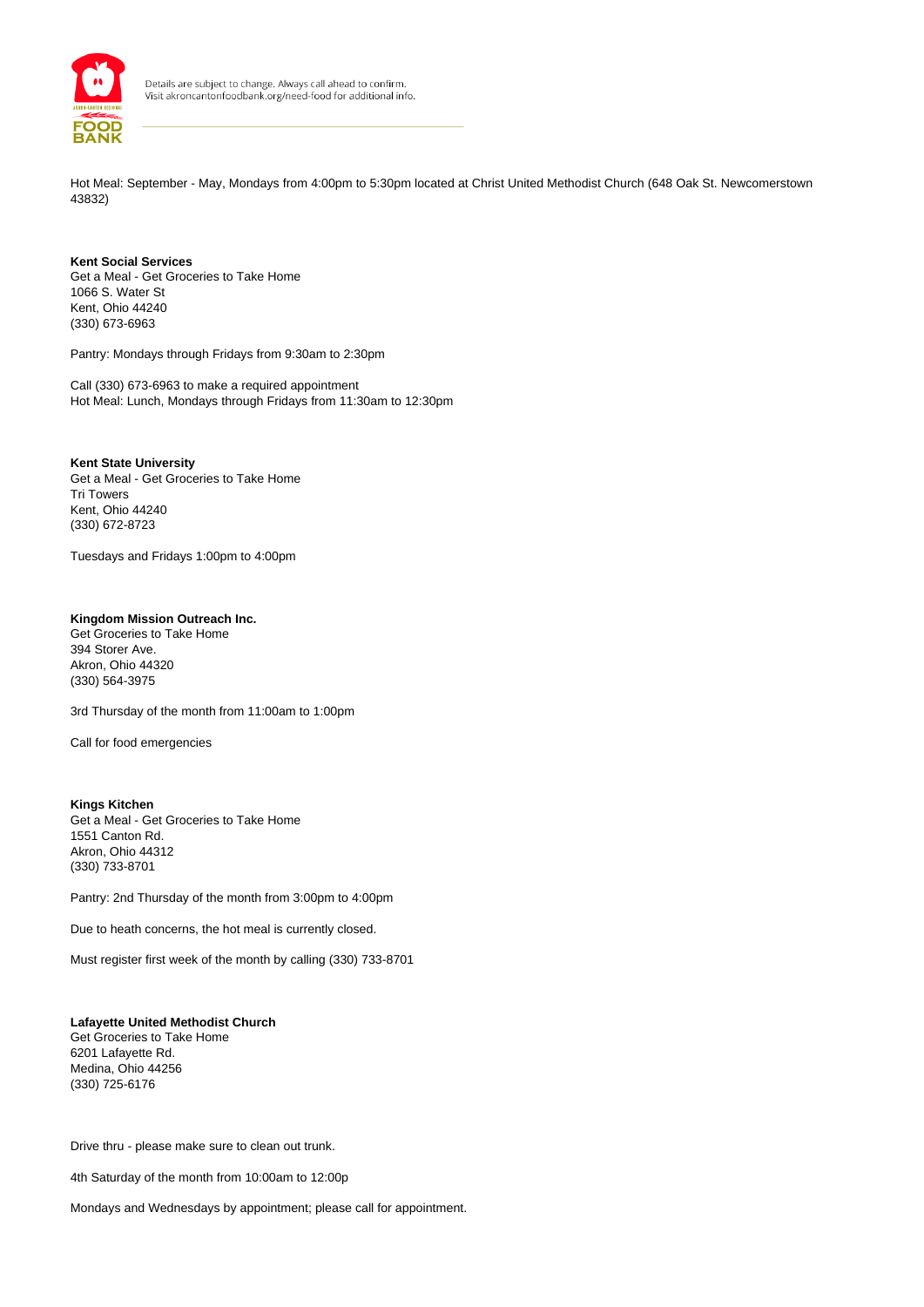

Hot Meal: September - May, Mondays from 4:00pm to 5:30pm located at Christ United Methodist Church (648 Oak St. Newcomerstown 43832)

#### **Kent Social Services** Get a Meal - Get Groceries to Take Home 1066 S. Water St Kent, Ohio 44240 (330) 673-6963

Pantry: Mondays through Fridays from 9:30am to 2:30pm

Call (330) 673-6963 to make a required appointment Hot Meal: Lunch, Mondays through Fridays from 11:30am to 12:30pm

## **Kent State University**

Get a Meal - Get Groceries to Take Home Tri Towers Kent, Ohio 44240 (330) 672-8723

Tuesdays and Fridays 1:00pm to 4:00pm

## **Kingdom Mission Outreach Inc.**

Get Groceries to Take Home 394 Storer Ave. Akron, Ohio 44320 (330) 564-3975

3rd Thursday of the month from 11:00am to 1:00pm

Call for food emergencies

#### **Kings Kitchen**

Get a Meal - Get Groceries to Take Home 1551 Canton Rd. Akron, Ohio 44312 (330) 733-8701

Pantry: 2nd Thursday of the month from 3:00pm to 4:00pm

Due to heath concerns, the hot meal is currently closed.

Must register first week of the month by calling (330) 733-8701

#### **Lafayette United Methodist Church**

Get Groceries to Take Home 6201 Lafayette Rd. Medina, Ohio 44256 (330) 725-6176

Drive thru - please make sure to clean out trunk.

4th Saturday of the month from 10:00am to 12:00p

Mondays and Wednesdays by appointment; please call for appointment.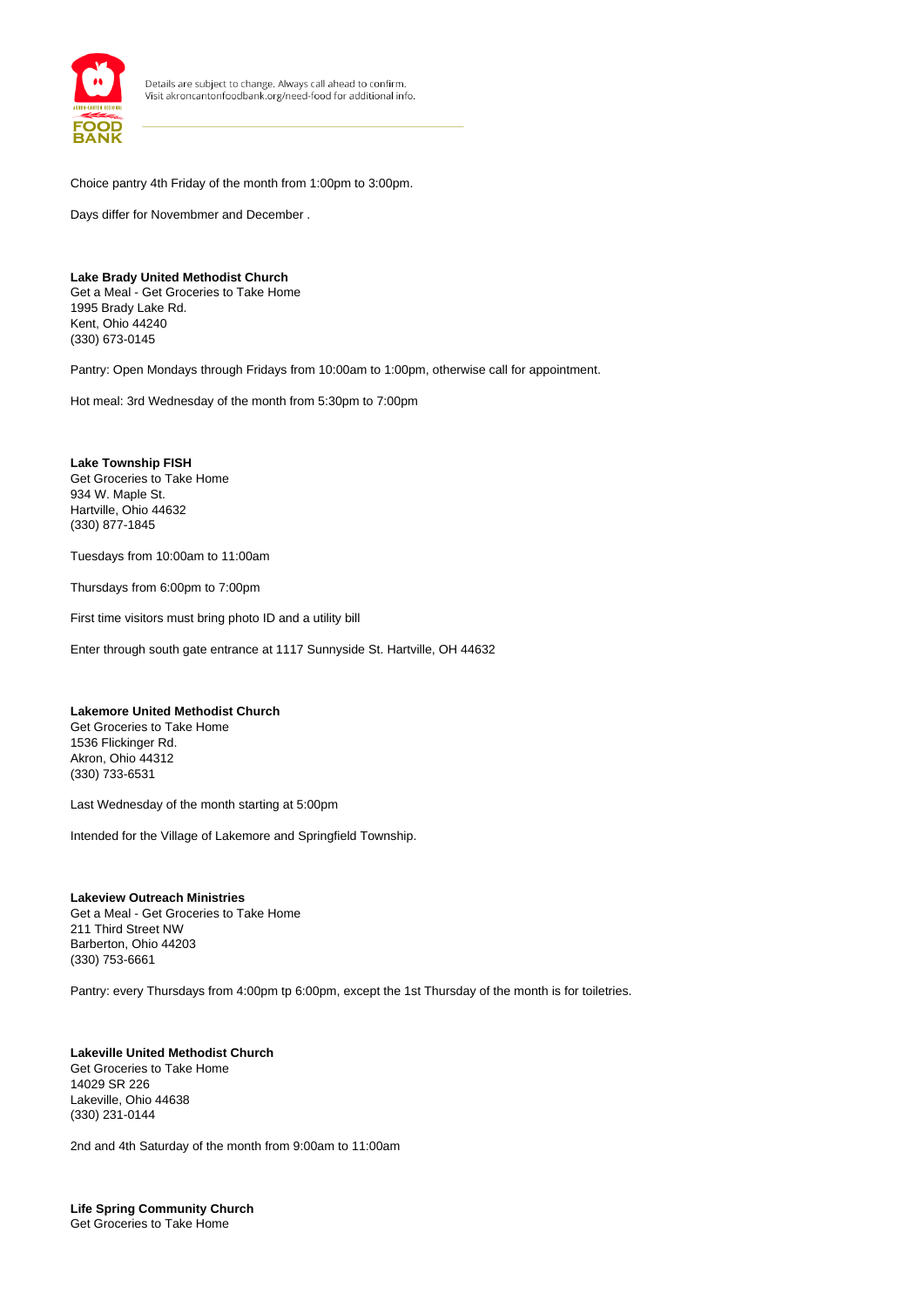

Choice pantry 4th Friday of the month from 1:00pm to 3:00pm.

Days differ for Novembmer and December .

## **Lake Brady United Methodist Church**

Get a Meal - Get Groceries to Take Home 1995 Brady Lake Rd. Kent, Ohio 44240 (330) 673-0145

Pantry: Open Mondays through Fridays from 10:00am to 1:00pm, otherwise call for appointment.

Hot meal: 3rd Wednesday of the month from 5:30pm to 7:00pm

**Lake Township FISH** Get Groceries to Take Home 934 W. Maple St. Hartville, Ohio 44632 (330) 877-1845

Tuesdays from 10:00am to 11:00am

Thursdays from 6:00pm to 7:00pm

First time visitors must bring photo ID and a utility bill

Enter through south gate entrance at 1117 Sunnyside St. Hartville, OH 44632

## **Lakemore United Methodist Church**

Get Groceries to Take Home 1536 Flickinger Rd. Akron, Ohio 44312 (330) 733-6531

Last Wednesday of the month starting at 5:00pm

Intended for the Village of Lakemore and Springfield Township.

#### **Lakeview Outreach Ministries** Get a Meal - Get Groceries to Take Home 211 Third Street NW Barberton, Ohio 44203 (330) 753-6661

Pantry: every Thursdays from 4:00pm tp 6:00pm, except the 1st Thursday of the month is for toiletries.

#### **Lakeville United Methodist Church** Get Groceries to Take Home 14029 SR 226 Lakeville, Ohio 44638 (330) 231-0144

2nd and 4th Saturday of the month from 9:00am to 11:00am

**Life Spring Community Church** Get Groceries to Take Home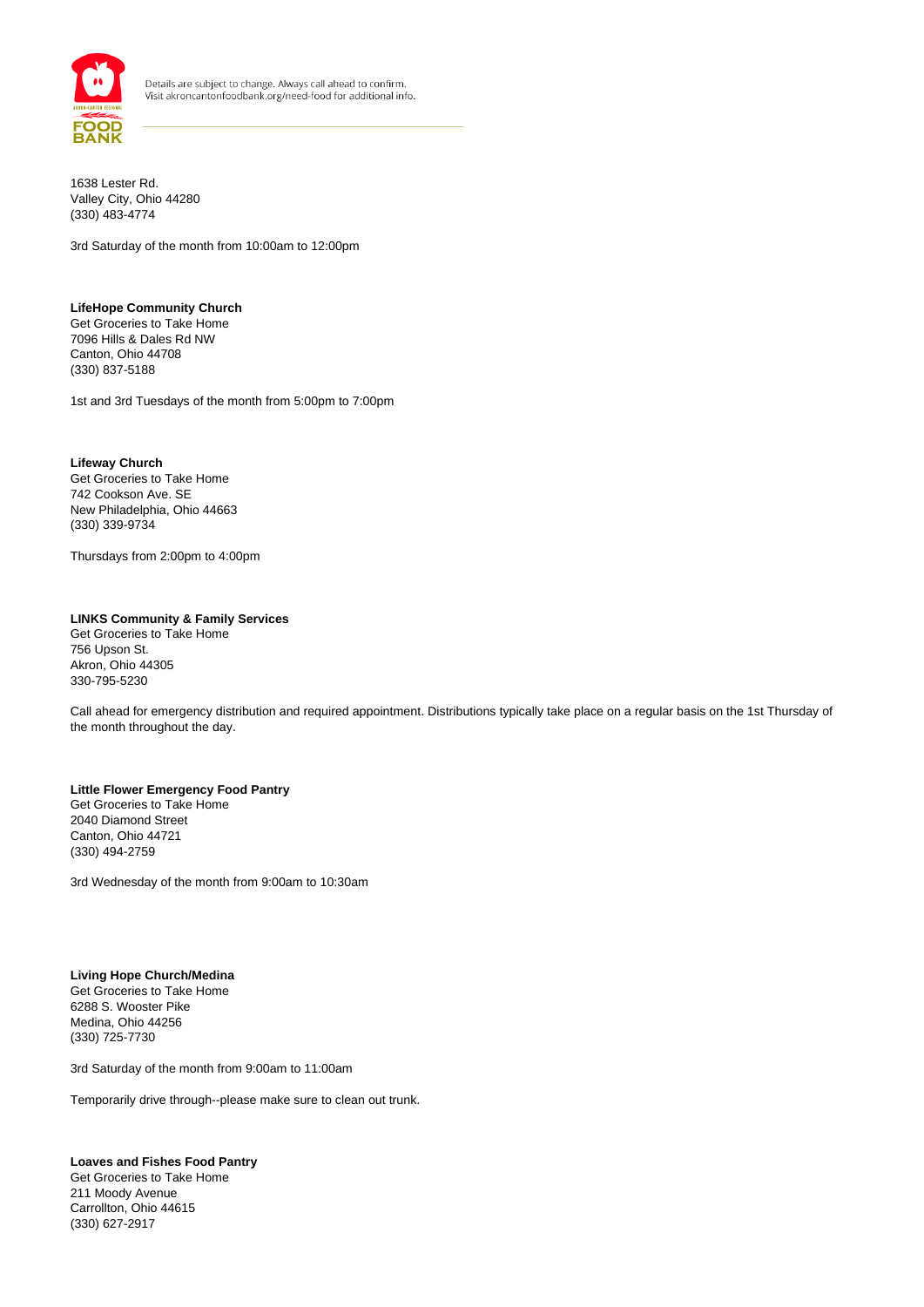

1638 Lester Rd. Valley City, Ohio 44280 (330) 483-4774

3rd Saturday of the month from 10:00am to 12:00pm

#### **LifeHope Community Church** Get Groceries to Take Home 7096 Hills & Dales Rd NW Canton, Ohio 44708 (330) 837-5188

1st and 3rd Tuesdays of the month from 5:00pm to 7:00pm

**Lifeway Church** Get Groceries to Take Home 742 Cookson Ave. SE New Philadelphia, Ohio 44663 (330) 339-9734

Thursdays from 2:00pm to 4:00pm

#### **LINKS Community & Family Services**

Get Groceries to Take Home 756 Upson St. Akron, Ohio 44305 330-795-5230

Call ahead for emergency distribution and required appointment. Distributions typically take place on a regular basis on the 1st Thursday of the month throughout the day.

#### **Little Flower Emergency Food Pantry** Get Groceries to Take Home 2040 Diamond Street Canton, Ohio 44721

3rd Wednesday of the month from 9:00am to 10:30am

## **Living Hope Church/Medina**

(330) 494-2759

Get Groceries to Take Home 6288 S. Wooster Pike Medina, Ohio 44256 (330) 725-7730

3rd Saturday of the month from 9:00am to 11:00am

Temporarily drive through--please make sure to clean out trunk.

## **Loaves and Fishes Food Pantry**

Get Groceries to Take Home 211 Moody Avenue Carrollton, Ohio 44615 (330) 627-2917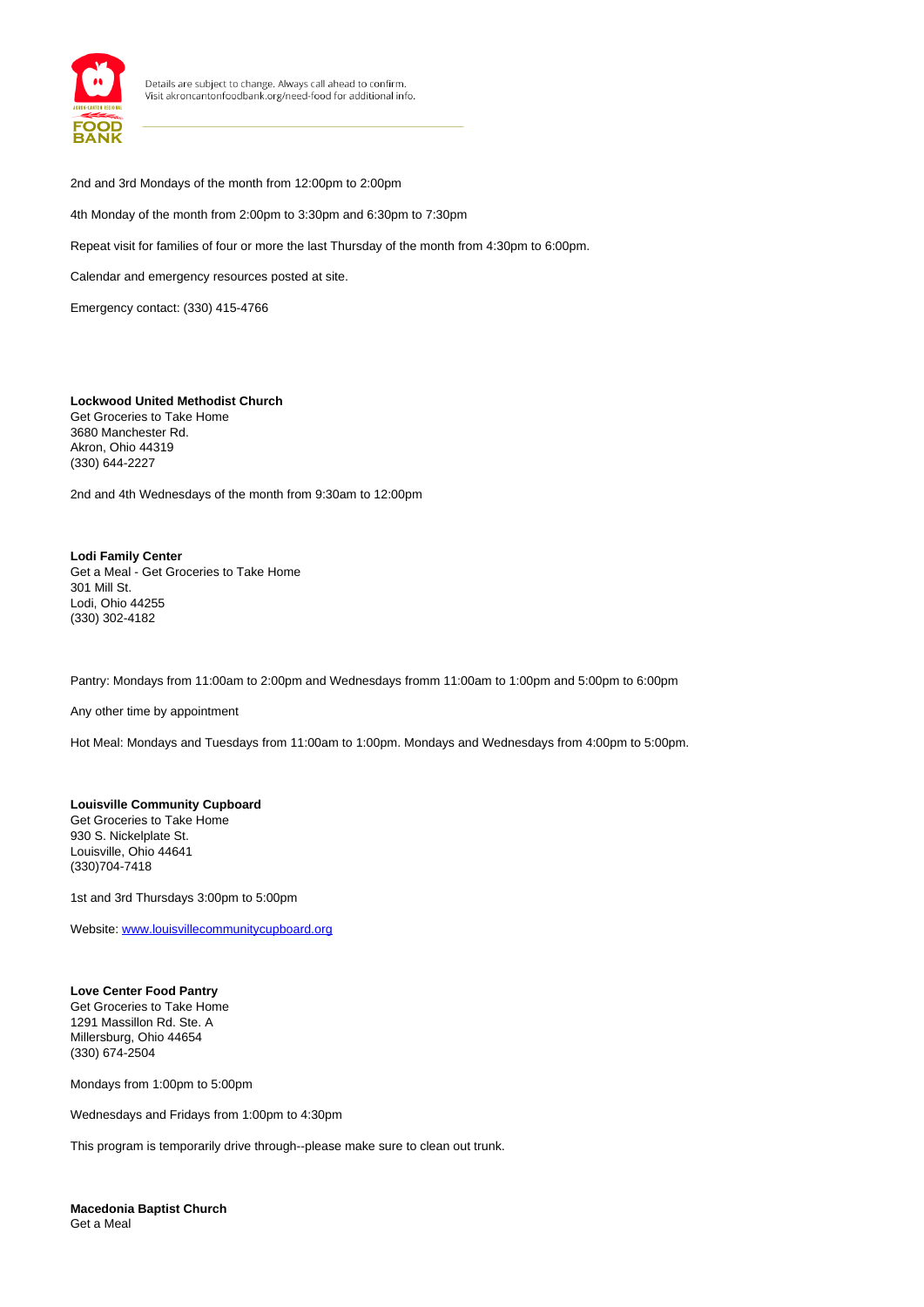

2nd and 3rd Mondays of the month from 12:00pm to 2:00pm

4th Monday of the month from 2:00pm to 3:30pm and 6:30pm to 7:30pm

Repeat visit for families of four or more the last Thursday of the month from 4:30pm to 6:00pm.

Calendar and emergency resources posted at site.

Emergency contact: (330) 415-4766

#### **Lockwood United Methodist Church**

Get Groceries to Take Home 3680 Manchester Rd. Akron, Ohio 44319 (330) 644-2227

2nd and 4th Wednesdays of the month from 9:30am to 12:00pm

#### **Lodi Family Center** Get a Meal - Get Groceries to Take Home 301 Mill St. Lodi, Ohio 44255 (330) 302-4182

Pantry: Mondays from 11:00am to 2:00pm and Wednesdays fromm 11:00am to 1:00pm and 5:00pm to 6:00pm

Any other time by appointment

Hot Meal: Mondays and Tuesdays from 11:00am to 1:00pm. Mondays and Wednesdays from 4:00pm to 5:00pm.

### **Louisville Community Cupboard** Get Groceries to Take Home 930 S. Nickelplate St. Louisville, Ohio 44641 (330)704-7418

1st and 3rd Thursdays 3:00pm to 5:00pm

Website: www.louisvillecommunitycupboard.org

## **Love Center Food Pantry**

Get Groceries to Take Home 1291 Massillon Rd. Ste. A Millersburg, Ohio 44654 (330) 674-2504

Mondays from 1:00pm to 5:00pm

Wednesdays and Fridays from 1:00pm to 4:30pm

This program is temporarily drive through--please make sure to clean out trunk.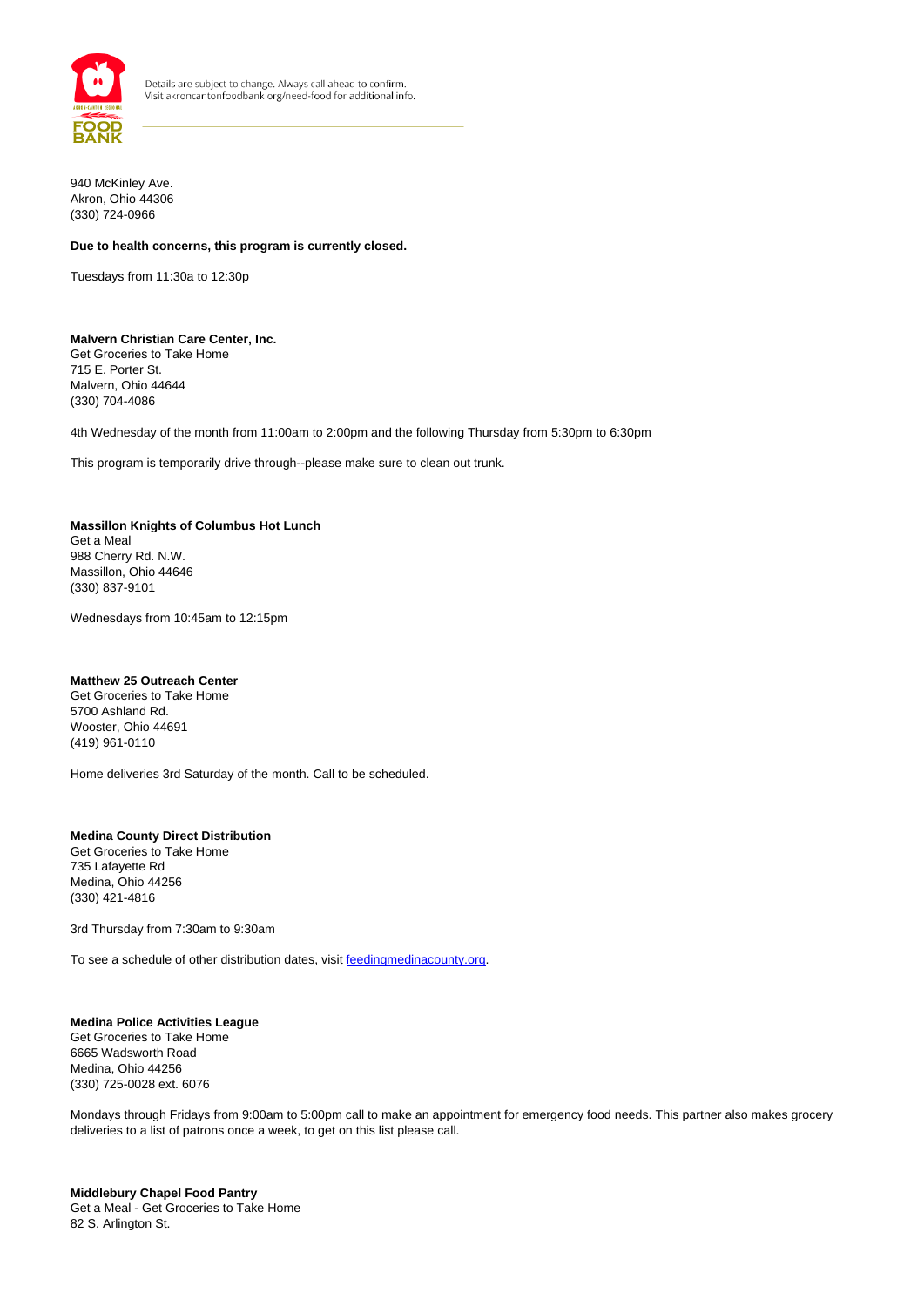

940 McKinley Ave. Akron, Ohio 44306 (330) 724-0966

## **Due to health concerns, this program is currently closed.**

Tuesdays from 11:30a to 12:30p

#### **Malvern Christian Care Center, Inc.** Get Groceries to Take Home 715 E. Porter St.

Malvern, Ohio 44644 (330) 704-4086

4th Wednesday of the month from 11:00am to 2:00pm and the following Thursday from 5:30pm to 6:30pm

This program is temporarily drive through--please make sure to clean out trunk.

## **Massillon Knights of Columbus Hot Lunch** Get a Meal

988 Cherry Rd. N.W. Massillon, Ohio 44646 (330) 837-9101

Wednesdays from 10:45am to 12:15pm

#### **Matthew 25 Outreach Center**

Get Groceries to Take Home 5700 Ashland Rd. Wooster, Ohio 44691 (419) 961-0110

Home deliveries 3rd Saturday of the month. Call to be scheduled.

## **Medina County Direct Distribution**

Get Groceries to Take Home 735 Lafayette Rd Medina, Ohio 44256 (330) 421-4816

3rd Thursday from 7:30am to 9:30am

To see a schedule of other distribution dates, visit feedingmedinacounty.org.

## **Medina Police Activities League**

Get Groceries to Take Home 6665 Wadsworth Road Medina, Ohio 44256 (330) 725-0028 ext. 6076

Mondays through Fridays from 9:00am to 5:00pm call to make an appointment for emergency food needs. This partner also makes grocery deliveries to a list of patrons once a week, to get on this list please call.

#### **Middlebury Chapel Food Pantry** Get a Meal - Get Groceries to Take Home 82 S. Arlington St.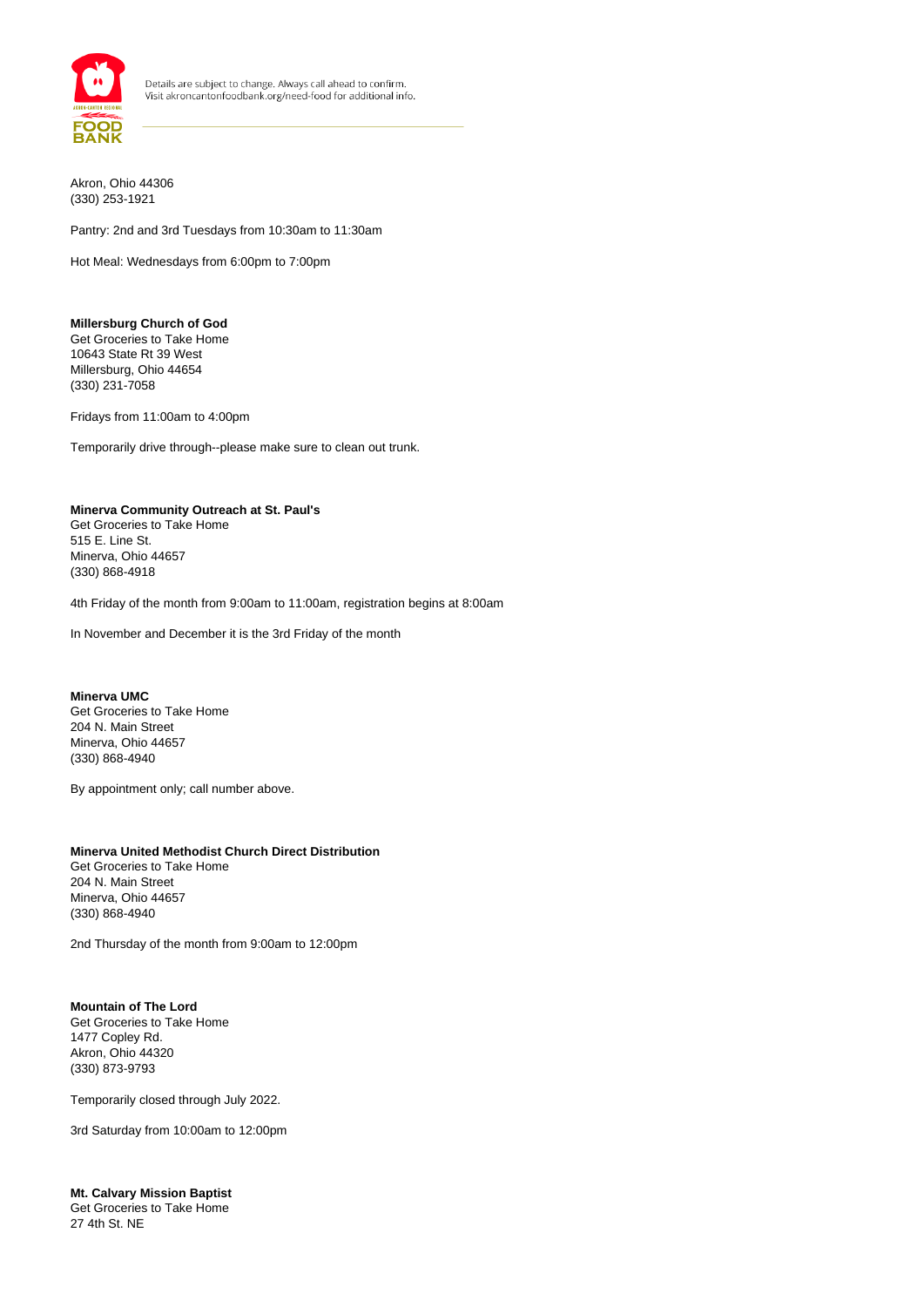

Akron, Ohio 44306 (330) 253-1921

Pantry: 2nd and 3rd Tuesdays from 10:30am to 11:30am

Hot Meal: Wednesdays from 6:00pm to 7:00pm

**Millersburg Church of God** Get Groceries to Take Home 10643 State Rt 39 West Millersburg, Ohio 44654 (330) 231-7058

Fridays from 11:00am to 4:00pm

Temporarily drive through--please make sure to clean out trunk.

#### **Minerva Community Outreach at St. Paul's**

Get Groceries to Take Home 515 E. Line St. Minerva, Ohio 44657 (330) 868-4918

4th Friday of the month from 9:00am to 11:00am, registration begins at 8:00am

In November and December it is the 3rd Friday of the month

## **Minerva UMC**

Get Groceries to Take Home 204 N. Main Street Minerva, Ohio 44657 (330) 868-4940

By appointment only; call number above.

#### **Minerva United Methodist Church Direct Distribution**

Get Groceries to Take Home 204 N. Main Street Minerva, Ohio 44657 (330) 868-4940

2nd Thursday of the month from 9:00am to 12:00pm

#### **Mountain of The Lord** Get Groceries to Take Home 1477 Copley Rd. Akron, Ohio 44320 (330) 873-9793

Temporarily closed through July 2022.

3rd Saturday from 10:00am to 12:00pm

**Mt. Calvary Mission Baptist** Get Groceries to Take Home 27 4th St. NE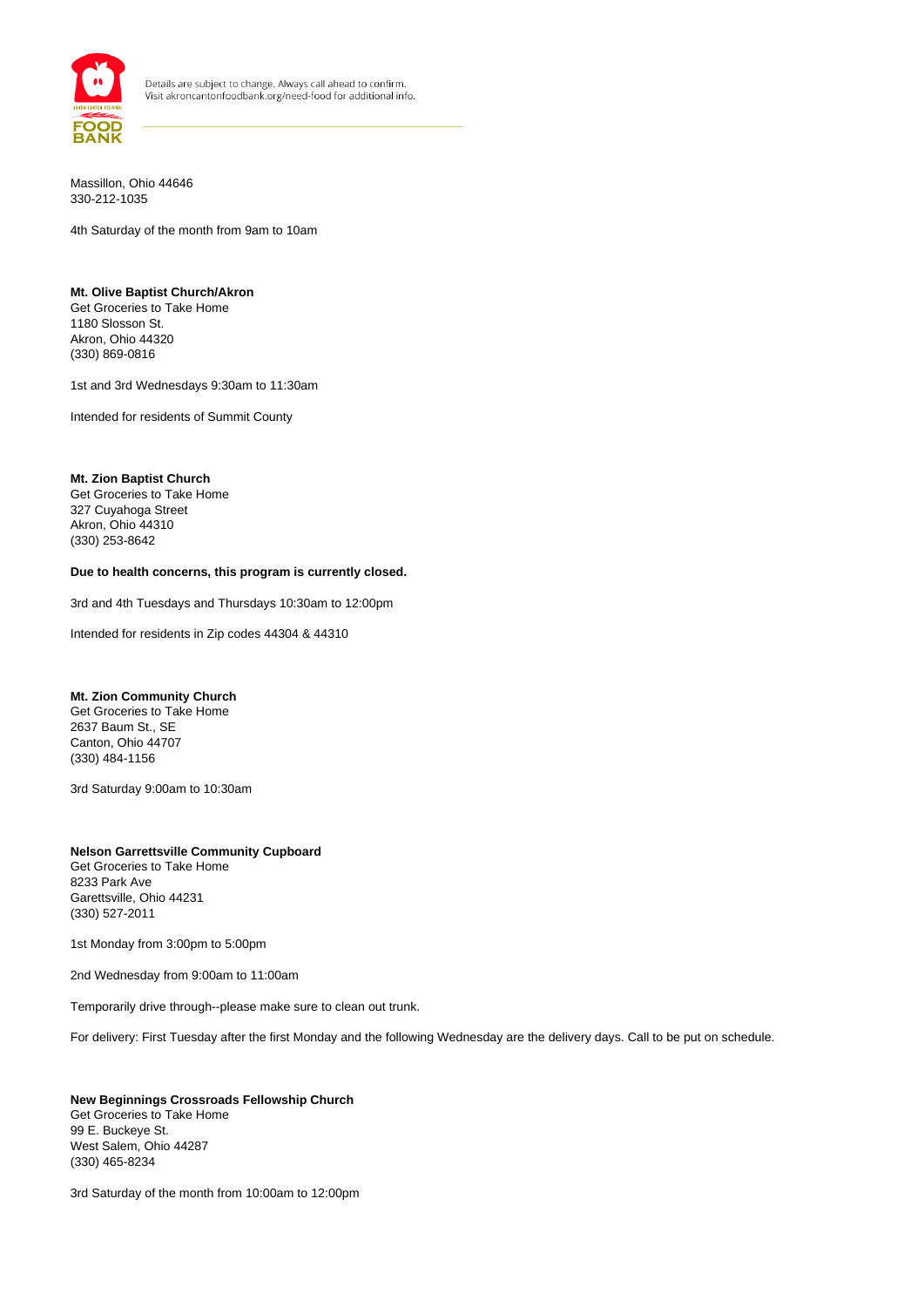

Massillon, Ohio 44646 330-212-1035

4th Saturday of the month from 9am to 10am

### **Mt. Olive Baptist Church/Akron**

Get Groceries to Take Home 1180 Slosson St. Akron, Ohio 44320 (330) 869-0816

1st and 3rd Wednesdays 9:30am to 11:30am

Intended for residents of Summit County

#### **Mt. Zion Baptist Church**

Get Groceries to Take Home 327 Cuyahoga Street Akron, Ohio 44310 (330) 253-8642

#### **Due to health concerns, this program is currently closed.**

3rd and 4th Tuesdays and Thursdays 10:30am to 12:00pm

Intended for residents in Zip codes 44304 & 44310

#### **Mt. Zion Community Church**

Get Groceries to Take Home 2637 Baum St., SE Canton, Ohio 44707 (330) 484-1156

3rd Saturday 9:00am to 10:30am

#### **Nelson Garrettsville Community Cupboard** Get Groceries to Take Home 8233 Park Ave Garettsville, Ohio 44231 (330) 527-2011

1st Monday from 3:00pm to 5:00pm

2nd Wednesday from 9:00am to 11:00am

Temporarily drive through--please make sure to clean out trunk.

For delivery: First Tuesday after the first Monday and the following Wednesday are the delivery days. Call to be put on schedule.

#### **New Beginnings Crossroads Fellowship Church** Get Groceries to Take Home 99 E. Buckeye St. West Salem, Ohio 44287 (330) 465-8234

3rd Saturday of the month from 10:00am to 12:00pm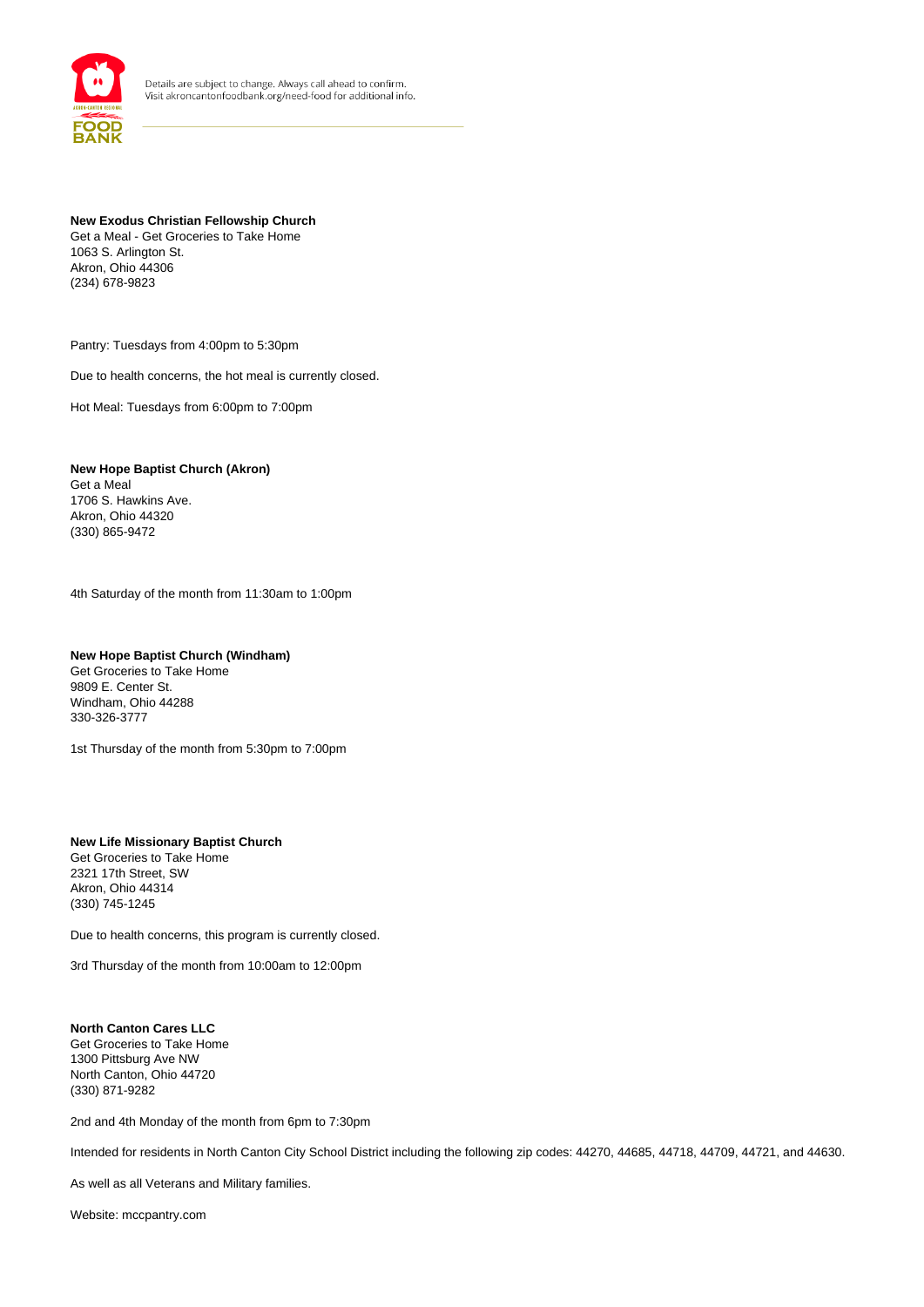

## **New Exodus Christian Fellowship Church**

Get a Meal - Get Groceries to Take Home 1063 S. Arlington St. Akron, Ohio 44306 (234) 678-9823

Pantry: Tuesdays from 4:00pm to 5:30pm

Due to health concerns, the hot meal is currently closed.

Hot Meal: Tuesdays from 6:00pm to 7:00pm

**New Hope Baptist Church (Akron)** Get a Meal 1706 S. Hawkins Ave. Akron, Ohio 44320 (330) 865-9472

4th Saturday of the month from 11:30am to 1:00pm

## **New Hope Baptist Church (Windham)**

Get Groceries to Take Home 9809 E. Center St. Windham, Ohio 44288 330-326-3777

1st Thursday of the month from 5:30pm to 7:00pm

## **New Life Missionary Baptist Church** Get Groceries to Take Home

2321 17th Street, SW Akron, Ohio 44314 (330) 745-1245

Due to health concerns, this program is currently closed.

3rd Thursday of the month from 10:00am to 12:00pm

#### **North Canton Cares LLC** Get Groceries to Take Home 1300 Pittsburg Ave NW North Canton, Ohio 44720 (330) 871-9282

2nd and 4th Monday of the month from 6pm to 7:30pm

Intended for residents in North Canton City School District including the following zip codes: 44270, 44685, 44718, 44709, 44721, and 44630.

As well as all Veterans and Military families.

Website: mccpantry.com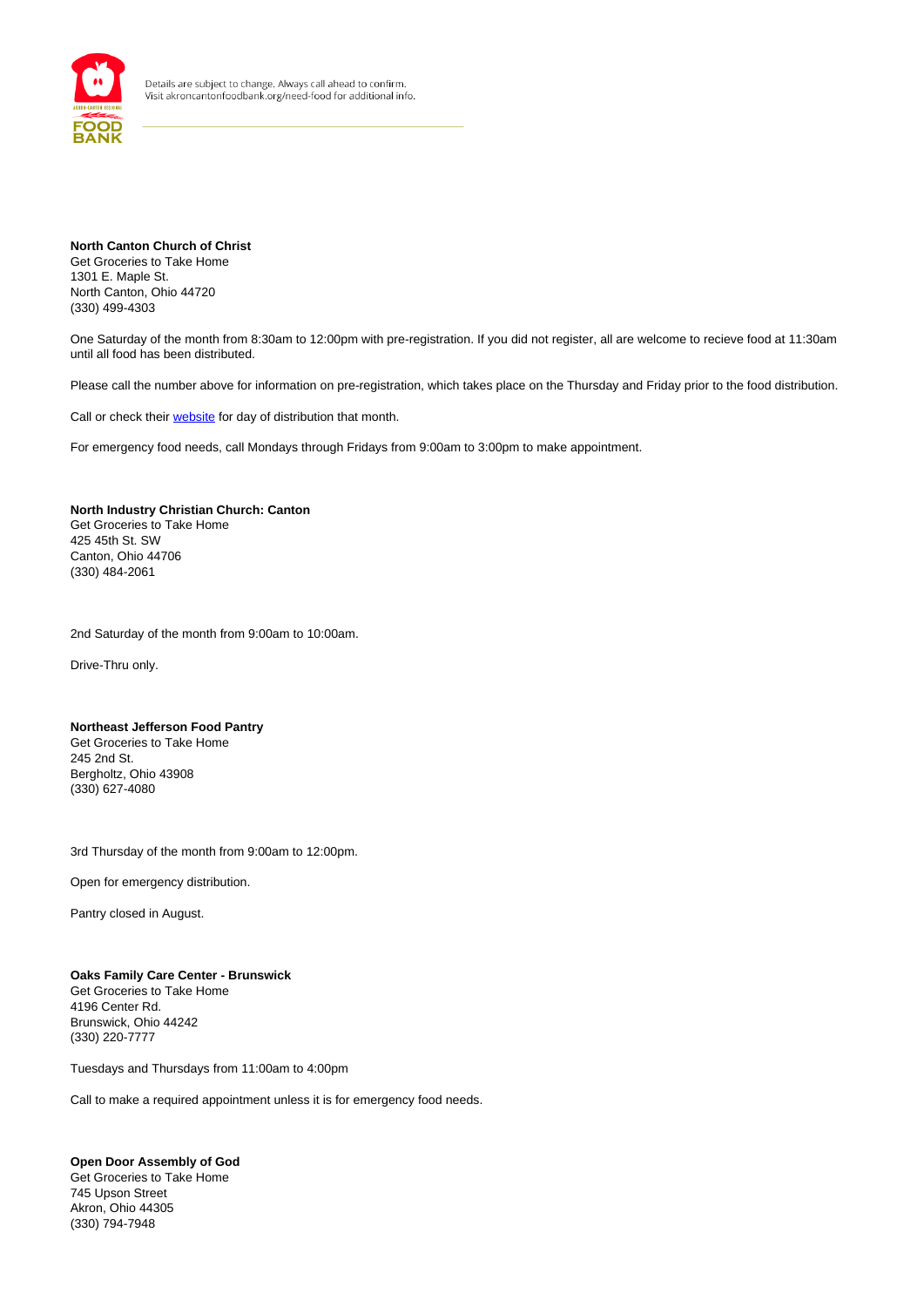

**North Canton Church of Christ** Get Groceries to Take Home 1301 E. Maple St. North Canton, Ohio 44720 (330) 499-4303

One Saturday of the month from 8:30am to 12:00pm with pre-registration. If you did not register, all are welcome to recieve food at 11:30am until all food has been distributed.

Please call the number above for information on pre-registration, which takes place on the Thursday and Friday prior to the food distribution.

Call or check their website for day of distribution that month.

For emergency food needs, call Mondays through Fridays from 9:00am to 3:00pm to make appointment.

#### **North Industry Christian Church: Canton**

Get Groceries to Take Home 425 45th St. SW Canton, Ohio 44706 (330) 484-2061

2nd Saturday of the month from 9:00am to 10:00am.

Drive-Thru only.

#### **Northeast Jefferson Food Pantry**

Get Groceries to Take Home 245 2nd St. Bergholtz, Ohio 43908 (330) 627-4080

3rd Thursday of the month from 9:00am to 12:00pm.

Open for emergency distribution.

Pantry closed in August.

## **Oaks Family Care Center - Brunswick**

Get Groceries to Take Home 4196 Center Rd. Brunswick, Ohio 44242 (330) 220-7777

Tuesdays and Thursdays from 11:00am to 4:00pm

Call to make a required appointment unless it is for emergency food needs.

## **Open Door Assembly of God**

Get Groceries to Take Home 745 Upson Street Akron, Ohio 44305 (330) 794-7948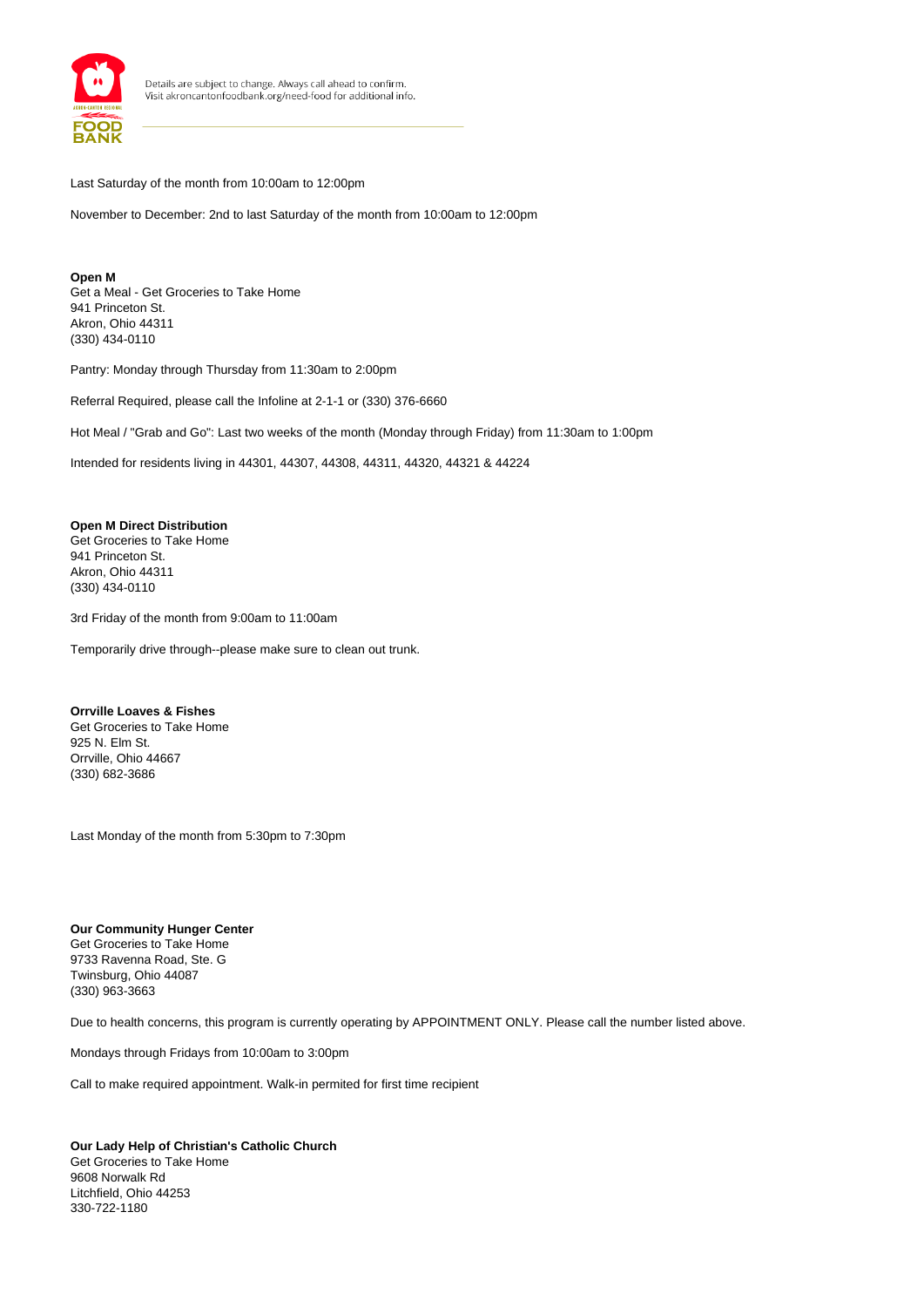

Last Saturday of the month from 10:00am to 12:00pm

November to December: 2nd to last Saturday of the month from 10:00am to 12:00pm

**Open M** Get a Meal - Get Groceries to Take Home 941 Princeton St. Akron, Ohio 44311 (330) 434-0110

Pantry: Monday through Thursday from 11:30am to 2:00pm

Referral Required, please call the Infoline at 2-1-1 or (330) 376-6660

Hot Meal / "Grab and Go": Last two weeks of the month (Monday through Friday) from 11:30am to 1:00pm

Intended for residents living in 44301, 44307, 44308, 44311, 44320, 44321 & 44224

#### **Open M Direct Distribution**

Get Groceries to Take Home 941 Princeton St. Akron, Ohio 44311 (330) 434-0110

3rd Friday of the month from 9:00am to 11:00am

Temporarily drive through--please make sure to clean out trunk.

#### **Orrville Loaves & Fishes**

Get Groceries to Take Home 925 N. Elm St. Orrville, Ohio 44667 (330) 682-3686

Last Monday of the month from 5:30pm to 7:30pm

**Our Community Hunger Center** Get Groceries to Take Home 9733 Ravenna Road, Ste. G Twinsburg, Ohio 44087 (330) 963-3663

Due to health concerns, this program is currently operating by APPOINTMENT ONLY. Please call the number listed above.

Mondays through Fridays from 10:00am to 3:00pm

Call to make required appointment. Walk-in permited for first time recipient

**Our Lady Help of Christian's Catholic Church** Get Groceries to Take Home 9608 Norwalk Rd Litchfield, Ohio 44253 330-722-1180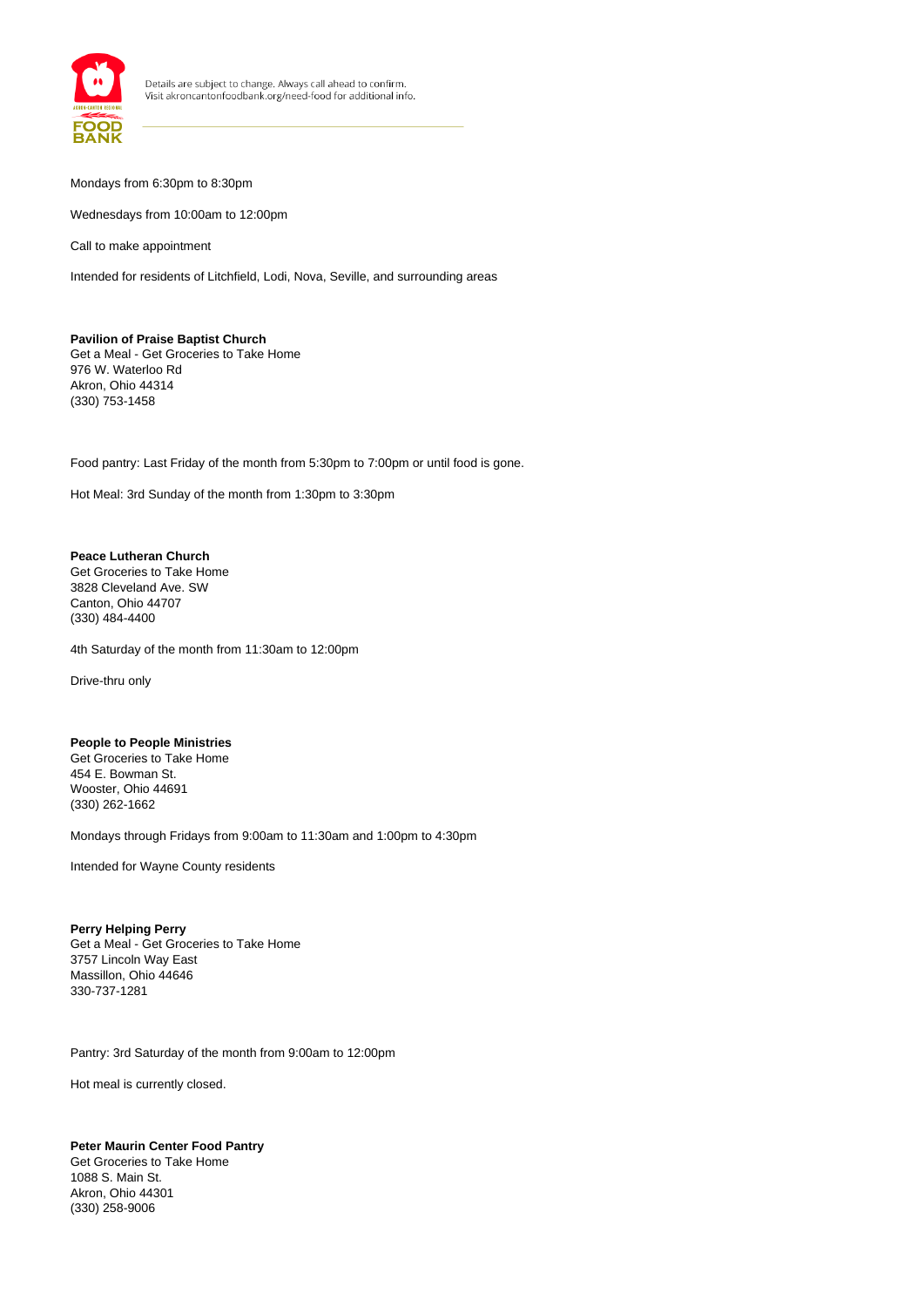

#### Mondays from 6:30pm to 8:30pm

Wednesdays from 10:00am to 12:00pm

Call to make appointment

Intended for residents of Litchfield, Lodi, Nova, Seville, and surrounding areas

#### **Pavilion of Praise Baptist Church** Get a Meal - Get Groceries to Take Home 976 W. Waterloo Rd Akron, Ohio 44314 (330) 753-1458

Food pantry: Last Friday of the month from 5:30pm to 7:00pm or until food is gone.

Hot Meal: 3rd Sunday of the month from 1:30pm to 3:30pm

#### **Peace Lutheran Church**

Get Groceries to Take Home 3828 Cleveland Ave. SW Canton, Ohio 44707 (330) 484-4400

4th Saturday of the month from 11:30am to 12:00pm

Drive-thru only

## **People to People Ministries**

Get Groceries to Take Home 454 E. Bowman St. Wooster, Ohio 44691 (330) 262-1662

Mondays through Fridays from 9:00am to 11:30am and 1:00pm to 4:30pm

Intended for Wayne County residents

#### **Perry Helping Perry** Get a Meal - Get Groceries to Take Home 3757 Lincoln Way East Massillon, Ohio 44646 330-737-1281

Pantry: 3rd Saturday of the month from 9:00am to 12:00pm

Hot meal is currently closed.

#### **Peter Maurin Center Food Pantry**

Get Groceries to Take Home 1088 S. Main St. Akron, Ohio 44301 (330) 258-9006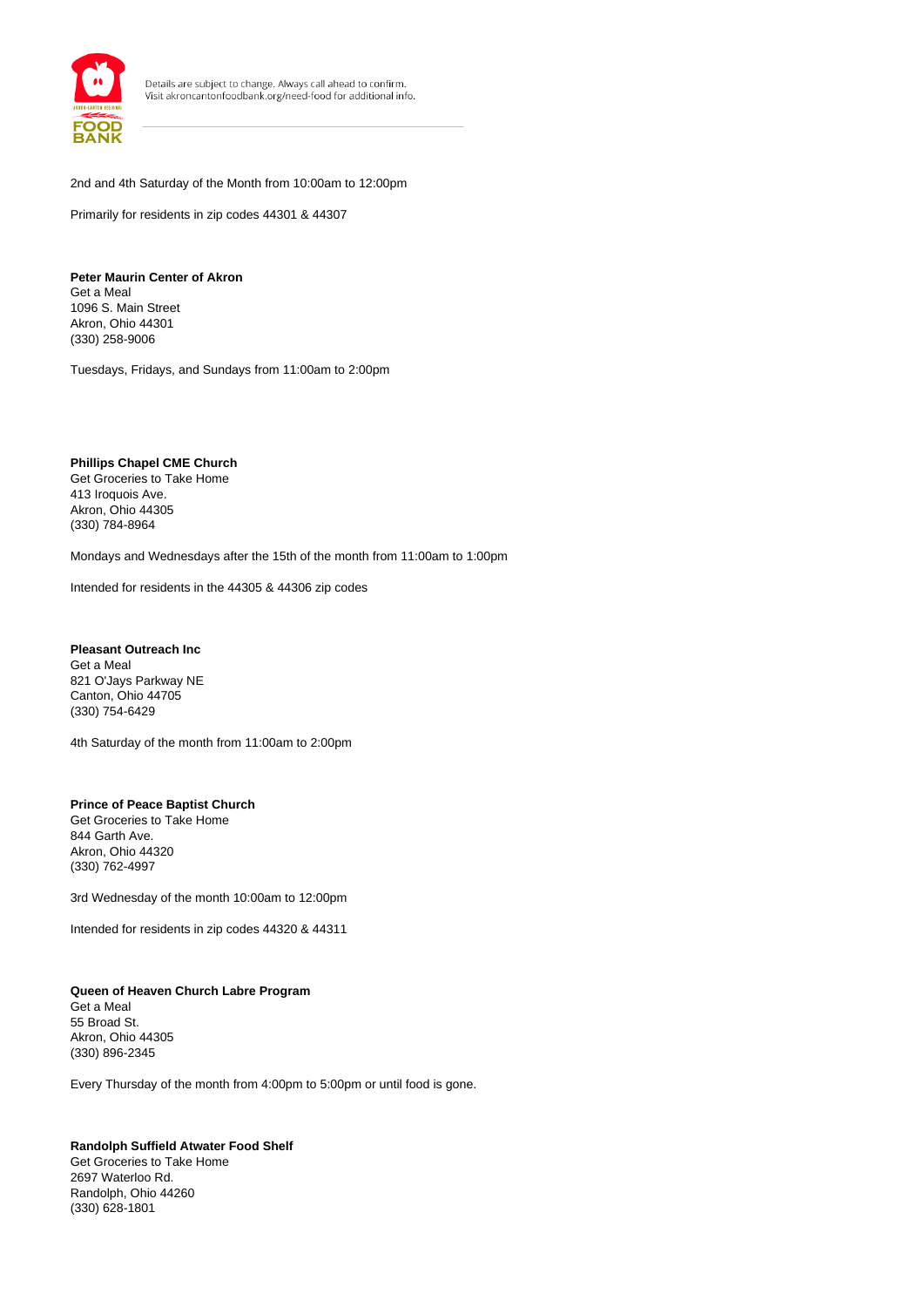

2nd and 4th Saturday of the Month from 10:00am to 12:00pm

Primarily for residents in zip codes 44301 & 44307

**Peter Maurin Center of Akron** Get a Meal 1096 S. Main Street Akron, Ohio 44301 (330) 258-9006

Tuesdays, Fridays, and Sundays from 11:00am to 2:00pm

**Phillips Chapel CME Church** Get Groceries to Take Home 413 Iroquois Ave. Akron, Ohio 44305 (330) 784-8964

Mondays and Wednesdays after the 15th of the month from 11:00am to 1:00pm

Intended for residents in the 44305 & 44306 zip codes

**Pleasant Outreach Inc** Get a Meal 821 O'Jays Parkway NE Canton, Ohio 44705 (330) 754-6429

4th Saturday of the month from 11:00am to 2:00pm

**Prince of Peace Baptist Church** Get Groceries to Take Home 844 Garth Ave. Akron, Ohio 44320 (330) 762-4997

3rd Wednesday of the month 10:00am to 12:00pm

Intended for residents in zip codes 44320 & 44311

**Queen of Heaven Church Labre Program** Get a Meal 55 Broad St. Akron, Ohio 44305 (330) 896-2345

Every Thursday of the month from 4:00pm to 5:00pm or until food is gone.

## **Randolph Suffield Atwater Food Shelf**

Get Groceries to Take Home 2697 Waterloo Rd. Randolph, Ohio 44260 (330) 628-1801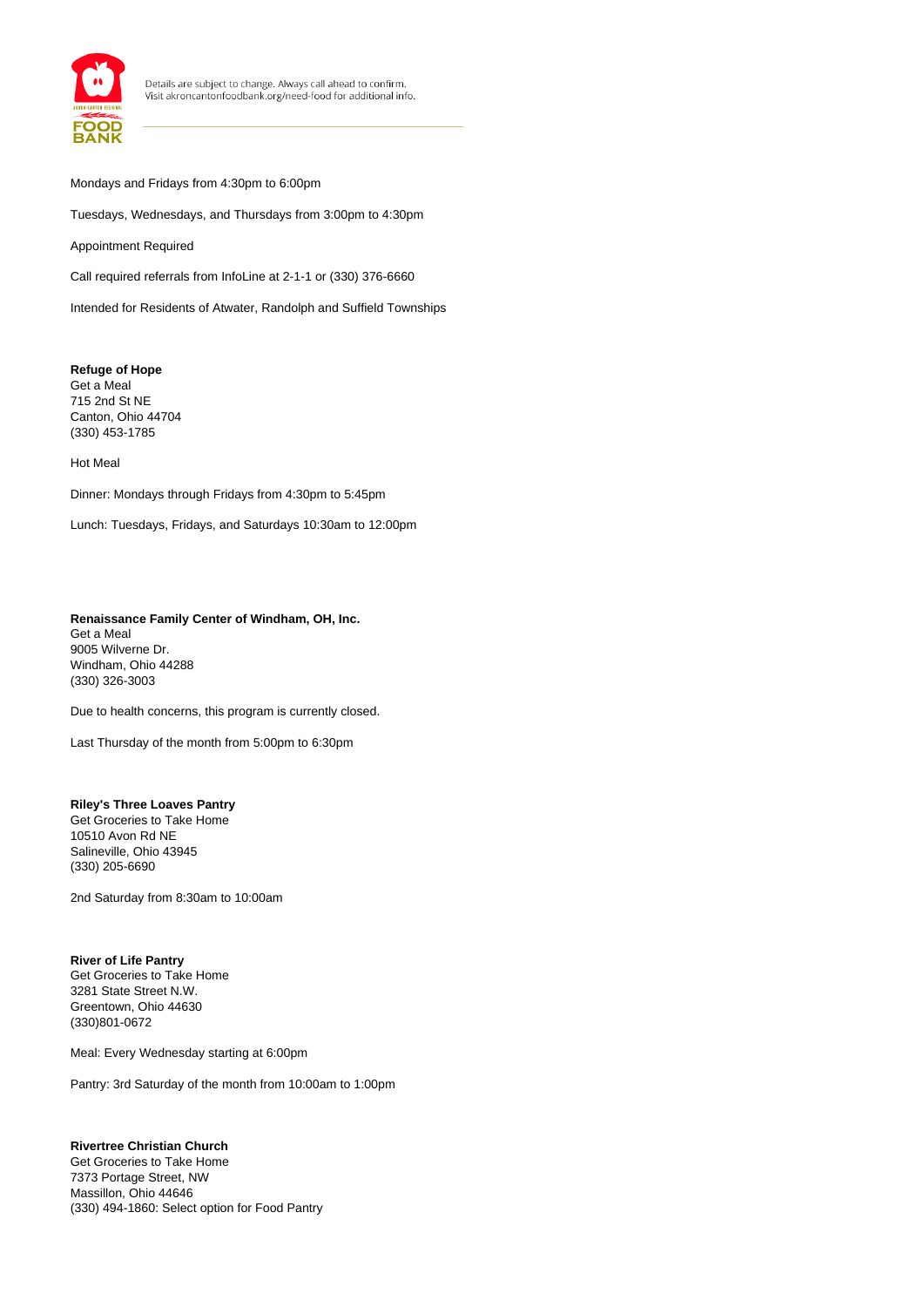

## Mondays and Fridays from 4:30pm to 6:00pm

Tuesdays, Wednesdays, and Thursdays from 3:00pm to 4:30pm

Appointment Required

Call required referrals from InfoLine at 2-1-1 or (330) 376-6660

Intended for Residents of Atwater, Randolph and Suffield Townships

#### **Refuge of Hope** Get a Meal

715 2nd St NE Canton, Ohio 44704 (330) 453-1785

#### Hot Meal

Dinner: Mondays through Fridays from 4:30pm to 5:45pm

Lunch: Tuesdays, Fridays, and Saturdays 10:30am to 12:00pm

## **Renaissance Family Center of Windham, OH, Inc.**

Get a Meal 9005 Wilverne Dr. Windham, Ohio 44288 (330) 326-3003

Due to health concerns, this program is currently closed.

Last Thursday of the month from 5:00pm to 6:30pm

## **Riley's Three Loaves Pantry**

Get Groceries to Take Home 10510 Avon Rd NE Salineville, Ohio 43945 (330) 205-6690

2nd Saturday from 8:30am to 10:00am

## **River of Life Pantry**

Get Groceries to Take Home 3281 State Street N.W. Greentown, Ohio 44630 (330)801-0672

Meal: Every Wednesday starting at 6:00pm

Pantry: 3rd Saturday of the month from 10:00am to 1:00pm

## **Rivertree Christian Church**

Get Groceries to Take Home 7373 Portage Street, NW Massillon, Ohio 44646 (330) 494-1860: Select option for Food Pantry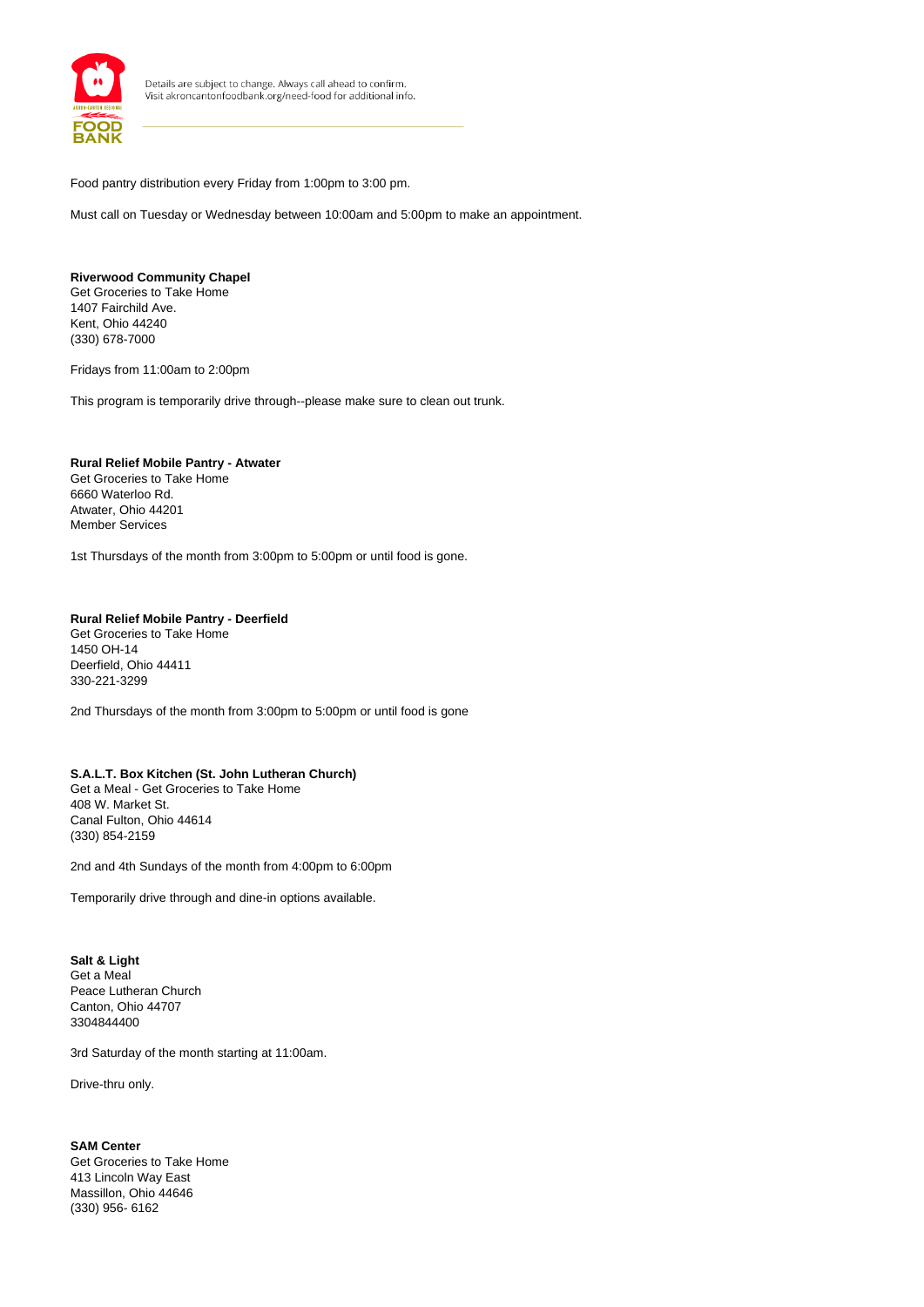

Food pantry distribution every Friday from 1:00pm to 3:00 pm.

Must call on Tuesday or Wednesday between 10:00am and 5:00pm to make an appointment.

#### **Riverwood Community Chapel**

Get Groceries to Take Home 1407 Fairchild Ave. Kent, Ohio 44240 (330) 678-7000

Fridays from 11:00am to 2:00pm

This program is temporarily drive through--please make sure to clean out trunk.

## **Rural Relief Mobile Pantry - Atwater**

Get Groceries to Take Home 6660 Waterloo Rd. Atwater, Ohio 44201 Member Services

1st Thursdays of the month from 3:00pm to 5:00pm or until food is gone.

#### **Rural Relief Mobile Pantry - Deerfield**

Get Groceries to Take Home 1450 OH-14 Deerfield, Ohio 44411 330-221-3299

2nd Thursdays of the month from 3:00pm to 5:00pm or until food is gone

#### **S.A.L.T. Box Kitchen (St. John Lutheran Church)**

Get a Meal - Get Groceries to Take Home 408 W. Market St. Canal Fulton, Ohio 44614 (330) 854-2159

2nd and 4th Sundays of the month from 4:00pm to 6:00pm

Temporarily drive through and dine-in options available.

**Salt & Light**  Get a Meal Peace Lutheran Church Canton, Ohio 44707 3304844400

3rd Saturday of the month starting at 11:00am.

Drive-thru only.

## **SAM Center**

Get Groceries to Take Home 413 Lincoln Way East Massillon, Ohio 44646 (330) 956- 6162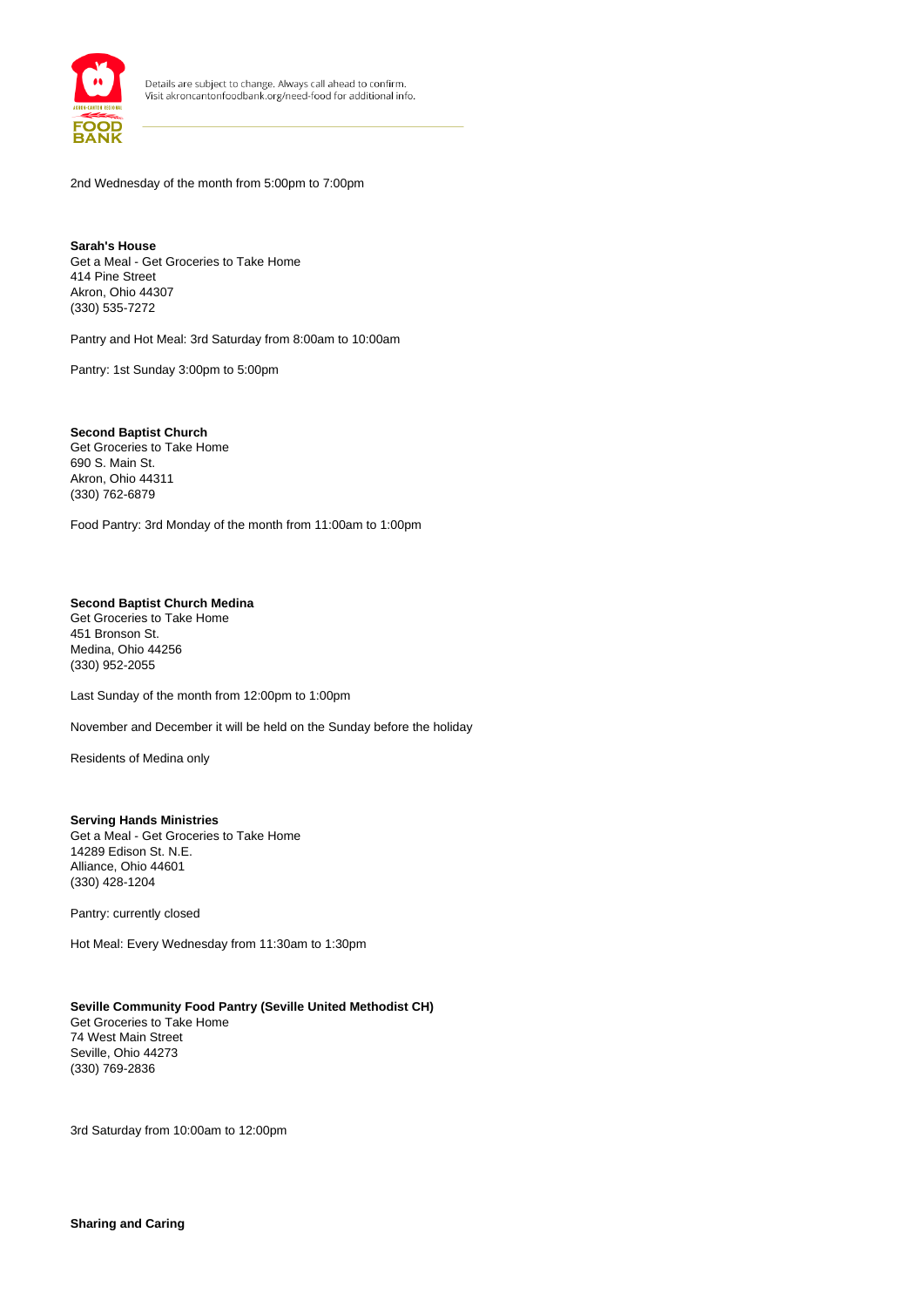

2nd Wednesday of the month from 5:00pm to 7:00pm

**Sarah's House** Get a Meal - Get Groceries to Take Home 414 Pine Street Akron, Ohio 44307 (330) 535-7272

Pantry and Hot Meal: 3rd Saturday from 8:00am to 10:00am

Pantry: 1st Sunday 3:00pm to 5:00pm

**Second Baptist Church** Get Groceries to Take Home 690 S. Main St. Akron, Ohio 44311 (330) 762-6879

Food Pantry: 3rd Monday of the month from 11:00am to 1:00pm

## **Second Baptist Church Medina**

Get Groceries to Take Home 451 Bronson St. Medina, Ohio 44256 (330) 952-2055

Last Sunday of the month from 12:00pm to 1:00pm

November and December it will be held on the Sunday before the holiday

Residents of Medina only

#### **Serving Hands Ministries** Get a Meal - Get Groceries to Take Home 14289 Edison St. N.E. Alliance, Ohio 44601

Pantry: currently closed

(330) 428-1204

Hot Meal: Every Wednesday from 11:30am to 1:30pm

#### **Seville Community Food Pantry (Seville United Methodist CH)**

Get Groceries to Take Home 74 West Main Street Seville, Ohio 44273 (330) 769-2836

3rd Saturday from 10:00am to 12:00pm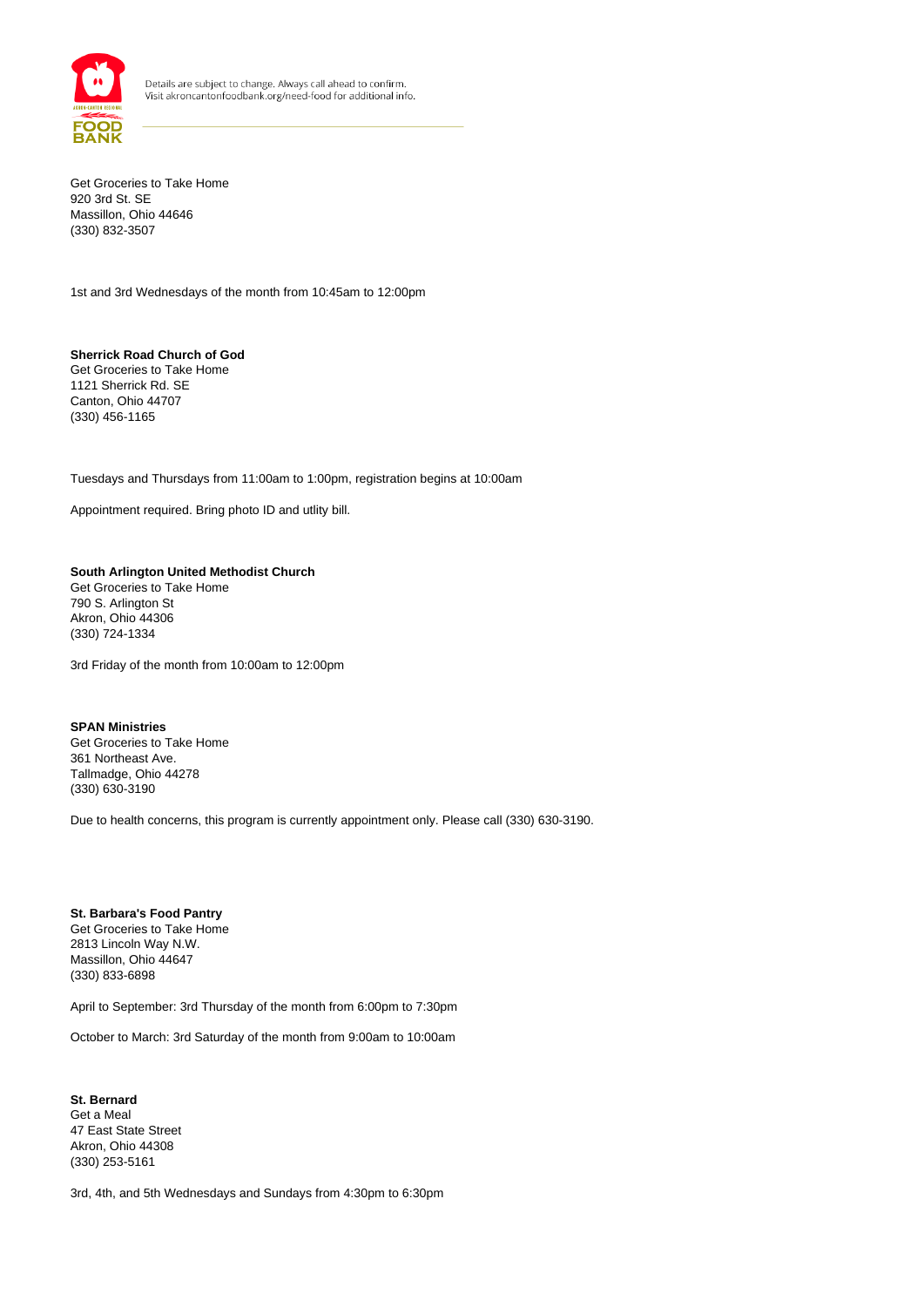

Get Groceries to Take Home 920 3rd St. SE Massillon, Ohio 44646 (330) 832-3507

1st and 3rd Wednesdays of the month from 10:45am to 12:00pm

**Sherrick Road Church of God** Get Groceries to Take Home 1121 Sherrick Rd. SE Canton, Ohio 44707 (330) 456-1165

Tuesdays and Thursdays from 11:00am to 1:00pm, registration begins at 10:00am

Appointment required. Bring photo ID and utlity bill.

## **South Arlington United Methodist Church** Get Groceries to Take Home 790 S. Arlington St

Akron, Ohio 44306 (330) 724-1334

3rd Friday of the month from 10:00am to 12:00pm

#### **SPAN Ministries** Get Groceries to Take Home

361 Northeast Ave. Tallmadge, Ohio 44278 (330) 630-3190

Due to health concerns, this program is currently appointment only. Please call (330) 630-3190.

#### **St. Barbara's Food Pantry** Get Groceries to Take Home 2813 Lincoln Way N.W. Massillon, Ohio 44647 (330) 833-6898

April to September: 3rd Thursday of the month from 6:00pm to 7:30pm

October to March: 3rd Saturday of the month from 9:00am to 10:00am

**St. Bernard** Get a Meal 47 East State Street Akron, Ohio 44308 (330) 253-5161

3rd, 4th, and 5th Wednesdays and Sundays from 4:30pm to 6:30pm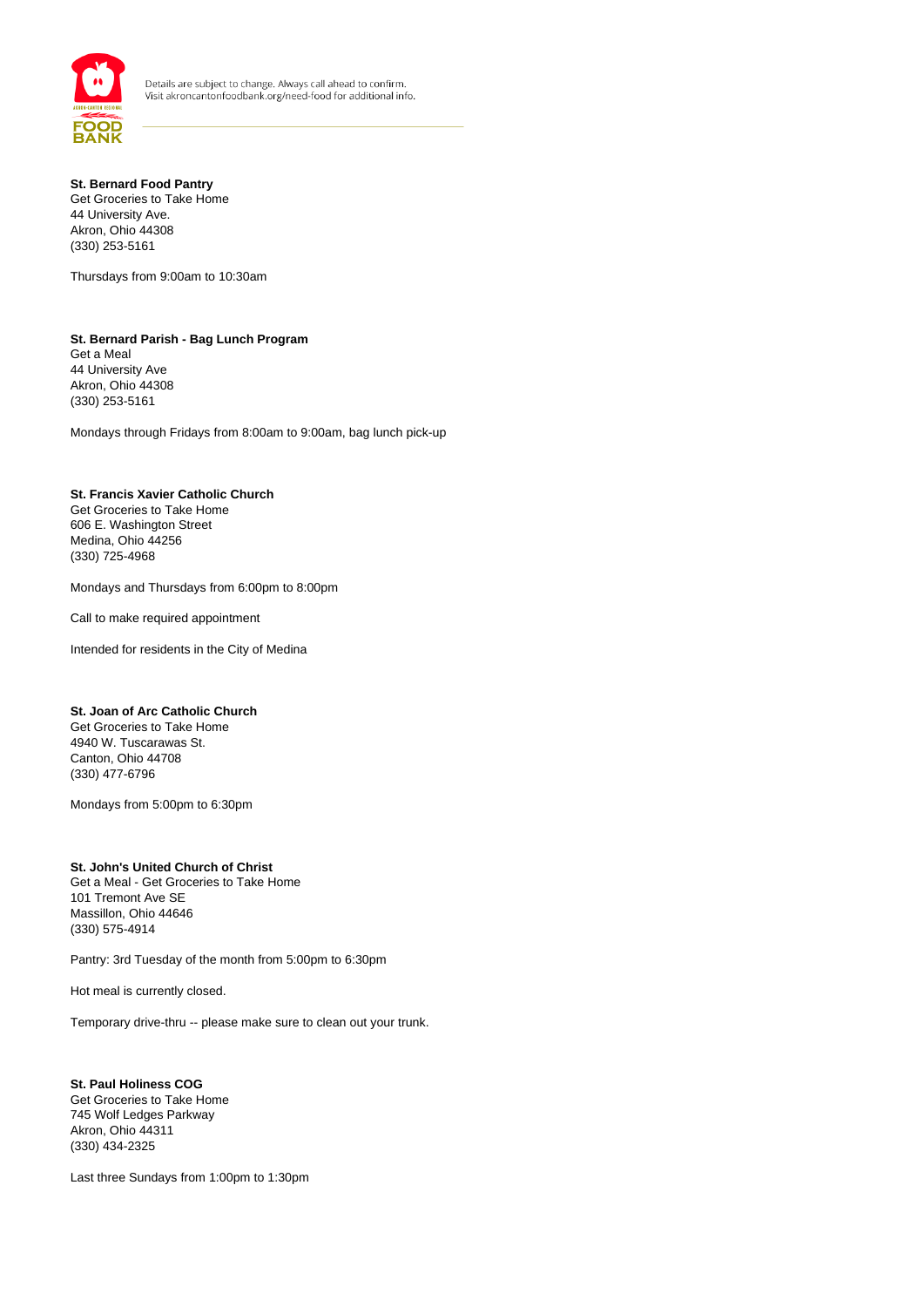

#### **St. Bernard Food Pantry** Get Groceries to Take Home

44 University Ave. Akron, Ohio 44308 (330) 253-5161

Thursdays from 9:00am to 10:30am

## **St. Bernard Parish - Bag Lunch Program** Get a Meal

44 University Ave Akron, Ohio 44308 (330) 253-5161

Mondays through Fridays from 8:00am to 9:00am, bag lunch pick-up

## **St. Francis Xavier Catholic Church**

Get Groceries to Take Home 606 E. Washington Street Medina, Ohio 44256 (330) 725-4968

Mondays and Thursdays from 6:00pm to 8:00pm

Call to make required appointment

Intended for residents in the City of Medina

## **St. Joan of Arc Catholic Church**

Get Groceries to Take Home 4940 W. Tuscarawas St. Canton, Ohio 44708 (330) 477-6796

Mondays from 5:00pm to 6:30pm

## **St. John's United Church of Christ**

Get a Meal - Get Groceries to Take Home 101 Tremont Ave SE Massillon, Ohio 44646 (330) 575-4914

Pantry: 3rd Tuesday of the month from 5:00pm to 6:30pm

Hot meal is currently closed.

Temporary drive-thru -- please make sure to clean out your trunk.

**St. Paul Holiness COG** Get Groceries to Take Home 745 Wolf Ledges Parkway Akron, Ohio 44311 (330) 434-2325

Last three Sundays from 1:00pm to 1:30pm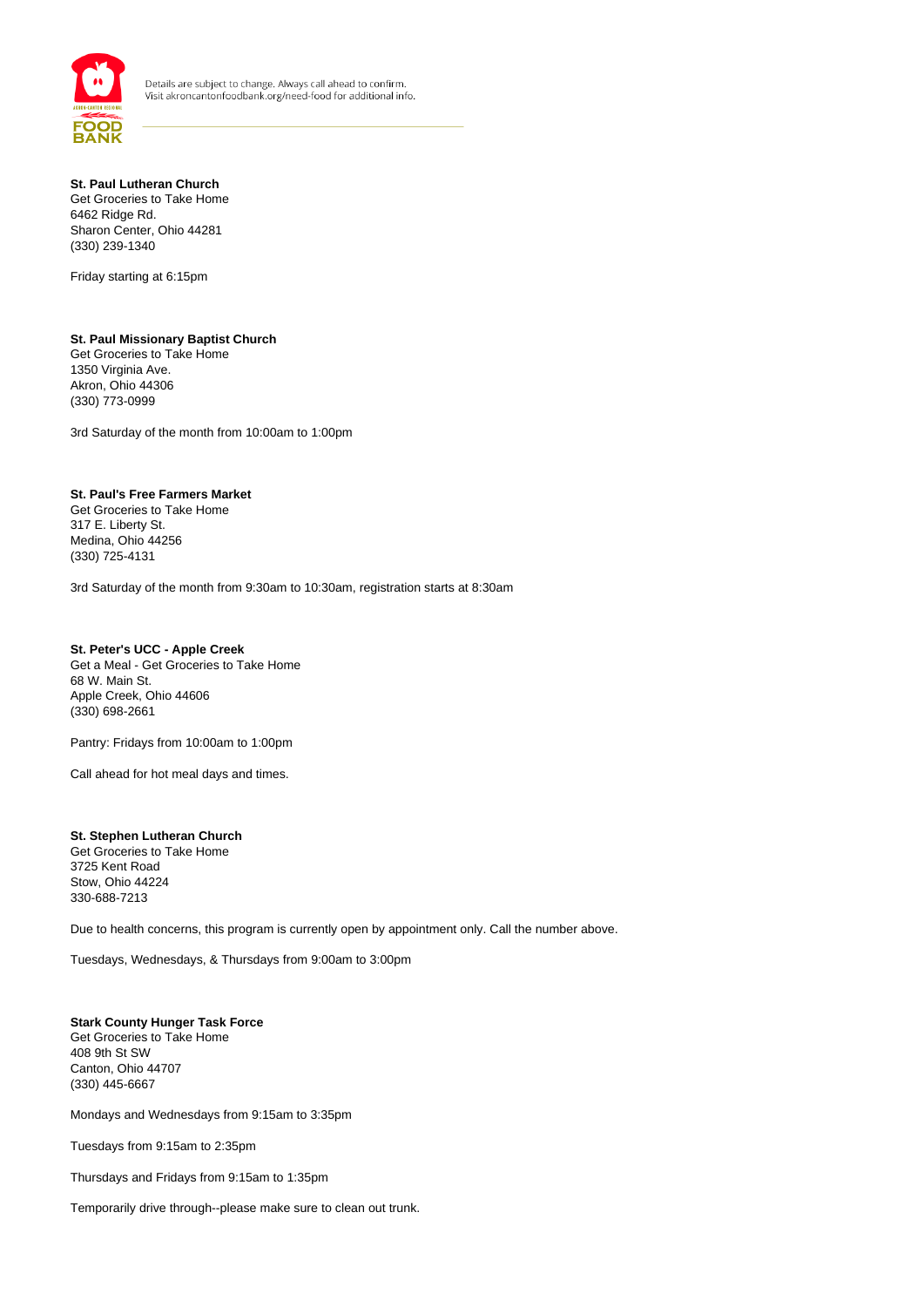

### **St. Paul Lutheran Church** Get Groceries to Take Home 6462 Ridge Rd. Sharon Center, Ohio 44281 (330) 239-1340

Friday starting at 6:15pm

## **St. Paul Missionary Baptist Church**

Get Groceries to Take Home 1350 Virginia Ave. Akron, Ohio 44306 (330) 773-0999

3rd Saturday of the month from 10:00am to 1:00pm

## **St. Paul's Free Farmers Market**

Get Groceries to Take Home 317 E. Liberty St. Medina, Ohio 44256 (330) 725-4131

3rd Saturday of the month from 9:30am to 10:30am, registration starts at 8:30am

## **St. Peter's UCC - Apple Creek**

Get a Meal - Get Groceries to Take Home 68 W. Main St. Apple Creek, Ohio 44606 (330) 698-2661

Pantry: Fridays from 10:00am to 1:00pm

Call ahead for hot meal days and times.

#### **St. Stephen Lutheran Church** Get Groceries to Take Home

3725 Kent Road Stow, Ohio 44224 330-688-7213

Due to health concerns, this program is currently open by appointment only. Call the number above.

Tuesdays, Wednesdays, & Thursdays from 9:00am to 3:00pm

## **Stark County Hunger Task Force**

Get Groceries to Take Home 408 9th St SW Canton, Ohio 44707 (330) 445-6667

Mondays and Wednesdays from 9:15am to 3:35pm

Tuesdays from 9:15am to 2:35pm

Thursdays and Fridays from 9:15am to 1:35pm

Temporarily drive through--please make sure to clean out trunk.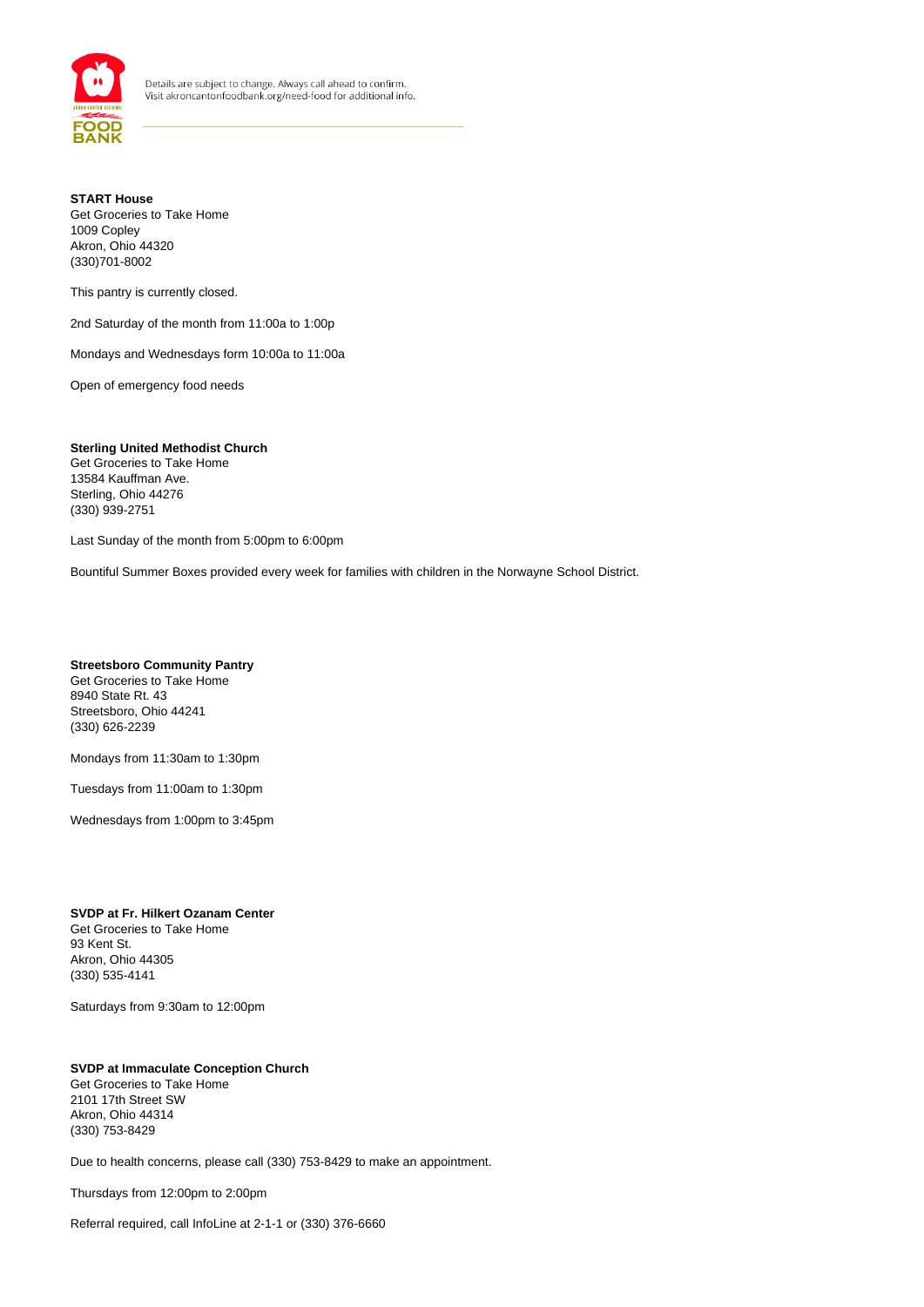

## **START House** Get Groceries to Take Home 1009 Copley Akron, Ohio 44320 (330)701-8002

This pantry is currently closed.

2nd Saturday of the month from 11:00a to 1:00p

Mondays and Wednesdays form 10:00a to 11:00a

Open of emergency food needs

## **Sterling United Methodist Church** Get Groceries to Take Home 13584 Kauffman Ave.

Sterling, Ohio 44276 (330) 939-2751

Last Sunday of the month from 5:00pm to 6:00pm

Bountiful Summer Boxes provided every week for families with children in the Norwayne School District.

#### **Streetsboro Community Pantry** Get Groceries to Take Home 8940 State Rt. 43 Streetsboro, Ohio 44241 (330) 626-2239

Mondays from 11:30am to 1:30pm

Tuesdays from 11:00am to 1:30pm

Wednesdays from 1:00pm to 3:45pm

#### **SVDP at Fr. Hilkert Ozanam Center** Get Groceries to Take Home 93 Kent St. Akron, Ohio 44305 (330) 535-4141

Saturdays from 9:30am to 12:00pm

## **SVDP at Immaculate Conception Church** Get Groceries to Take Home 2101 17th Street SW Akron, Ohio 44314 (330) 753-8429

Due to health concerns, please call (330) 753-8429 to make an appointment.

Thursdays from 12:00pm to 2:00pm

Referral required, call InfoLine at 2-1-1 or (330) 376-6660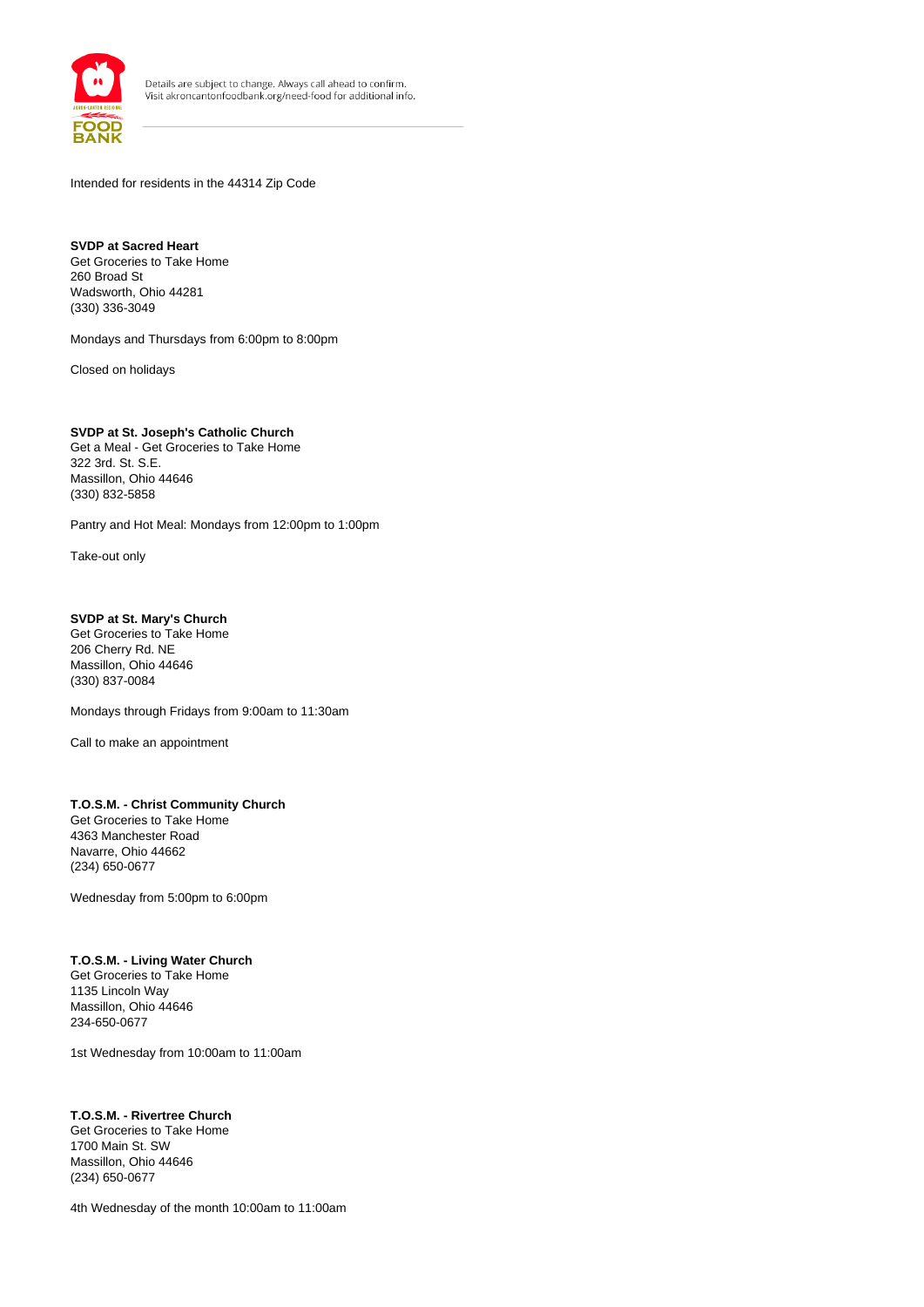

Intended for residents in the 44314 Zip Code

**SVDP at Sacred Heart** Get Groceries to Take Home 260 Broad St Wadsworth, Ohio 44281 (330) 336-3049

Mondays and Thursdays from 6:00pm to 8:00pm

Closed on holidays

**SVDP at St. Joseph's Catholic Church** Get a Meal - Get Groceries to Take Home 322 3rd. St. S.E. Massillon, Ohio 44646 (330) 832-5858

Pantry and Hot Meal: Mondays from 12:00pm to 1:00pm

Take-out only

## **SVDP at St. Mary's Church**

Get Groceries to Take Home 206 Cherry Rd. NE Massillon, Ohio 44646 (330) 837-0084

Mondays through Fridays from 9:00am to 11:30am

Call to make an appointment

## **T.O.S.M. - Christ Community Church**

Get Groceries to Take Home 4363 Manchester Road Navarre, Ohio 44662 (234) 650-0677

Wednesday from 5:00pm to 6:00pm

## **T.O.S.M. - Living Water Church**

Get Groceries to Take Home 1135 Lincoln Way Massillon, Ohio 44646 234-650-0677

1st Wednesday from 10:00am to 11:00am

## **T.O.S.M. - Rivertree Church**

Get Groceries to Take Home 1700 Main St. SW Massillon, Ohio 44646 (234) 650-0677

4th Wednesday of the month 10:00am to 11:00am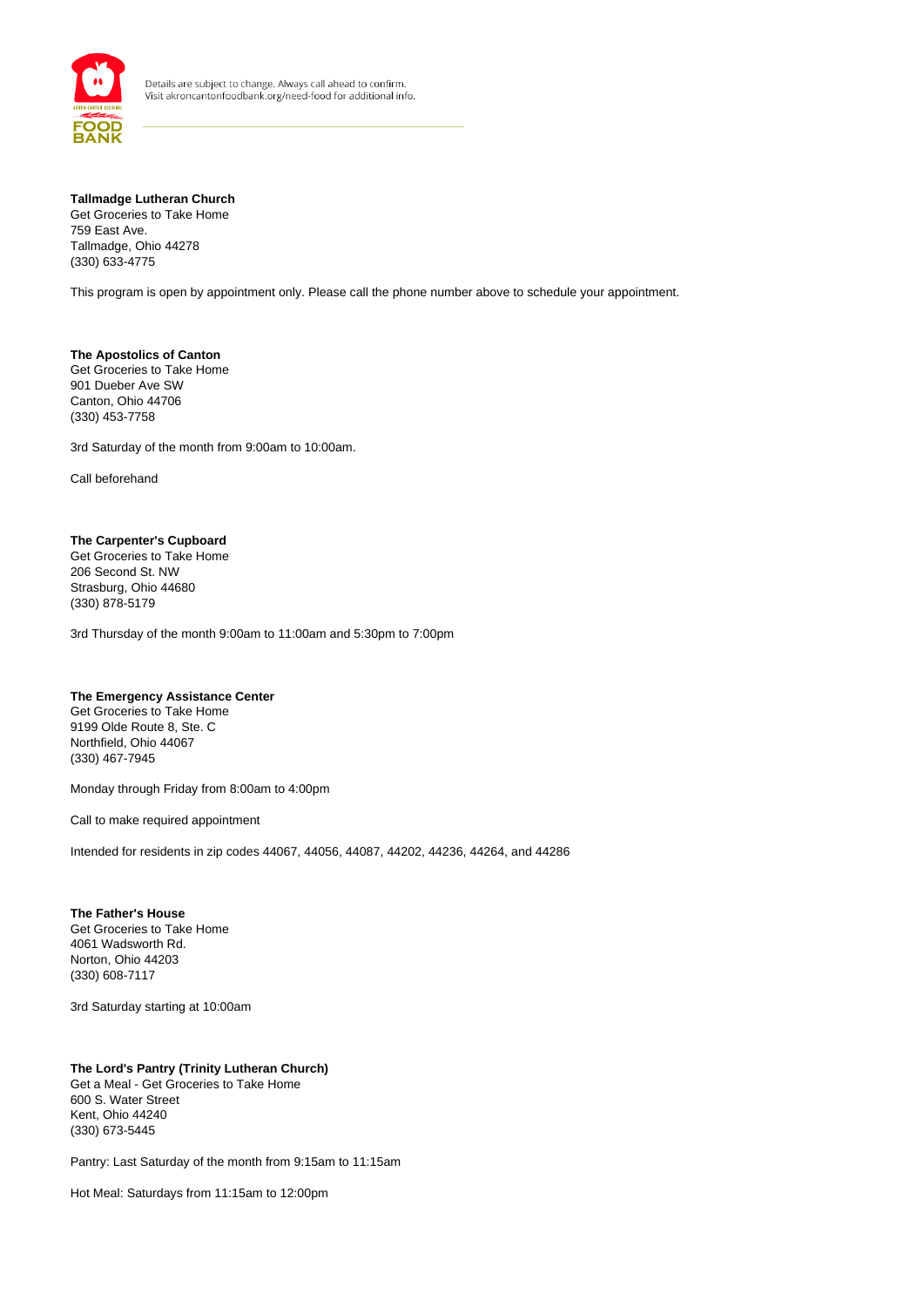

## **Tallmadge Lutheran Church**

Get Groceries to Take Home 759 East Ave. Tallmadge, Ohio 44278 (330) 633-4775

This program is open by appointment only. Please call the phone number above to schedule your appointment.

**The Apostolics of Canton** Get Groceries to Take Home 901 Dueber Ave SW Canton, Ohio 44706 (330) 453-7758

3rd Saturday of the month from 9:00am to 10:00am.

Call beforehand

#### **The Carpenter's Cupboard**

Get Groceries to Take Home 206 Second St. NW Strasburg, Ohio 44680 (330) 878-5179

3rd Thursday of the month 9:00am to 11:00am and 5:30pm to 7:00pm

#### **The Emergency Assistance Center**

Get Groceries to Take Home 9199 Olde Route 8, Ste. C Northfield, Ohio 44067 (330) 467-7945

Monday through Friday from 8:00am to 4:00pm

Call to make required appointment

Intended for residents in zip codes 44067, 44056, 44087, 44202, 44236, 44264, and 44286

**The Father's House** Get Groceries to Take Home 4061 Wadsworth Rd. Norton, Ohio 44203 (330) 608-7117

3rd Saturday starting at 10:00am

### **The Lord's Pantry (Trinity Lutheran Church)**  Get a Meal - Get Groceries to Take Home 600 S. Water Street Kent, Ohio 44240 (330) 673-5445

Pantry: Last Saturday of the month from 9:15am to 11:15am

Hot Meal: Saturdays from 11:15am to 12:00pm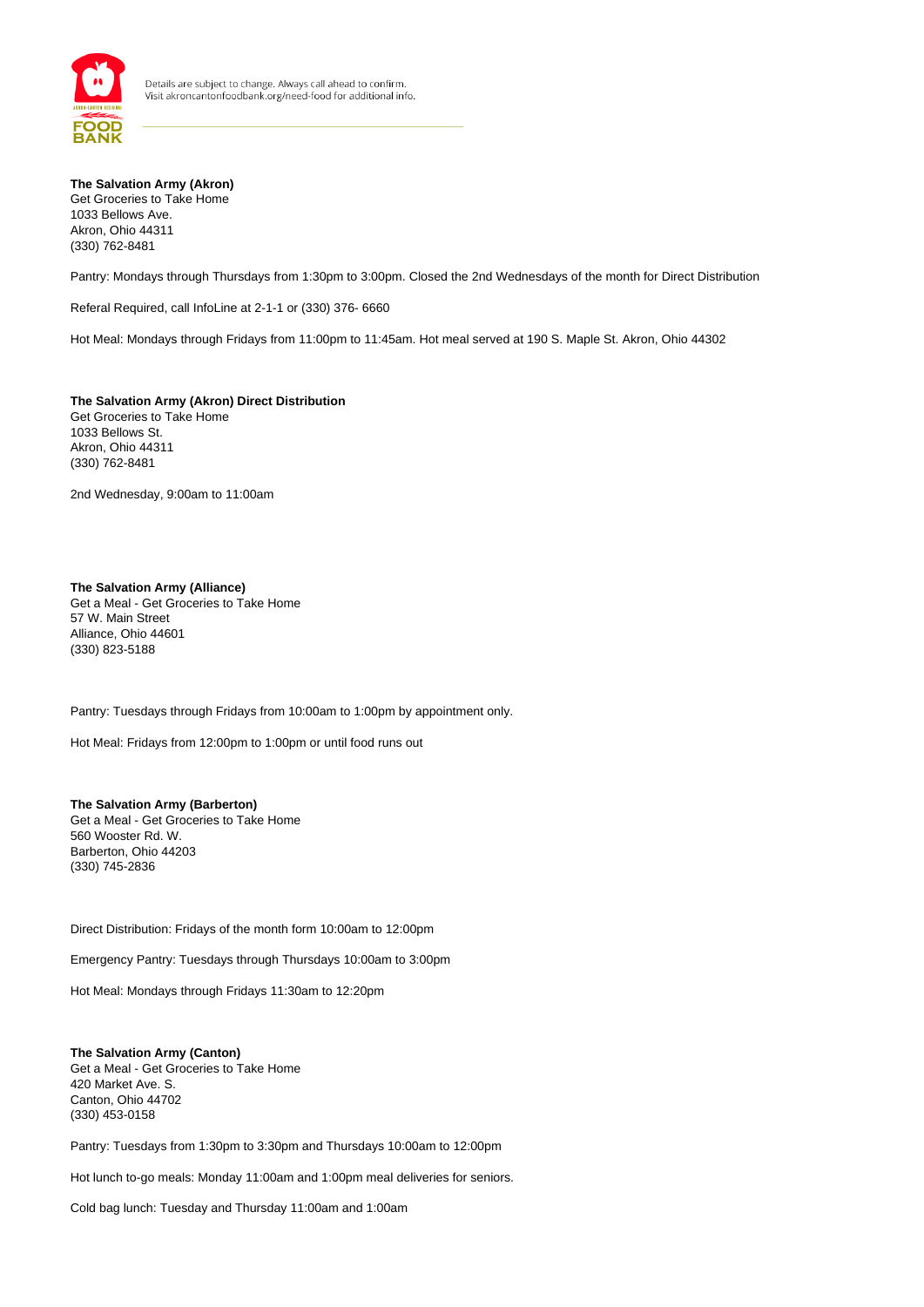

**The Salvation Army (Akron)**  Get Groceries to Take Home 1033 Bellows Ave. Akron, Ohio 44311 (330) 762-8481

Pantry: Mondays through Thursdays from 1:30pm to 3:00pm. Closed the 2nd Wednesdays of the month for Direct Distribution

Referal Required, call InfoLine at 2-1-1 or (330) 376- 6660

Hot Meal: Mondays through Fridays from 11:00pm to 11:45am. Hot meal served at 190 S. Maple St. Akron, Ohio 44302

**The Salvation Army (Akron) Direct Distribution** Get Groceries to Take Home 1033 Bellows St. Akron, Ohio 44311 (330) 762-8481

2nd Wednesday, 9:00am to 11:00am

### **The Salvation Army (Alliance)**

Get a Meal - Get Groceries to Take Home 57 W. Main Street Alliance, Ohio 44601 (330) 823-5188

Pantry: Tuesdays through Fridays from 10:00am to 1:00pm by appointment only.

Hot Meal: Fridays from 12:00pm to 1:00pm or until food runs out

## **The Salvation Army (Barberton)**

Get a Meal - Get Groceries to Take Home 560 Wooster Rd. W. Barberton, Ohio 44203 (330) 745-2836

Direct Distribution: Fridays of the month form 10:00am to 12:00pm

Emergency Pantry: Tuesdays through Thursdays 10:00am to 3:00pm

Hot Meal: Mondays through Fridays 11:30am to 12:20pm

#### **The Salvation Army (Canton)**  Get a Meal - Get Groceries to Take Home 420 Market Ave. S. Canton, Ohio 44702 (330) 453-0158

Pantry: Tuesdays from 1:30pm to 3:30pm and Thursdays 10:00am to 12:00pm

Hot lunch to-go meals: Monday 11:00am and 1:00pm meal deliveries for seniors.

Cold bag lunch: Tuesday and Thursday 11:00am and 1:00am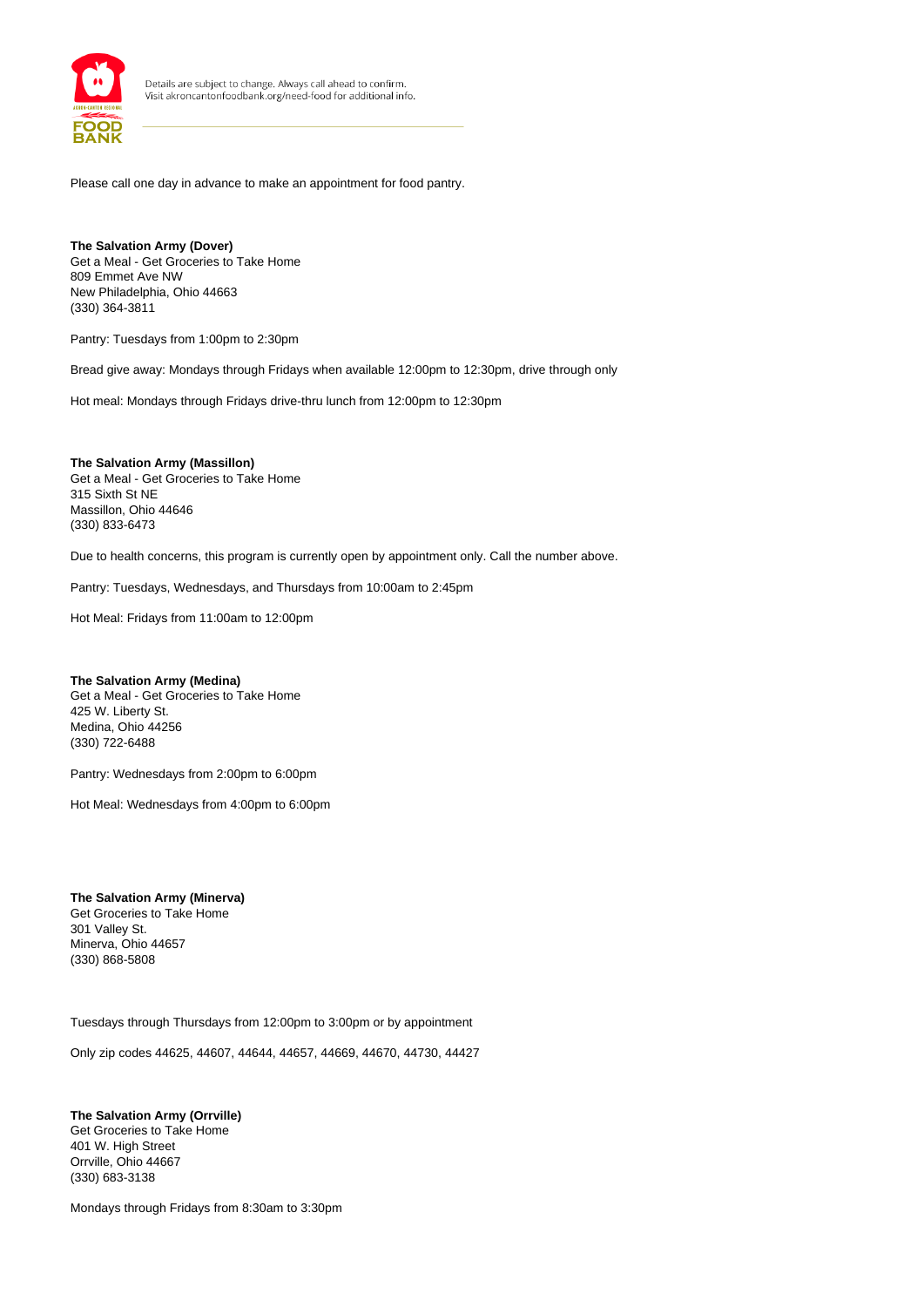

Please call one day in advance to make an appointment for food pantry.

**The Salvation Army (Dover)**  Get a Meal - Get Groceries to Take Home 809 Emmet Ave NW New Philadelphia, Ohio 44663 (330) 364-3811

Pantry: Tuesdays from 1:00pm to 2:30pm

Bread give away: Mondays through Fridays when available 12:00pm to 12:30pm, drive through only

Hot meal: Mondays through Fridays drive-thru lunch from 12:00pm to 12:30pm

**The Salvation Army (Massillon)**  Get a Meal - Get Groceries to Take Home 315 Sixth St NE Massillon, Ohio 44646 (330) 833-6473

Due to health concerns, this program is currently open by appointment only. Call the number above.

Pantry: Tuesdays, Wednesdays, and Thursdays from 10:00am to 2:45pm

Hot Meal: Fridays from 11:00am to 12:00pm

#### **The Salvation Army (Medina)**

Get a Meal - Get Groceries to Take Home 425 W. Liberty St. Medina, Ohio 44256 (330) 722-6488

Pantry: Wednesdays from 2:00pm to 6:00pm

Hot Meal: Wednesdays from 4:00pm to 6:00pm

**The Salvation Army (Minerva)**  Get Groceries to Take Home 301 Valley St. Minerva, Ohio 44657 (330) 868-5808

Tuesdays through Thursdays from 12:00pm to 3:00pm or by appointment

Only zip codes 44625, 44607, 44644, 44657, 44669, 44670, 44730, 44427

**The Salvation Army (Orrville)**  Get Groceries to Take Home 401 W. High Street Orrville, Ohio 44667 (330) 683-3138

Mondays through Fridays from 8:30am to 3:30pm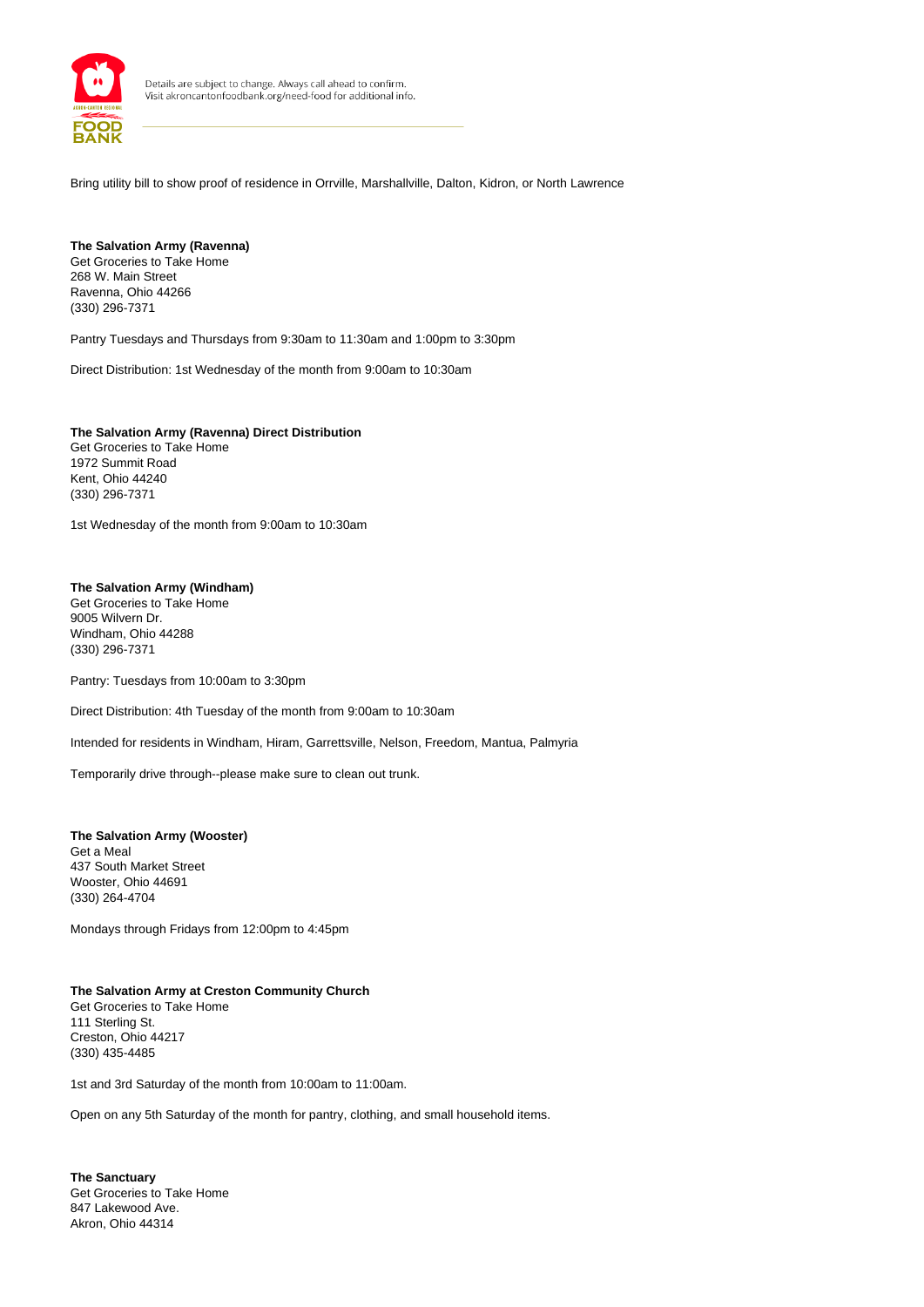

Bring utility bill to show proof of residence in Orrville, Marshallville, Dalton, Kidron, or North Lawrence

#### **The Salvation Army (Ravenna)**  Get Groceries to Take Home 268 W. Main Street Ravenna, Ohio 44266 (330) 296-7371

Pantry Tuesdays and Thursdays from 9:30am to 11:30am and 1:00pm to 3:30pm

Direct Distribution: 1st Wednesday of the month from 9:00am to 10:30am

**The Salvation Army (Ravenna) Direct Distribution** Get Groceries to Take Home 1972 Summit Road Kent, Ohio 44240 (330) 296-7371

1st Wednesday of the month from 9:00am to 10:30am

#### **The Salvation Army (Windham)**  Get Groceries to Take Home 9005 Wilvern Dr. Windham, Ohio 44288 (330) 296-7371

Pantry: Tuesdays from 10:00am to 3:30pm

Direct Distribution: 4th Tuesday of the month from 9:00am to 10:30am

Intended for residents in Windham, Hiram, Garrettsville, Nelson, Freedom, Mantua, Palmyria

Temporarily drive through--please make sure to clean out trunk.

#### **The Salvation Army (Wooster)** Get a Meal 437 South Market Street Wooster, Ohio 44691 (330) 264-4704

Mondays through Fridays from 12:00pm to 4:45pm

## **The Salvation Army at Creston Community Church**

Get Groceries to Take Home 111 Sterling St. Creston, Ohio 44217 (330) 435-4485

1st and 3rd Saturday of the month from 10:00am to 11:00am.

Open on any 5th Saturday of the month for pantry, clothing, and small household items.

**The Sanctuary** Get Groceries to Take Home 847 Lakewood Ave. Akron, Ohio 44314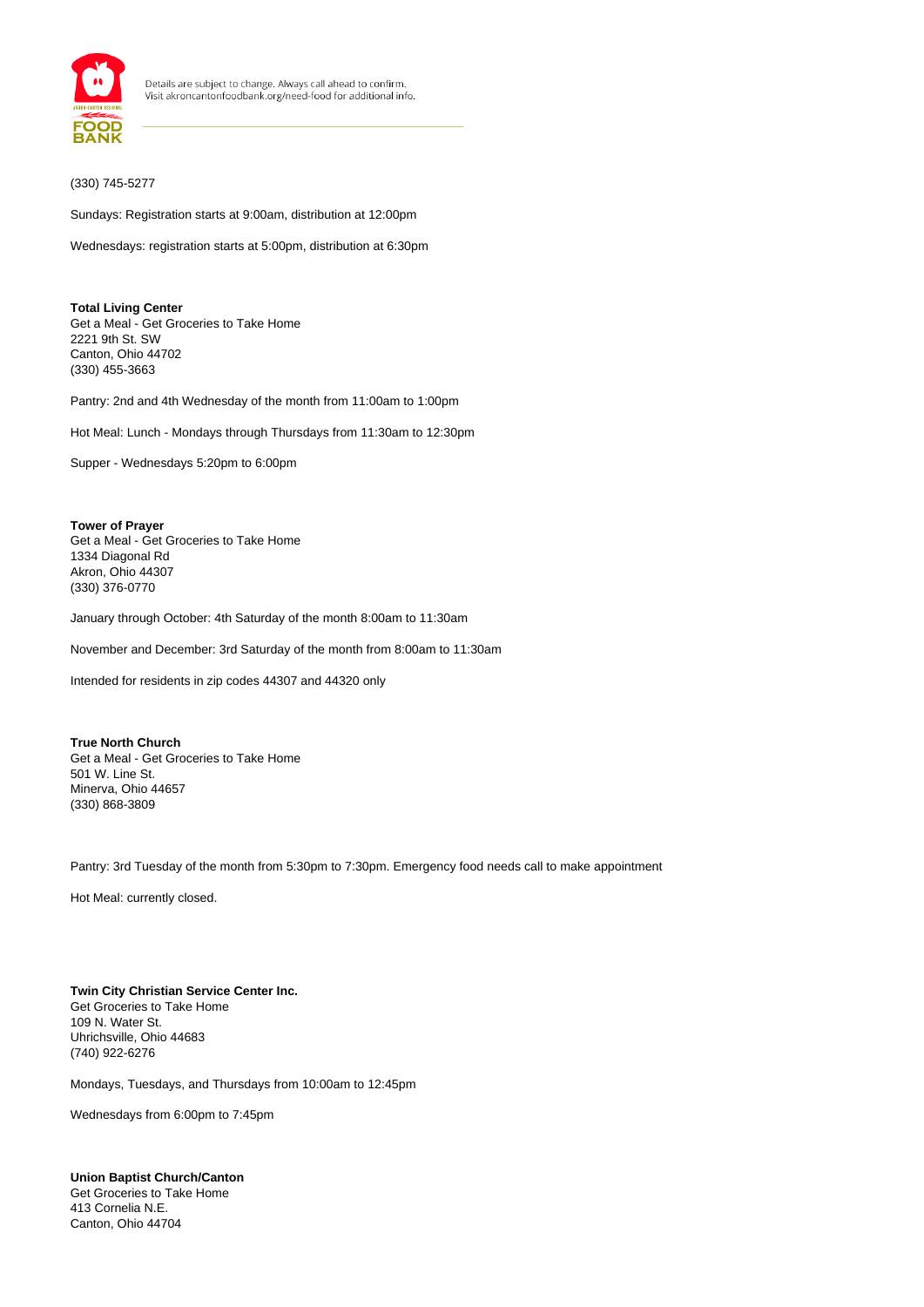

## (330) 745-5277

Sundays: Registration starts at 9:00am, distribution at 12:00pm

Wednesdays: registration starts at 5:00pm, distribution at 6:30pm

**Total Living Center** Get a Meal - Get Groceries to Take Home 2221 9th St. SW Canton, Ohio 44702 (330) 455-3663

Pantry: 2nd and 4th Wednesday of the month from 11:00am to 1:00pm

Hot Meal: Lunch - Mondays through Thursdays from 11:30am to 12:30pm

Supper - Wednesdays 5:20pm to 6:00pm

**Tower of Prayer** Get a Meal - Get Groceries to Take Home 1334 Diagonal Rd Akron, Ohio 44307 (330) 376-0770

January through October: 4th Saturday of the month 8:00am to 11:30am

November and December: 3rd Saturday of the month from 8:00am to 11:30am

Intended for residents in zip codes 44307 and 44320 only

**True North Church** Get a Meal - Get Groceries to Take Home 501 W. Line St. Minerva, Ohio 44657 (330) 868-3809

Pantry: 3rd Tuesday of the month from 5:30pm to 7:30pm. Emergency food needs call to make appointment

Hot Meal: currently closed.

#### **Twin City Christian Service Center Inc.** Get Groceries to Take Home 109 N. Water St. Uhrichsville, Ohio 44683 (740) 922-6276

Mondays, Tuesdays, and Thursdays from 10:00am to 12:45pm

Wednesdays from 6:00pm to 7:45pm

## **Union Baptist Church/Canton**

Get Groceries to Take Home 413 Cornelia N.E. Canton, Ohio 44704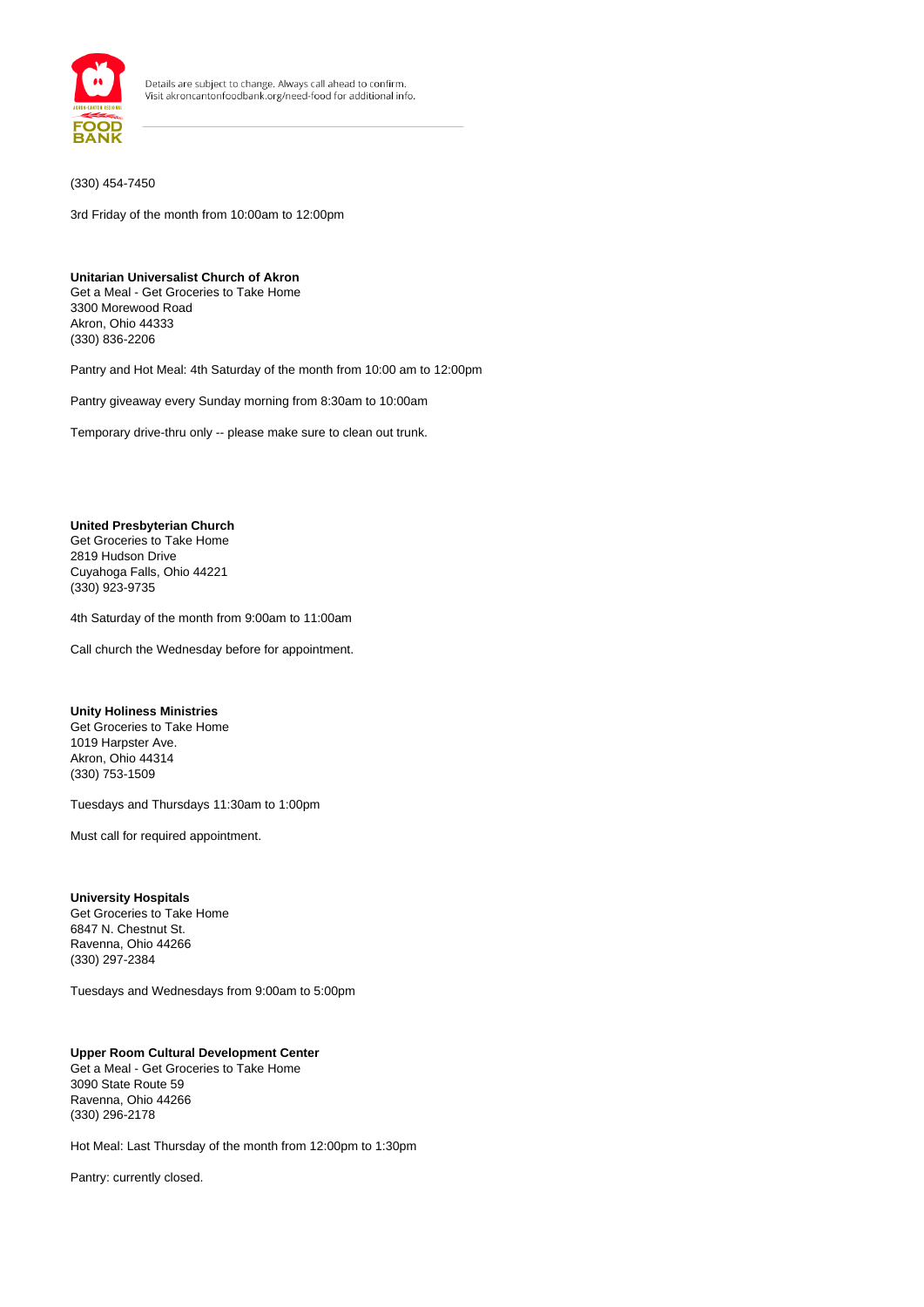

(330) 454-7450

3rd Friday of the month from 10:00am to 12:00pm

#### **Unitarian Universalist Church of Akron**

Get a Meal - Get Groceries to Take Home 3300 Morewood Road Akron, Ohio 44333 (330) 836-2206

Pantry and Hot Meal: 4th Saturday of the month from 10:00 am to 12:00pm

Pantry giveaway every Sunday morning from 8:30am to 10:00am

Temporary drive-thru only -- please make sure to clean out trunk.

#### **United Presbyterian Church**

Get Groceries to Take Home 2819 Hudson Drive Cuyahoga Falls, Ohio 44221 (330) 923-9735

4th Saturday of the month from 9:00am to 11:00am

Call church the Wednesday before for appointment.

#### **Unity Holiness Ministries**

Get Groceries to Take Home 1019 Harpster Ave. Akron, Ohio 44314 (330) 753-1509

Tuesdays and Thursdays 11:30am to 1:00pm

Must call for required appointment.

# **University Hospitals**

Get Groceries to Take Home 6847 N. Chestnut St. Ravenna, Ohio 44266 (330) 297-2384

Tuesdays and Wednesdays from 9:00am to 5:00pm

#### **Upper Room Cultural Development Center** Get a Meal - Get Groceries to Take Home 3090 State Route 59 Ravenna, Ohio 44266

Hot Meal: Last Thursday of the month from 12:00pm to 1:30pm

Pantry: currently closed.

(330) 296-2178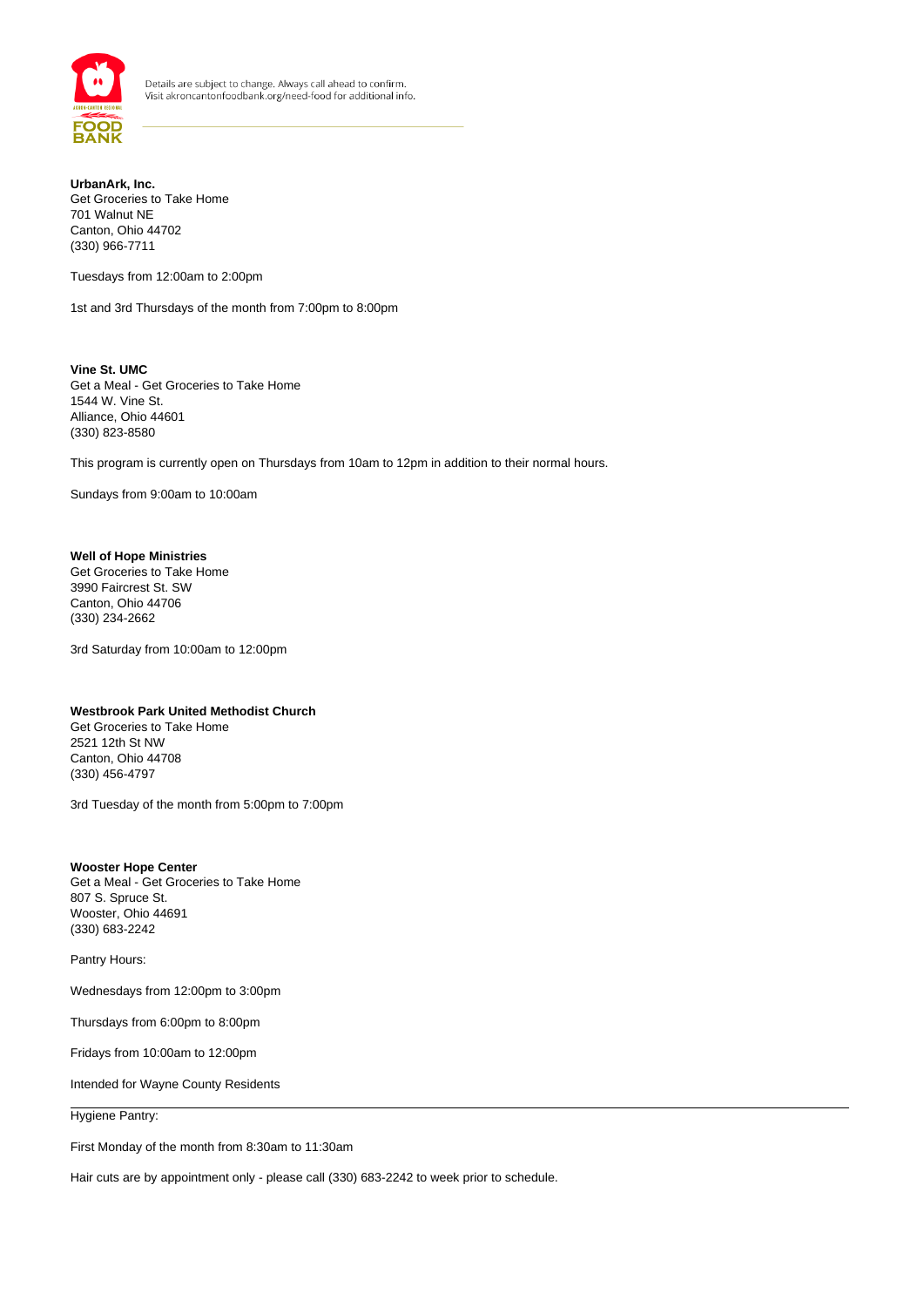

## **UrbanArk, Inc.** Get Groceries to Take Home 701 Walnut NE Canton, Ohio 44702 (330) 966-7711

Tuesdays from 12:00am to 2:00pm

1st and 3rd Thursdays of the month from 7:00pm to 8:00pm

**Vine St. UMC** Get a Meal - Get Groceries to Take Home 1544 W. Vine St. Alliance, Ohio 44601 (330) 823-8580

This program is currently open on Thursdays from 10am to 12pm in addition to their normal hours.

Sundays from 9:00am to 10:00am

## **Well of Hope Ministries**

Get Groceries to Take Home 3990 Faircrest St. SW Canton, Ohio 44706 (330) 234-2662

3rd Saturday from 10:00am to 12:00pm

## **Westbrook Park United Methodist Church**

Get Groceries to Take Home 2521 12th St NW Canton, Ohio 44708 (330) 456-4797

3rd Tuesday of the month from 5:00pm to 7:00pm

**Wooster Hope Center** Get a Meal - Get Groceries to Take Home 807 S. Spruce St. Wooster, Ohio 44691 (330) 683-2242

Pantry Hours:

Wednesdays from 12:00pm to 3:00pm

Thursdays from 6:00pm to 8:00pm

Fridays from 10:00am to 12:00pm

Intended for Wayne County Residents

Hygiene Pantry:

First Monday of the month from 8:30am to 11:30am

Hair cuts are by appointment only - please call (330) 683-2242 to week prior to schedule.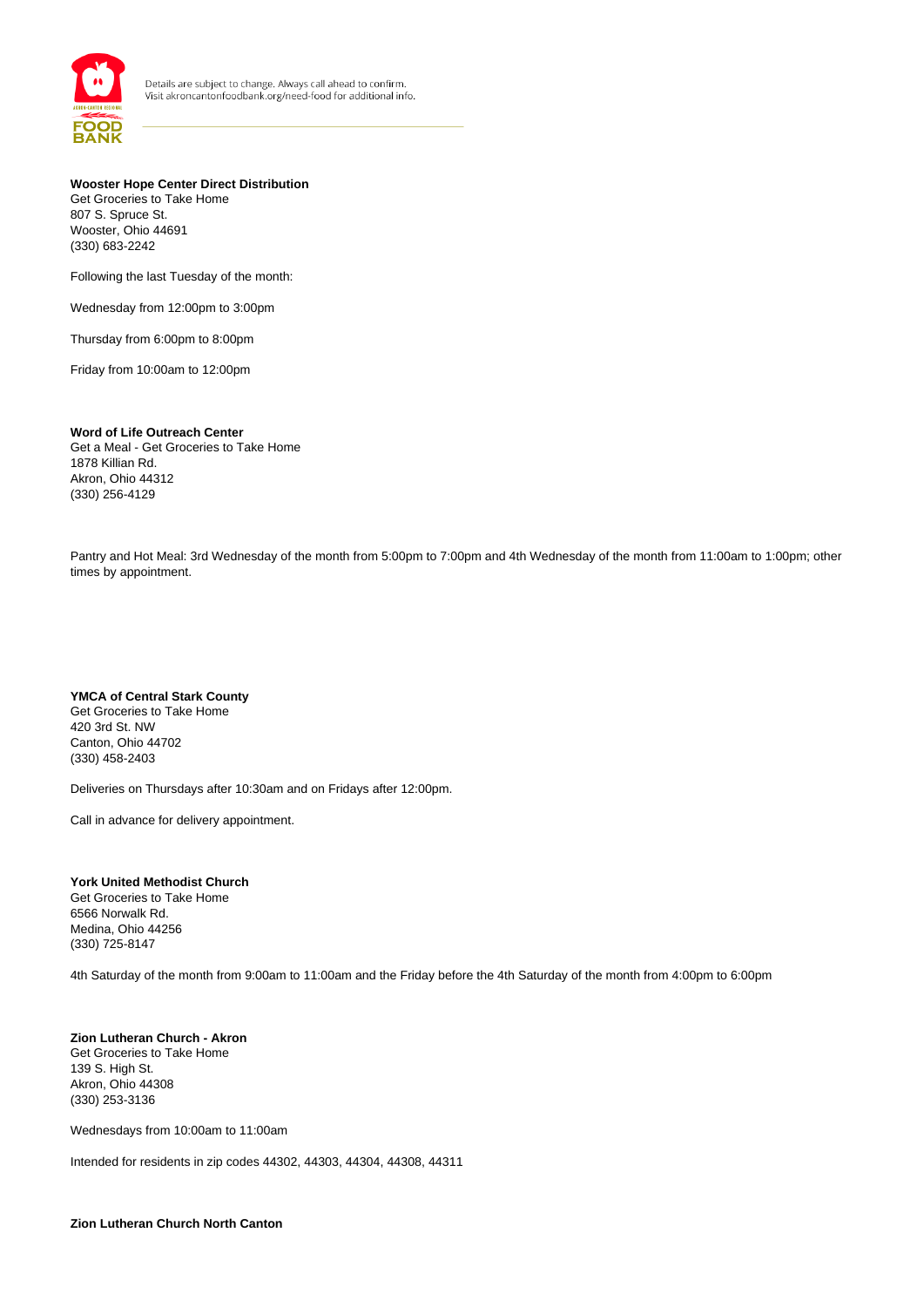

**Wooster Hope Center Direct Distribution** Get Groceries to Take Home 807 S. Spruce St. Wooster, Ohio 44691 (330) 683-2242

Following the last Tuesday of the month:

Wednesday from 12:00pm to 3:00pm

Thursday from 6:00pm to 8:00pm

Friday from 10:00am to 12:00pm

**Word of Life Outreach Center** Get a Meal - Get Groceries to Take Home 1878 Killian Rd. Akron, Ohio 44312 (330) 256-4129

Pantry and Hot Meal: 3rd Wednesday of the month from 5:00pm to 7:00pm and 4th Wednesday of the month from 11:00am to 1:00pm; other times by appointment.

**YMCA of Central Stark County**  Get Groceries to Take Home 420 3rd St. NW Canton, Ohio 44702 (330) 458-2403

Deliveries on Thursdays after 10:30am and on Fridays after 12:00pm.

Call in advance for delivery appointment.

**York United Methodist Church** Get Groceries to Take Home 6566 Norwalk Rd. Medina, Ohio 44256 (330) 725-8147

4th Saturday of the month from 9:00am to 11:00am and the Friday before the 4th Saturday of the month from 4:00pm to 6:00pm

**Zion Lutheran Church - Akron** Get Groceries to Take Home 139 S. High St. Akron, Ohio 44308 (330) 253-3136

Wednesdays from 10:00am to 11:00am

Intended for residents in zip codes 44302, 44303, 44304, 44308, 44311